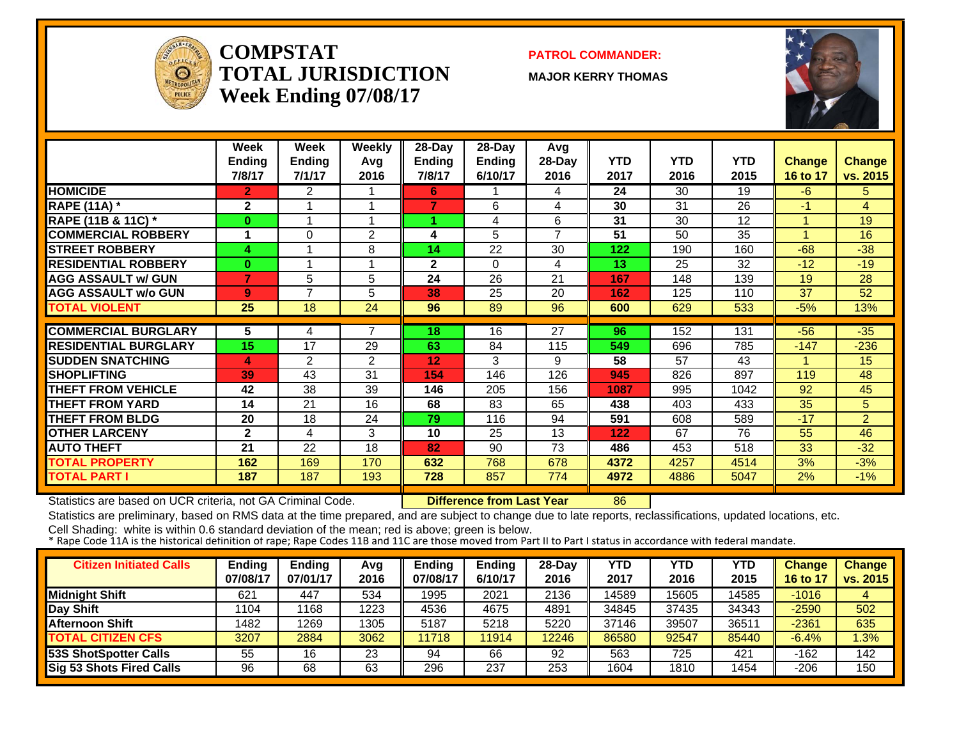

#### **COMPSTATTOTAL JURISDICTIONWeek Ending 07/08/17**

#### **PATROL COMMANDER:**

**MAJOR KERRY THOMAS**



|                             | Week           | Week           | <b>Weekly</b>  | 28-Day        | $28 - Day$    | Avg            |            |            |            |               |                |
|-----------------------------|----------------|----------------|----------------|---------------|---------------|----------------|------------|------------|------------|---------------|----------------|
|                             | <b>Ending</b>  | <b>Ending</b>  | Avg            | <b>Ending</b> | <b>Ending</b> | 28-Day         | <b>YTD</b> | <b>YTD</b> | <b>YTD</b> | <b>Change</b> | Change         |
|                             | 7/8/17         | 7/1/17         | 2016           | 7/8/17        | 6/10/17       | 2016           | 2017       | 2016       | 2015       | 16 to 17      | vs. 2015       |
| <b>HOMICIDE</b>             | $\mathbf{2}$   | 2              |                | 6             |               | 4              | 24         | 30         | 19         | $-6$          | 5              |
| <b>RAPE (11A)</b> *         | $\mathbf{2}$   | 1              |                | 7             | 6             | 4              | 30         | 31         | 26         | $-1$          | $\overline{4}$ |
| RAPE (11B & 11C) *          | $\mathbf{0}$   |                |                |               | 4             | 6              | 31         | 30         | 12         |               | 19             |
| <b>COMMERCIAL ROBBERY</b>   |                | 0              | $\overline{2}$ | 4             | 5             | $\overline{7}$ | 51         | 50         | 35         |               | 16             |
| <b>STREET ROBBERY</b>       | 4              |                | 8              | 14            | 22            | 30             | 122        | 190        | 160        | $-68$         | $-38$          |
| <b>RESIDENTIAL ROBBERY</b>  | $\bf{0}$       | 1              |                | $\mathbf{2}$  | $\Omega$      | 4              | 13         | 25         | 32         | $-12$         | $-19$          |
| <b>AGG ASSAULT w/ GUN</b>   | 7              | 5              | 5              | 24            | 26            | 21             | 167        | 148        | 139        | 19            | 28             |
| <b>AGG ASSAULT w/o GUN</b>  | 9 <sup>°</sup> | $\overline{7}$ | 5              | 38            | 25            | 20             | 162        | 125        | 110        | 37            | 52             |
| <b>TOTAL VIOLENT</b>        | 25             | 18             | 24             | 96            | 89            | 96             | 600        | 629        | 533        | $-5%$         | 13%            |
|                             |                |                |                |               |               |                |            |            |            |               |                |
| <b>COMMERCIAL BURGLARY</b>  | 5              | 4              | $\overline{7}$ | 18            | 16            | 27             | 96         | 152        | 131        | $-56$         | $-35$          |
| <b>RESIDENTIAL BURGLARY</b> | 15             | 17             | 29             | 63            | 84            | 115            | 549        | 696        | 785        | $-147$        | $-236$         |
| <b>SUDDEN SNATCHING</b>     | 4              | $\overline{2}$ | $\overline{2}$ | 12            | 3             | 9              | 58         | 57         | 43         | 1             | 15             |
| <b>SHOPLIFTING</b>          | 39             | 43             | 31             | 154           | 146           | 126            | 945        | 826        | 897        | 119           | 48             |
| <b>THEFT FROM VEHICLE</b>   | 42             | 38             | 39             | 146           | 205           | 156            | 1087       | 995        | 1042       | 92            | 45             |
| <b>THEFT FROM YARD</b>      | 14             | 21             | 16             | 68            | 83            | 65             | 438        | 403        | 433        | 35            | 5 <sup>5</sup> |
| <b>THEFT FROM BLDG</b>      | 20             | 18             | 24             | 79            | 116           | 94             | 591        | 608        | 589        | $-17$         | $\overline{2}$ |
| <b>OTHER LARCENY</b>        | $\mathbf{2}$   | 4              | 3              | 10            | 25            | 13             | 122        | 67         | 76         | 55            | 46             |
| <b>AUTO THEFT</b>           | 21             | 22             | 18             | 82            | 90            | 73             | 486        | 453        | 518        | 33            | $-32$          |
| <b>TOTAL PROPERTY</b>       | 162            | 169            | 170            | 632           | 768           | 678            | 4372       | 4257       | 4514       | 3%            | $-3%$          |
| <b>TOTAL PART I</b>         | 187            | 187            | 193            | 728           | 857           | 774            | 4972       | 4886       | 5047       | 2%            | $-1%$          |

Statistics are based on UCR criteria, not GA Criminal Code. **Difference from Last Year** 86

Statistics are preliminary, based on RMS data at the time prepared, and are subject to change due to late reports, reclassifications, updated locations, etc.

| <b>Citizen Initiated Calls</b>  | <b>Ending</b> | <b>Ending</b> | Avg  | <b>Ending</b> | <b>Ending</b> | 28-Dav | <b>YTD</b> | YTD   | <b>YTD</b> | <b>Change</b>     | <b>Change</b> |
|---------------------------------|---------------|---------------|------|---------------|---------------|--------|------------|-------|------------|-------------------|---------------|
|                                 | 07/08/17      | 07/01/17      | 2016 | 07/08/17      | 6/10/17       | 2016   | 2017       | 2016  | 2015       | 16 to $1^{\circ}$ | vs. 2015      |
| <b>Midnight Shift</b>           | 621           | 447           | 534  | 1995          | 2021          | 2136   | 14589      | 15605 | 14585      | $-1016$           |               |
| Day Shift                       | 1104          | 1168          | 1223 | 4536          | 4675          | 4891   | 34845      | 37435 | 34343      | $-2590$           | 502           |
| <b>Afternoon Shift</b>          | 1482          | 1269          | 1305 | 5187          | 5218          | 5220   | 37146      | 39507 | 3651       | -2361             | 635           |
| <b>TOTAL CITIZEN CFS</b>        | 3207          | 2884          | 3062 | 11718         | 11914         | 12246  | 86580      | 92547 | 85440      | $-6.4%$           | 1.3%          |
| 53S ShotSpotter Calls           | 55            | 16            | 23   | 94            | 66            | 92     | 563        | 725   | 421        | -162              | 142           |
| <b>Sig 53 Shots Fired Calls</b> | 96            | 68            | 63   | 296           | 237           | 253    | 1604       | 1810  | 1454       | -206              | 150           |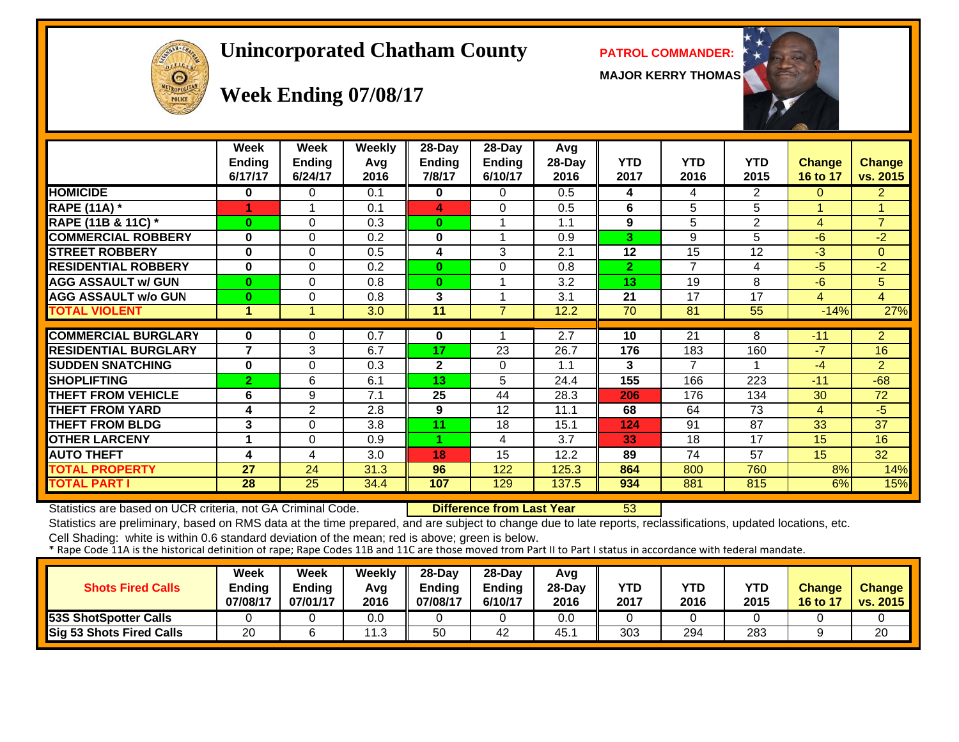# OFFICER  $\Theta$

#### **Unincorporated Chatham County PATROL COMMANDER:**

**MAJOR KERRY THOMAS**



# **Week Ending 07/08/17**

|                             | Week<br><b>Ending</b><br>6/17/17 | Week<br><b>Ending</b><br>6/24/17 | <b>Weekly</b><br>Avg<br>2016 | 28-Day<br><b>Ending</b><br>7/8/17 | 28-Day<br>Ending<br>6/10/17 | Avg<br>28-Day<br>2016 | <b>YTD</b><br>2017 | <b>YTD</b><br>2016 | <b>YTD</b><br>2015 | <b>Change</b><br>16 to 17 | <b>Change</b><br>vs. 2015 |
|-----------------------------|----------------------------------|----------------------------------|------------------------------|-----------------------------------|-----------------------------|-----------------------|--------------------|--------------------|--------------------|---------------------------|---------------------------|
| <b>HOMICIDE</b>             | $\bf{0}$                         | $\Omega$                         | 0.1                          | $\bf{0}$                          | $\Omega$                    | 0.5                   | 4                  | 4                  | 2                  | $\Omega$                  | $\overline{2}$            |
| <b>RAPE (11A)</b> *         |                                  |                                  | 0.1                          | 4                                 | $\Omega$                    | 0.5                   | 6                  | 5                  | 5                  | $\overline{A}$            |                           |
| RAPE (11B & 11C) *          | $\bf{0}$                         | $\Omega$                         | 0.3                          | $\bf{0}$                          |                             | 1.1                   | 9                  | 5                  | $\overline{2}$     | $\overline{4}$            | $\overline{7}$            |
| <b>COMMERCIAL ROBBERY</b>   | $\bf{0}$                         | $\Omega$                         | 0.2                          | $\bf{0}$                          |                             | 0.9                   | 3                  | 9                  | 5                  | $-6$                      | $-2$                      |
| <b>STREET ROBBERY</b>       | $\bf{0}$                         | $\Omega$                         | 0.5                          | 4                                 | 3                           | 2.1                   | 12                 | 15                 | 12                 | $-3$                      | $\Omega$                  |
| <b>RESIDENTIAL ROBBERY</b>  | $\bf{0}$                         | $\Omega$                         | 0.2                          | $\bf{0}$                          | 0                           | 0.8                   | $\overline{2}$     | 7                  | 4                  | $-5$                      | $-2$                      |
| <b>AGG ASSAULT w/ GUN</b>   | $\bf{0}$                         | $\Omega$                         | 0.8                          | $\bf{0}$                          |                             | 3.2                   | 13                 | 19                 | 8                  | $-6$                      | 5                         |
| <b>AGG ASSAULT w/o GUN</b>  | $\bf{0}$                         | $\Omega$                         | 0.8                          | 3                                 |                             | 3.1                   | 21                 | 17                 | 17                 | 4                         | $\overline{4}$            |
| <b>TOTAL VIOLENT</b>        | 1                                |                                  | 3.0                          | 11                                | $\overline{7}$              | 12.2                  | 70                 | 81                 | 55                 | $-14%$                    | 27%                       |
|                             |                                  |                                  |                              |                                   |                             |                       |                    |                    |                    |                           |                           |
| <b>COMMERCIAL BURGLARY</b>  | $\bf{0}$                         | 0                                | 0.7                          | 0                                 |                             | 2.7                   | 10                 | 21                 | 8                  | $-11$                     | $\overline{2}$            |
| <b>RESIDENTIAL BURGLARY</b> | $\overline{7}$                   | 3                                | 6.7                          | 17                                | 23                          | 26.7                  | 176                | 183                | 160                | -7                        | 16                        |
| <b>SUDDEN SNATCHING</b>     | $\bf{0}$                         | $\Omega$                         | 0.3                          | 2                                 | $\Omega$                    | 1.1                   | 3                  | 7                  |                    | $-4$                      | $\overline{2}$            |
| <b>SHOPLIFTING</b>          | $\overline{2}$                   | 6                                | 6.1                          | 13                                | 5                           | 24.4                  | 155                | 166                | 223                | $-11$                     | $-68$                     |
| THEFT FROM VEHICLE          | 6                                | 9                                | 7.1                          | 25                                | 44                          | 28.3                  | 206                | 176                | 134                | 30                        | 72                        |
| THEFT FROM YARD             | 4                                | 2                                | 2.8                          | 9                                 | 12                          | 11.1                  | 68                 | 64                 | 73                 | $\overline{4}$            | $-5$                      |
| <b>THEFT FROM BLDG</b>      | $\mathbf{3}$                     | $\Omega$                         | 3.8                          | 11                                | 18                          | 15.1                  | 124                | 91                 | 87                 | 33                        | 37                        |
| <b>OTHER LARCENY</b>        | 4                                | $\Omega$                         | 0.9                          | 4.                                | 4                           | 3.7                   | 33                 | 18                 | 17                 | 15                        | 16                        |
| <b>AUTO THEFT</b>           | 4                                | 4                                | 3.0                          | 18                                | 15                          | 12.2                  | 89                 | 74                 | 57                 | 15                        | 32                        |
| <b>TOTAL PROPERTY</b>       | $\overline{27}$                  | 24                               | 31.3                         | 96                                | 122                         | 125.3                 | 864                | 800                | 760                | 8%                        | 14%                       |
| <b>TOTAL PART I</b>         | 28                               | 25                               | 34.4                         | 107                               | 129                         | 137.5                 | 934                | 881                | 815                | 6%                        | 15%                       |

Statistics are based on UCR criteria, not GA Criminal Code. **Difference from Last Year** 53

Statistics are preliminary, based on RMS data at the time prepared, and are subject to change due to late reports, reclassifications, updated locations, etc.

| <b>Shots Fired Calls</b>     | Week<br>Ending<br>07/08/17 | <b>Week</b><br><b>Ending</b><br>07/01/17 | Weekly<br>Avg<br>2016 | $28$ -Dav<br>Ending<br>07/08/17 | $28-Day$<br>Ending<br>6/10/17 | Avg<br>$28-Dav$<br>2016 | YTD<br>2017 | <b>YTD</b><br>2016 | <b>YTD</b><br>2015 | <b>Change</b><br><b>16 to 17</b> | <b>Change</b><br>vs. 2015 |
|------------------------------|----------------------------|------------------------------------------|-----------------------|---------------------------------|-------------------------------|-------------------------|-------------|--------------------|--------------------|----------------------------------|---------------------------|
| <b>53S ShotSpotter Calls</b> |                            |                                          | 0.0                   |                                 |                               | 0.0                     |             |                    |                    |                                  |                           |
| Sig 53 Shots Fired Calls     | 20                         |                                          | 1<br>ົ                | 50                              | 42                            | 45.                     | 303         | 294                | 283                |                                  | 20                        |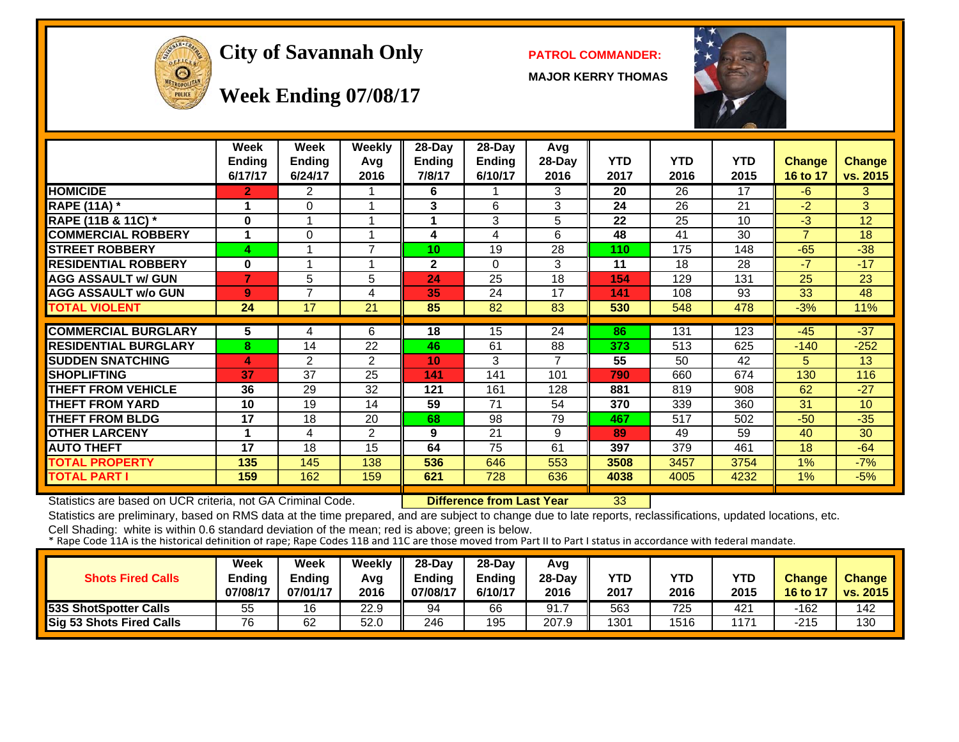

#### City of Savannah Only **PATROL COMMANDER:**

**MAJOR KERRY THOMAS**



**Week Ending 07/08/17**

|                             | Week<br><b>Ending</b> | Week<br><b>Ending</b> | Weekly<br>Avg  | $28$ -Day<br><b>Ending</b> | $28$ -Day<br>Ending | Avg<br>$28-Day$ | <b>YTD</b> | <b>YTD</b> | <b>YTD</b> | <b>Change</b>  | Change   |
|-----------------------------|-----------------------|-----------------------|----------------|----------------------------|---------------------|-----------------|------------|------------|------------|----------------|----------|
|                             | 6/17/17               | 6/24/17               | 2016           | 7/8/17                     | 6/10/17             | 2016            | 2017       | 2016       | 2015       | 16 to 17       | vs. 2015 |
| <b>HOMICIDE</b>             | $\mathbf{2}$          | $\overline{2}$        |                | 6                          |                     | 3               | 20         | 26         | 17         | $-6$           | 3        |
| <b>RAPE (11A)</b> *         | 1                     | 0                     | 1              | 3                          | 6                   | 3               | 24         | 26         | 21         | $-2$           | 3        |
| RAPE (11B & 11C) *          | $\bf{0}$              |                       | 1              |                            | 3                   | 5               | 22         | 25         | 10         | $-3$           | 12       |
| <b>COMMERCIAL ROBBERY</b>   | 1                     | 0                     | $\overline{1}$ | 4                          | 4                   | 6               | 48         | 41         | 30         | $\overline{7}$ | 18       |
| <b>STREET ROBBERY</b>       | 4                     |                       | $\overline{7}$ | 10                         | 19                  | 28              | 110        | 175        | 148        | $-65$          | $-38$    |
| <b>RESIDENTIAL ROBBERY</b>  | $\bf{0}$              |                       | 1              | 2                          | $\Omega$            | 3               | 11         | 18         | 28         | $-7$           | $-17$    |
| <b>AGG ASSAULT w/ GUN</b>   | 7                     | 5                     | 5              | 24                         | 25                  | 18              | 154        | 129        | 131        | 25             | 23       |
| <b>AGG ASSAULT w/o GUN</b>  | 9                     | $\overline{7}$        | 4              | 35                         | 24                  | 17              | 141        | 108        | 93         | 33             | 48       |
| <b>TOTAL VIOLENT</b>        | 24                    | 17                    | 21             | 85                         | 82                  | 83              | 530        | 548        | 478        | $-3%$          | 11%      |
|                             |                       |                       |                |                            |                     |                 |            |            |            |                |          |
| <b>COMMERCIAL BURGLARY</b>  | 5                     | 4                     | 6              | 18                         | 15                  | 24              | 86         | 131        | 123        | $-45$          | $-37$    |
| <b>RESIDENTIAL BURGLARY</b> | 8                     | 14                    | 22             | 46                         | 61                  | 88              | 373        | 513        | 625        | $-140$         | $-252$   |
| <b>SUDDEN SNATCHING</b>     | 4                     | $\overline{2}$        | $\overline{2}$ | 10                         | 3                   | 7               | 55         | 50         | 42         | 5              | 13       |
| <b>SHOPLIFTING</b>          | 37                    | 37                    | 25             | 141                        | 141                 | 101             | 790        | 660        | 674        | 130            | 116      |
| <b>THEFT FROM VEHICLE</b>   | 36                    | 29                    | 32             | 121                        | 161                 | 128             | 881        | 819        | 908        | 62             | $-27$    |
| <b>THEFT FROM YARD</b>      | 10                    | 19                    | 14             | 59                         | 71                  | 54              | 370        | 339        | 360        | 31             | 10       |
| <b>THEFT FROM BLDG</b>      | 17                    | 18                    | 20             | 68                         | 98                  | 79              | 467        | 517        | 502        | $-50$          | $-35$    |
| <b>OTHER LARCENY</b>        | 1                     | 4                     | $\overline{2}$ | 9                          | 21                  | 9               | 89         | 49         | 59         | 40             | 30       |
| <b>AUTO THEFT</b>           | 17                    | 18                    | 15             | 64                         | 75                  | 61              | 397        | 379        | 461        | 18             | $-64$    |
| <b>TOTAL PROPERTY</b>       | 135                   | 145                   | 138            | 536                        | 646                 | 553             | 3508       | 3457       | 3754       | 1%             | $-7%$    |
| TOTAL PART I                | 159                   | 162                   | 159            | 621                        | 728                 | 636             | 4038       | 4005       | 4232       | $1\%$          | $-5%$    |

Statistics are based on UCR criteria, not GA Criminal Code. **Difference from Last Year** 33

Statistics are preliminary, based on RMS data at the time prepared, and are subject to change due to late reports, reclassifications, updated locations, etc.

| <b>Shots Fired Calls</b>     | Week<br>Ending<br>07/08/17 | Week<br><b>Ending</b><br>07/01/17 | Weekly<br>Avg<br>2016 | $28-Dav$<br>Ending<br>07/08/17 | $28-Dav$<br><b>Ending</b><br>6/10/17 | Avg<br>28-Day<br>2016 | YTD<br>2017 | YTD<br>2016 | <b>YTD</b><br>2015 | <b>Change</b><br>$\sqrt{16}$ to 17 | <b>Change</b><br>vs. 2015 |
|------------------------------|----------------------------|-----------------------------------|-----------------------|--------------------------------|--------------------------------------|-----------------------|-------------|-------------|--------------------|------------------------------------|---------------------------|
| <b>53S ShotSpotter Calls</b> | 55                         | 16                                | 22.9                  | 94                             | 66                                   | 91.                   | 563         | 725         | 421                | $-162$                             | 142                       |
| Sig 53 Shots Fired Calls     | 76                         | 62                                | 52.0                  | 246                            | 195                                  | 207.9                 | 1301        | 1516        | 1171               | -215                               | 130                       |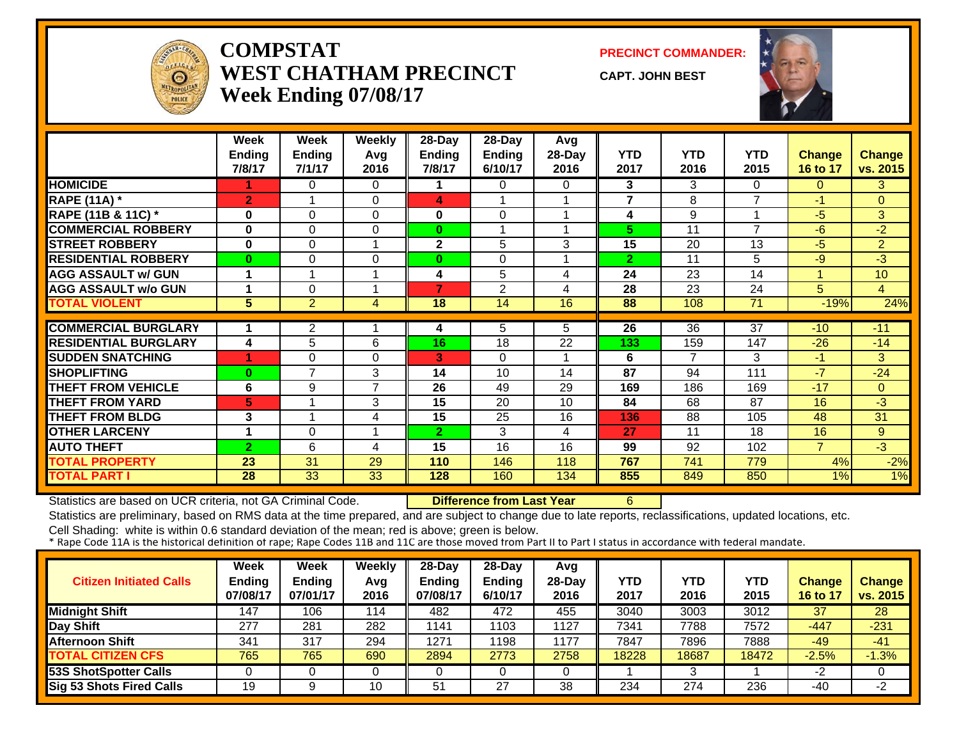

#### **COMPSTATWEST CHATHAM PRECINCTWeek Ending 07/08/17**

**PRECINCT COMMANDER:**

**CAPT. JOHN BEST**



|                             | Week<br><b>Ending</b><br>7/8/17 | Week<br><b>Ending</b><br>7/1/17 | <b>Weekly</b><br>Avg<br>2016 | 28-Day<br><b>Ending</b><br>7/8/17 | 28-Day<br><b>Ending</b><br>6/10/17 | Avg<br>28-Day<br>2016 | <b>YTD</b><br>2017 | <b>YTD</b><br>2016 | <b>YTD</b><br>2015       | <b>Change</b><br>16 to 17 | <b>Change</b><br>vs. 2015 |
|-----------------------------|---------------------------------|---------------------------------|------------------------------|-----------------------------------|------------------------------------|-----------------------|--------------------|--------------------|--------------------------|---------------------------|---------------------------|
| <b>HOMICIDE</b>             |                                 | 0                               | $\Omega$                     |                                   | $\Omega$                           | 0                     | 3                  | 3                  | $\Omega$                 | $\Omega$                  | 3                         |
| <b>RAPE (11A) *</b>         | $\overline{2}$                  |                                 | $\Omega$                     | 4                                 |                                    |                       | $\overline{7}$     | 8                  | $\overline{ }$           | $-1$                      | $\Omega$                  |
| RAPE (11B & 11C) *          | $\bf{0}$                        | 0                               | $\Omega$                     | $\bf{0}$                          | $\Omega$                           |                       | 4                  | 9                  |                          | $-5$                      | 3                         |
| <b>COMMERCIAL ROBBERY</b>   | 0                               | 0                               | $\Omega$                     | $\bf{0}$                          |                                    |                       | 5                  | 11                 | $\overline{\phantom{a}}$ | $-6$                      | $-2$                      |
| <b>STREET ROBBERY</b>       | $\bf{0}$                        | 0                               |                              | $\mathbf{2}$                      | 5                                  | 3                     | 15                 | 20                 | 13                       | $-5$                      | $\overline{2}$            |
| <b>RESIDENTIAL ROBBERY</b>  | $\bf{0}$                        | 0                               | $\Omega$                     | $\bf{0}$                          | $\Omega$                           |                       | $\overline{2}$     | 11                 | 5                        | $-9$                      | $-3$                      |
| <b>AGG ASSAULT w/ GUN</b>   | 1                               |                                 |                              | 4                                 | 5                                  | 4                     | 24                 | 23                 | 14                       |                           | 10                        |
| <b>AGG ASSAULT w/o GUN</b>  |                                 | 0                               |                              |                                   | $\overline{2}$                     | 4                     | 28                 | 23                 | 24                       | 5                         | $\overline{4}$            |
| <b>TOTAL VIOLENT</b>        | 5                               | $\overline{2}$                  | 4                            | 18                                | 14                                 | 16                    | 88                 | 108                | 71                       | $-19%$                    | 24%                       |
|                             |                                 |                                 |                              |                                   |                                    |                       |                    |                    |                          |                           |                           |
| <b>COMMERCIAL BURGLARY</b>  | 1                               | 2                               |                              | 4                                 | 5                                  | 5.                    | 26                 | 36                 | 37                       | $-10$                     | $-11$                     |
| <b>RESIDENTIAL BURGLARY</b> | 4                               | 5                               | 6                            | 16                                | 18                                 | 22                    | 133                | 159                | 147                      | $-26$                     | $-14$                     |
| <b>SUDDEN SNATCHING</b>     |                                 | 0                               | $\Omega$                     | 3                                 | $\Omega$                           |                       | 6                  | 7                  | 3                        | $-1$                      | 3                         |
| <b>SHOPLIFTING</b>          | $\bf{0}$                        | 7                               | 3                            | 14                                | 10                                 | 14                    | 87                 | 94                 | 111                      | $-7$                      | $-24$                     |
| <b>THEFT FROM VEHICLE</b>   | 6                               | 9                               | 7                            | 26                                | 49                                 | 29                    | 169                | 186                | 169                      | $-17$                     | $\mathbf{0}$              |
| <b>THEFT FROM YARD</b>      | 5                               |                                 | 3                            | 15                                | 20                                 | 10                    | 84                 | 68                 | 87                       | 16                        | $-3$                      |
| <b>THEFT FROM BLDG</b>      | 3                               | 4                               | 4                            | 15                                | 25                                 | 16                    | 136                | 88                 | 105                      | 48                        | 31                        |
| <b>OTHER LARCENY</b>        | 1                               | 0                               | $\overline{\mathbf{A}}$      | $\mathbf{2}$                      | 3                                  | 4                     | 27                 | 11                 | 18                       | 16                        | 9                         |
| <b>AUTO THEFT</b>           | $\overline{2}$                  | 6                               | 4                            | 15                                | 16                                 | 16                    | 99                 | 92                 | 102                      | $\overline{7}$            | $-3$                      |
| <b>TOTAL PROPERTY</b>       | 23                              | 31                              | 29                           | 110                               | 146                                | 118                   | 767                | 741                | 779                      | 4%                        | $-2%$                     |
| <b>TOTAL PART I</b>         | 28                              | 33                              | 33                           | 128                               | 160                                | 134                   | 855                | 849                | 850                      | $1\%$                     | 1%                        |

Statistics are based on UCR criteria, not GA Criminal Code. **Difference from Last Year** 6

Statistics are preliminary, based on RMS data at the time prepared, and are subject to change due to late reports, reclassifications, updated locations, etc.

| <b>Citizen Initiated Calls</b> | <b>Week</b><br><b>Ending</b><br>07/08/17 | Week<br><b>Ending</b><br>07/01/17 | Weekly<br>Avg<br>2016 | $28$ -Day<br><b>Ending</b><br>07/08/17 | $28-Dav$<br><b>Ending</b><br>6/10/17 | Avg<br>$28-Day$<br>2016 | YTD<br>2017 | YTD<br>2016 | YTD<br>2015 | <b>Change</b><br>16 to 17 | <b>Change</b><br>vs. 2015 |
|--------------------------------|------------------------------------------|-----------------------------------|-----------------------|----------------------------------------|--------------------------------------|-------------------------|-------------|-------------|-------------|---------------------------|---------------------------|
| <b>Midnight Shift</b>          | 147                                      | 106                               | 114                   | 482                                    | 472                                  | 455                     | 3040        | 3003        | 3012        | 37                        | 28                        |
| Day Shift                      | 277                                      | 281                               | 282                   | 1141                                   | 1103                                 | 1127                    | 7341        | 7788        | 7572        | $-447$                    | $-231$                    |
| <b>Afternoon Shift</b>         | 341                                      | 317                               | 294                   | 1271                                   | 1198                                 | 1177                    | 7847        | 7896        | 7888        | $-49$                     | $-41$                     |
| <b>TOTAL CITIZEN CFS</b>       | 765                                      | 765                               | 690                   | 2894                                   | 2773                                 | 2758                    | 18228       | 8687        | 18472       | $-2.5%$                   | $-1.3%$                   |
| <b>53S ShotSpotter Calls</b>   |                                          |                                   |                       |                                        |                                      |                         |             |             |             | $-2$                      |                           |
| Sig 53 Shots Fired Calls       | 19                                       |                                   | 10                    | 51                                     | 27                                   | 38                      | 234         | 274         | 236         | -40                       | $-2$                      |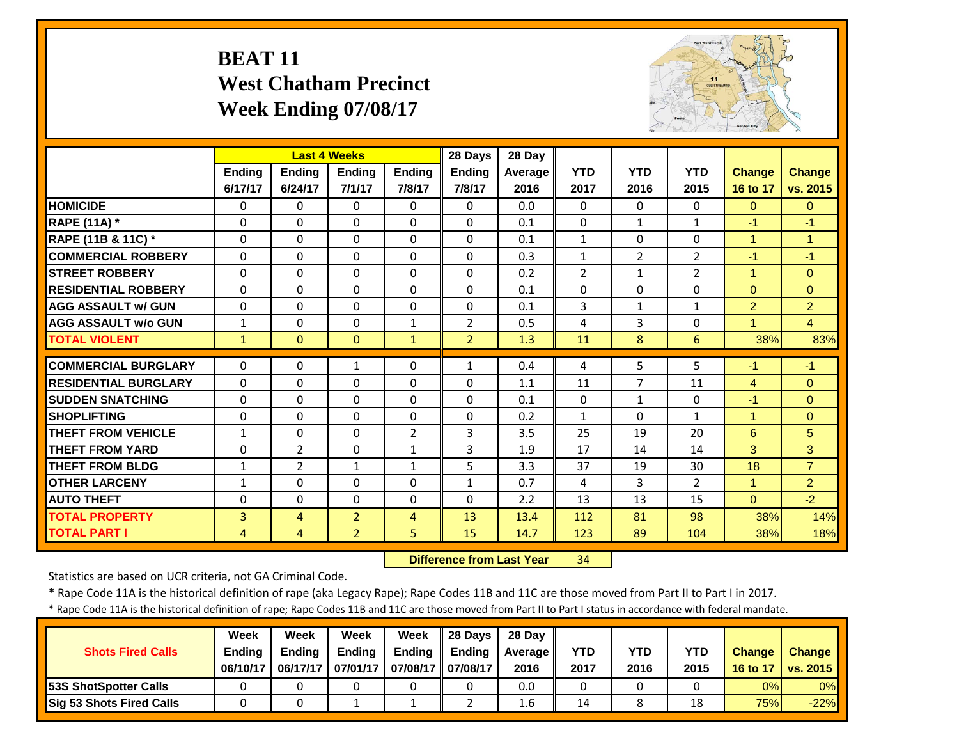# **BEAT 11 West Chatham Precinct Week Ending 07/08/17**



|                             |                | <b>Last 4 Weeks</b> |                |               | 28 Days        | 28 Day  |                |                |                |                |                |
|-----------------------------|----------------|---------------------|----------------|---------------|----------------|---------|----------------|----------------|----------------|----------------|----------------|
|                             | Ending         | <b>Ending</b>       | <b>Endina</b>  | <b>Endina</b> | <b>Ending</b>  | Average | <b>YTD</b>     | <b>YTD</b>     | <b>YTD</b>     | <b>Change</b>  | <b>Change</b>  |
|                             | 6/17/17        | 6/24/17             | 7/1/17         | 7/8/17        | 7/8/17         | 2016    | 2017           | 2016           | 2015           | 16 to 17       | vs. 2015       |
| <b>HOMICIDE</b>             | $\mathbf{0}$   | $\Omega$            | $\Omega$       | $\Omega$      | $\Omega$       | 0.0     | $\Omega$       | $\Omega$       | 0              | $\Omega$       | $\Omega$       |
| <b>RAPE (11A) *</b>         | 0              | $\Omega$            | $\Omega$       | $\Omega$      | 0              | 0.1     | $\mathbf 0$    | $\mathbf{1}$   | 1              | $-1$           | $-1$           |
| RAPE (11B & 11C) *          | $\mathbf 0$    | $\Omega$            | $\Omega$       | $\Omega$      | 0              | 0.1     | $\mathbf{1}$   | $\Omega$       | 0              | 1              | $\mathbf{1}$   |
| <b>COMMERCIAL ROBBERY</b>   | $\mathbf{0}$   | $\Omega$            | $\Omega$       | $\mathbf{0}$  | 0              | 0.3     | $\mathbf{1}$   | $\overline{2}$ | $\overline{2}$ | $-1$           | $-1$           |
| <b>ISTREET ROBBERY</b>      | $\Omega$       | $\Omega$            | $\Omega$       | $\Omega$      | $\Omega$       | 0.2     | $\overline{2}$ | $\mathbf{1}$   | $\overline{2}$ | $\overline{1}$ | $\Omega$       |
| <b>RESIDENTIAL ROBBERY</b>  | $\Omega$       | $\Omega$            | $\Omega$       | 0             | 0              | 0.1     | $\Omega$       | $\Omega$       | 0              | $\Omega$       | $\Omega$       |
| <b>AGG ASSAULT w/ GUN</b>   | $\Omega$       | $\Omega$            | $\Omega$       | 0             | 0              | 0.1     | 3              | $\mathbf{1}$   | $\mathbf{1}$   | $\overline{2}$ | $\overline{2}$ |
| <b>AGG ASSAULT w/o GUN</b>  | $\mathbf{1}$   | $\Omega$            | $\Omega$       | $\mathbf{1}$  | $\overline{2}$ | 0.5     | 4              | 3              | 0              | 1              | $\overline{4}$ |
| <b>TOTAL VIOLENT</b>        | $\mathbf{1}$   | $\mathbf{0}$        | $\Omega$       | $\mathbf{1}$  | $\overline{2}$ | 1.3     | 11             | 8              | 6              | 38%            | 83%            |
| <b>COMMERCIAL BURGLARY</b>  | $\Omega$       | $\Omega$            | 1              | 0             | $\mathbf{1}$   | 0.4     | 4              | 5              | 5              | $-1$           | $-1$           |
| <b>RESIDENTIAL BURGLARY</b> | $\Omega$       | $\Omega$            | $\Omega$       | 0             | 0              | 1.1     | 11             | 7              | 11             | 4              | $\Omega$       |
| <b>SUDDEN SNATCHING</b>     | 0              | $\Omega$            | $\Omega$       | $\Omega$      | $\Omega$       | 0.1     | $\Omega$       | $\mathbf{1}$   | 0              | $-1$           | $\Omega$       |
| <b>SHOPLIFTING</b>          | 0              | $\Omega$            | $\Omega$       | $\Omega$      | 0              | 0.2     | $\mathbf{1}$   | $\Omega$       | 1              | 1              | $\Omega$       |
| <b>THEFT FROM VEHICLE</b>   | 1              | $\Omega$            | 0              | 2             | 3              | 3.5     | 25             | 19             | 20             | 6              | 5              |
| <b>THEFT FROM YARD</b>      | $\Omega$       | $\overline{2}$      | $\Omega$       | $\mathbf{1}$  | 3              | 1.9     | 17             | 14             | 14             | 3              | 3              |
| <b>THEFT FROM BLDG</b>      | 1              | $\overline{2}$      | 1              | $\mathbf{1}$  | 5              | 3.3     | 37             | 19             | 30             | 18             | $\overline{7}$ |
| <b>OTHER LARCENY</b>        | $\mathbf{1}$   | $\Omega$            | $\Omega$       | 0             | $\mathbf{1}$   | 0.7     | 4              | 3              | $\overline{2}$ | 1              | $\overline{2}$ |
| <b>AUTO THEFT</b>           | 0              | $\Omega$            | $\Omega$       | 0             | 0              | 2.2     | 13             | 13             | 15             | $\Omega$       | $-2$           |
| <b>TOTAL PROPERTY</b>       | $\overline{3}$ | 4                   | $\overline{2}$ | 4             | 13             | 13.4    | 112            | 81             | 98             | 38%            | 14%            |
| <b>TOTAL PART I</b>         | $\overline{4}$ | $\overline{4}$      | $\overline{2}$ | 5             | 15             | 14.7    | 123            | 89             | 104            | 38%            | 18%            |

 **Difference from Last Year**34

Statistics are based on UCR criteria, not GA Criminal Code.

\* Rape Code 11A is the historical definition of rape (aka Legacy Rape); Rape Codes 11B and 11C are those moved from Part II to Part I in 2017.

\* Rape Code 11A is the historical definition of rape; Rape Codes 11B and 11C are those moved from Part II to Part I status in accordance with federal mandate.

|                                 | Week          | Week          | Week          | Week          | 28 Davs       | 28 Day  |      |      |            |               |                 |
|---------------------------------|---------------|---------------|---------------|---------------|---------------|---------|------|------|------------|---------------|-----------------|
| <b>Shots Fired Calls</b>        | <b>Ending</b> | <b>Ending</b> | <b>Ending</b> | <b>Ending</b> | <b>Ending</b> | Average | YTD  | YTD  | <b>YTD</b> | <b>Change</b> | <b>Change</b>   |
|                                 | 06/10/17      | 06/17/17      | 07/01/17      | 07/08/17      | 07/08/17      | 2016    | 2017 | 2016 | 2015       | 16 to 17      | <b>VS. 2015</b> |
| <b>53S ShotSpotter Calls</b>    |               |               |               |               |               | 0.0     |      |      |            | 0%            | $0\%$           |
| <b>Sig 53 Shots Fired Calls</b> |               |               |               |               |               | 1.6     | 14   |      | 18         | 75%           | $-22%$          |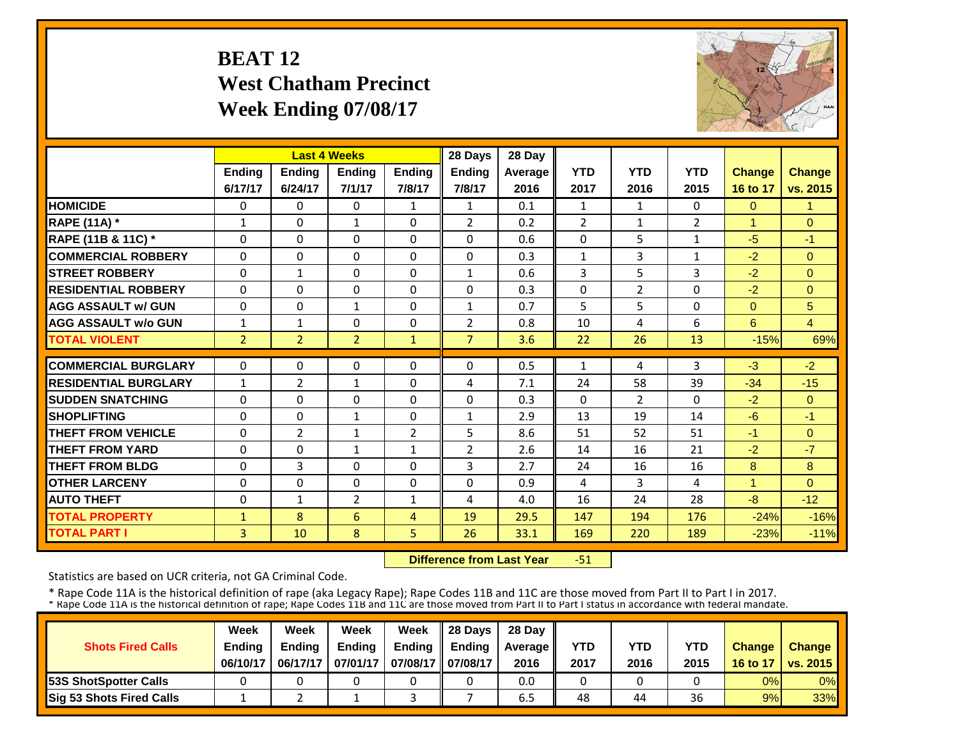# **BEAT 12 West Chatham Precinct Week Ending 07/08/17**



|                             |                | <b>Last 4 Weeks</b> |                |               | 28 Days        | 28 Day  |                |                |                |               |                |
|-----------------------------|----------------|---------------------|----------------|---------------|----------------|---------|----------------|----------------|----------------|---------------|----------------|
|                             | Ending         | <b>Ending</b>       | <b>Ending</b>  | <b>Ending</b> | <b>Ending</b>  | Average | <b>YTD</b>     | <b>YTD</b>     | <b>YTD</b>     | <b>Change</b> | Change         |
|                             | 6/17/17        | 6/24/17             | 7/1/17         | 7/8/17        | 7/8/17         | 2016    | 2017           | 2016           | 2015           | 16 to 17      | vs. 2015       |
| <b>HOMICIDE</b>             | 0              | $\Omega$            | $\Omega$       | 1             | $\mathbf{1}$   | 0.1     | 1              | $\mathbf{1}$   | 0              | $\Omega$      | 1              |
| <b>RAPE (11A)</b> *         | $\mathbf{1}$   | $\Omega$            | $\mathbf{1}$   | $\Omega$      | $\overline{2}$ | 0.2     | $\overline{2}$ | $\mathbf{1}$   | $\overline{2}$ | 1             | $\Omega$       |
| RAPE (11B & 11C) *          | $\Omega$       | $\Omega$            | $\Omega$       | $\Omega$      | $\Omega$       | 0.6     | $\Omega$       | 5              | 1              | $-5$          | $-1$           |
| <b>COMMERCIAL ROBBERY</b>   | $\Omega$       | $\Omega$            | $\Omega$       | $\Omega$      | $\Omega$       | 0.3     | $\mathbf{1}$   | 3              | 1              | $-2$          | $\Omega$       |
| <b>STREET ROBBERY</b>       | $\Omega$       | $\mathbf{1}$        | $\Omega$       | $\Omega$      | 1              | 0.6     | 3              | 5              | 3              | $-2$          | $\Omega$       |
| <b>RESIDENTIAL ROBBERY</b>  | 0              | $\Omega$            | 0              | 0             | $\Omega$       | 0.3     | $\Omega$       | 2              | 0              | $-2$          | $\Omega$       |
| <b>AGG ASSAULT w/ GUN</b>   | $\Omega$       | $\Omega$            | 1              | $\Omega$      | $\mathbf{1}$   | 0.7     | 5              | 5              | 0              | $\Omega$      | 5              |
| <b>AGG ASSAULT w/o GUN</b>  | $\mathbf{1}$   | $\mathbf{1}$        | $\Omega$       | $\Omega$      | $\overline{2}$ | 0.8     | 10             | 4              | 6              | 6             | $\overline{4}$ |
| <b>TOTAL VIOLENT</b>        | $\overline{2}$ | $\overline{2}$      | $\overline{2}$ | $\mathbf{1}$  | $\overline{7}$ | 3.6     | 22             | 26             | 13             | $-15%$        | 69%            |
| <b>COMMERCIAL BURGLARY</b>  | $\Omega$       | $\Omega$            | $\Omega$       | $\Omega$      | 0              | 0.5     | 1              | 4              | 3              | $-3$          | $-2$           |
| <b>RESIDENTIAL BURGLARY</b> | $\mathbf{1}$   | 2                   | 1              | $\Omega$      | 4              | 7.1     | 24             | 58             | 39             | $-34$         | $-15$          |
| <b>SUDDEN SNATCHING</b>     | 0              | $\Omega$            | $\Omega$       | 0             | 0              | 0.3     | $\Omega$       | $\overline{2}$ | 0              | $-2$          | $\overline{0}$ |
| <b>SHOPLIFTING</b>          | $\Omega$       | $\Omega$            | $\mathbf{1}$   | $\Omega$      | 1              | 2.9     | 13             | 19             | 14             | $-6$          | $-1$           |
| <b>THEFT FROM VEHICLE</b>   | $\Omega$       | $\overline{2}$      | $\mathbf{1}$   | 2             | 5.             | 8.6     | 51             | 52             | 51             | $-1$          | $\Omega$       |
| <b>THEFT FROM YARD</b>      | $\Omega$       | 0                   | $\mathbf{1}$   | $\mathbf{1}$  | $\overline{2}$ | 2.6     | 14             | 16             | 21             | $-2$          | $-7$           |
| <b>THEFT FROM BLDG</b>      | $\Omega$       | 3                   | $\Omega$       | 0             | 3              | 2.7     | 24             | 16             | 16             | 8             | 8              |
| <b>OTHER LARCENY</b>        | $\Omega$       | $\Omega$            | $\Omega$       | $\Omega$      | $\Omega$       | 0.9     | 4              | 3              | 4              | 1             | $\Omega$       |
| <b>AUTO THEFT</b>           | $\mathbf 0$    | $\mathbf{1}$        | $\overline{2}$ | $\mathbf{1}$  | 4              | 4.0     | 16             | 24             | 28             | $-8$          | $-12$          |
| <b>TOTAL PROPERTY</b>       | $\mathbf{1}$   | 8                   | 6              | 4             | 19             | 29.5    | 147            | 194            | 176            | $-24%$        | $-16%$         |
| <b>TOTAL PART I</b>         | 3              | 10                  | 8              | 5             | 26             | 33.1    | 169            | 220            | 189            | $-23%$        | $-11%$         |

 **Difference from Last Year**‐51

Statistics are based on UCR criteria, not GA Criminal Code.

|                               | Week     | Week          | Week          | Week              | $\parallel$ 28 Davs | 28 Day    |      |      |            |               |                     |
|-------------------------------|----------|---------------|---------------|-------------------|---------------------|-----------|------|------|------------|---------------|---------------------|
| <b>Shots Fired Calls</b>      | Ending   | <b>Ending</b> | <b>Ending</b> | <b>Ending</b>     | <b>Ending</b>       | Average I | YTD  | YTD  | <b>YTD</b> | <b>Change</b> | <b>Change</b>       |
|                               | 06/10/17 | 06/17/17      | 07/01/17      | 07/08/17 07/08/17 |                     | 2016      | 2017 | 2016 | 2015       |               | 16 to 17   vs. 2015 |
| <b>153S ShotSpotter Calls</b> |          |               |               |                   |                     | 0.0       |      |      |            | 0%            | $0\%$               |
| Sig 53 Shots Fired Calls      |          |               |               |                   |                     | 6.5       | 48   | 44   | 36         | 9%            | 33%                 |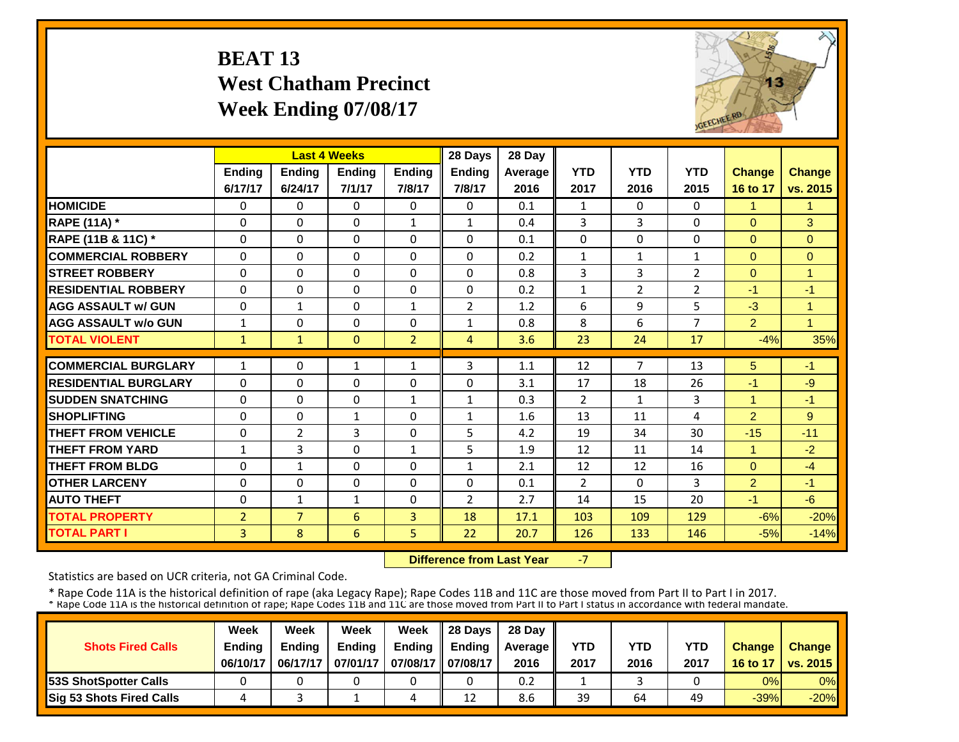# **BEAT 13 West Chatham Precinct Week Ending 07/08/17**



|                             |                | <b>Last 4 Weeks</b> |                 |                | 28 Days        | 28 Day  |                |                |                |                |                |
|-----------------------------|----------------|---------------------|-----------------|----------------|----------------|---------|----------------|----------------|----------------|----------------|----------------|
|                             | <b>Ending</b>  | <b>Ending</b>       | <b>Ending</b>   | <b>Ending</b>  | <b>Ending</b>  | Average | <b>YTD</b>     | <b>YTD</b>     | <b>YTD</b>     | <b>Change</b>  | <b>Change</b>  |
|                             | 6/17/17        | 6/24/17             | 7/1/17          | 7/8/17         | 7/8/17         | 2016    | 2017           | 2016           | 2015           | 16 to 17       | vs. 2015       |
| <b>HOMICIDE</b>             | 0              | $\Omega$            | $\mathbf{0}$    | $\Omega$       | $\Omega$       | 0.1     | $\mathbf{1}$   | $\Omega$       | $\Omega$       | 1              | $\mathbf{1}$   |
| <b>RAPE (11A)</b> *         | $\Omega$       | $\Omega$            | $\Omega$        | $\mathbf{1}$   | $\mathbf{1}$   | 0.4     | $\overline{3}$ | 3              | $\Omega$       | $\Omega$       | 3              |
| RAPE (11B & 11C) *          | $\Omega$       | $\Omega$            | $\mathbf{0}$    | $\Omega$       | $\Omega$       | 0.1     | $\Omega$       | $\Omega$       | $\Omega$       | $\Omega$       | $\Omega$       |
| <b>COMMERCIAL ROBBERY</b>   | $\Omega$       | 0                   | $\Omega$        | 0              | $\Omega$       | 0.2     | $\mathbf{1}$   | $\mathbf{1}$   | $\mathbf{1}$   | $\Omega$       | $\Omega$       |
| <b>ISTREET ROBBERY</b>      | $\Omega$       | $\Omega$            | $\Omega$        | $\Omega$       | $\Omega$       | 0.8     | 3              | 3              | $\overline{2}$ | $\Omega$       | $\overline{1}$ |
| <b>RESIDENTIAL ROBBERY</b>  | $\Omega$       | $\Omega$            | $\Omega$        | $\Omega$       | $\Omega$       | 0.2     | $\mathbf{1}$   | $\overline{2}$ | $\overline{2}$ | $-1$           | $-1$           |
| <b>AGG ASSAULT w/ GUN</b>   | $\Omega$       | $\mathbf{1}$        | $\Omega$        | $\mathbf{1}$   | $\overline{2}$ | 1.2     | 6              | 9              | 5              | $-3$           | 1              |
| <b>AGG ASSAULT w/o GUN</b>  | $\mathbf{1}$   | 0                   | $\Omega$        | 0              | 1              | 0.8     | 8              | 6              | $\overline{7}$ | $\overline{2}$ | 1              |
| <b>TOTAL VIOLENT</b>        | $\mathbf{1}$   | $\mathbf{1}$        | $\mathbf{0}$    | $\overline{2}$ | 4              | 3.6     | 23             | 24             | 17             | $-4%$          | 35%            |
| <b>COMMERCIAL BURGLARY</b>  | $\mathbf{1}$   | $\Omega$            | 1               | $\mathbf{1}$   | 3              | 1.1     | 12             | 7              | 13             | 5              | $-1$           |
| <b>RESIDENTIAL BURGLARY</b> | $\Omega$       | $\Omega$            | $\mathbf 0$     | 0              | $\Omega$       | 3.1     | 17             | 18             | 26             | $-1$           | $-9$           |
| <b>ISUDDEN SNATCHING</b>    | $\Omega$       | 0                   | 0               | 1              | $\mathbf{1}$   | 0.3     | $\overline{2}$ | $\mathbf{1}$   | 3              | $\overline{1}$ | $-1$           |
| SHOPLIFTING                 | $\Omega$       | $\Omega$            | $\mathbf{1}$    | 0              | $\mathbf{1}$   | 1.6     | 13             | 11             | 4              | $\overline{2}$ | 9              |
| <b>THEFT FROM VEHICLE</b>   | $\Omega$       | $\overline{2}$      | 3               | 0              | 5.             | 4.2     | 19             | 34             | 30             | $-15$          | $-11$          |
| <b>THEFT FROM YARD</b>      | $\mathbf{1}$   | 3                   | $\Omega$        | $\mathbf{1}$   | 5              | 1.9     | 12             | 11             | 14             | $\mathbf{1}$   | $-2$           |
| <b>THEFT FROM BLDG</b>      | $\Omega$       | $\mathbf{1}$        | $\Omega$        | $\Omega$       | $\mathbf{1}$   | 2.1     | 12             | 12             | 16             | $\Omega$       | $-4$           |
| <b>OTHER LARCENY</b>        | $\Omega$       | $\Omega$            | $\Omega$        | $\Omega$       | $\Omega$       | 0.1     | $\overline{2}$ | $\Omega$       | 3              | 2              | $-1$           |
| <b>AUTO THEFT</b>           | 0              | $\mathbf{1}$        | $\mathbf{1}$    | $\Omega$       | $\overline{2}$ | 2.7     | 14             | 15             | 20             | $-1$           | $-6$           |
| <b>TOTAL PROPERTY</b>       | $\overline{2}$ | $\overline{7}$      | $6\phantom{1}6$ | 3              | 18             | 17.1    | 103            | 109            | 129            | $-6%$          | $-20%$         |
| <b>TOTAL PART I</b>         | 3              | 8                   | 6               | 5              | 22             | 20.7    | 126            | 133            | 146            | $-5%$          | $-14%$         |

 **Difference from Last Year**‐7

Statistics are based on UCR criteria, not GA Criminal Code.

|                                 | Week          | Week          | Week          | Week          | 28 Davs       | 28 Day    |      |      |      |               |                     |
|---------------------------------|---------------|---------------|---------------|---------------|---------------|-----------|------|------|------|---------------|---------------------|
| <b>Shots Fired Calls</b>        | <b>Ending</b> | <b>Endina</b> | <b>Ending</b> | <b>Endina</b> | <b>Endina</b> | Average I | YTD  | YTD  | YTD  | <b>Change</b> | <b>Change</b>       |
|                                 | 06/10/17      | 06/17/17      | 07/01/17      | 07/08/17      | 07/08/17      | 2016      | 2017 | 2016 | 2017 |               | 16 to 17   vs. 2015 |
| <b>53S ShotSpotter Calls</b>    |               |               |               |               |               | 0.2       |      |      |      | 0%            | $0\%$               |
| <b>Sig 53 Shots Fired Calls</b> |               |               |               |               | 12            | 8.6       | 39   | 64   | 49   | $-39%$        | $-20%$              |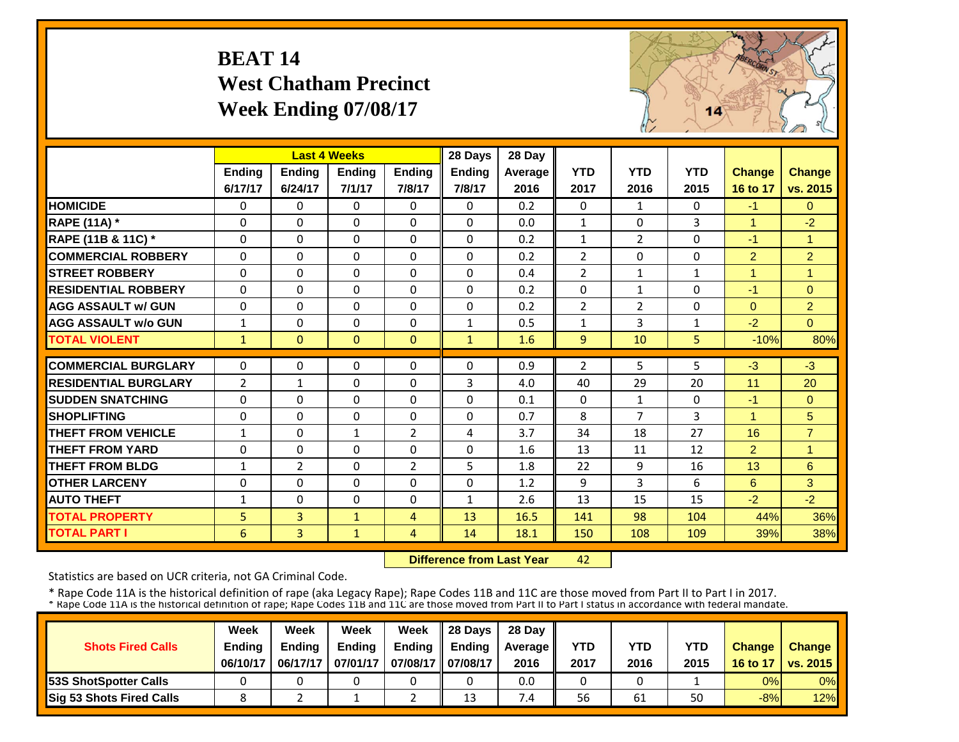# **BEAT 14 West Chatham Precinct Week Ending 07/08/17**



|                             |                |                | <b>Last 4 Weeks</b> |                | 28 Days       | 28 Day  |                |                |              |                |                      |
|-----------------------------|----------------|----------------|---------------------|----------------|---------------|---------|----------------|----------------|--------------|----------------|----------------------|
|                             | <b>Ending</b>  | <b>Ending</b>  | <b>Ending</b>       | <b>Ending</b>  | <b>Ending</b> | Average | <b>YTD</b>     | <b>YTD</b>     | <b>YTD</b>   | <b>Change</b>  | <b>Change</b>        |
|                             | 6/17/17        | 6/24/17        | 7/1/17              | 7/8/17         | 7/8/17        | 2016    | 2017           | 2016           | 2015         | 16 to 17       | vs. 2015             |
| <b>HOMICIDE</b>             | $\Omega$       | $\Omega$       | $\Omega$            | $\Omega$       | $\Omega$      | 0.2     | $\Omega$       | $\mathbf{1}$   | $\Omega$     | $-1$           | $\Omega$             |
| <b>RAPE (11A) *</b>         | $\Omega$       | $\Omega$       | $\Omega$            | $\Omega$       | $\Omega$      | 0.0     | $\mathbf{1}$   | $\Omega$       | 3            | $\mathbf{1}$   | $-2$                 |
| RAPE (11B & 11C) *          | 0              | 0              | 0                   | $\Omega$       | $\Omega$      | 0.2     | $\mathbf{1}$   | $\overline{2}$ | 0            | $-1$           | $\mathbf{1}$         |
| <b>COMMERCIAL ROBBERY</b>   | $\Omega$       | $\Omega$       | $\Omega$            | $\Omega$       | $\Omega$      | 0.2     | $\overline{2}$ | $\Omega$       | $\Omega$     | $\overline{2}$ | $\overline{2}$       |
| <b>STREET ROBBERY</b>       | 0              | $\mathbf{0}$   | 0                   | $\Omega$       | $\Omega$      | 0.4     | $\overline{2}$ | $\mathbf{1}$   | $\mathbf{1}$ | $\overline{1}$ | $\mathbf{1}$         |
| <b>RESIDENTIAL ROBBERY</b>  | $\Omega$       | $\Omega$       | $\Omega$            | $\Omega$       | $\Omega$      | 0.2     | $\mathbf{0}$   | $\mathbf{1}$   | $\Omega$     | $-1$           | $\Omega$             |
| <b>AGG ASSAULT w/ GUN</b>   | $\Omega$       | $\Omega$       | $\Omega$            | $\Omega$       | $\Omega$      | 0.2     | $\overline{2}$ | $\overline{2}$ | $\Omega$     | $\Omega$       | $\overline{2}$       |
| <b>AGG ASSAULT w/o GUN</b>  | $\mathbf{1}$   | 0              | 0                   | $\Omega$       | $\mathbf{1}$  | 0.5     | $\mathbf{1}$   | 3              | $\mathbf{1}$ | $-2$           | $\Omega$             |
| <b>TOTAL VIOLENT</b>        | $\mathbf{1}$   | $\mathbf{0}$   | $\mathbf{0}$        | $\mathbf{0}$   | $\mathbf{1}$  | 1.6     | 9              | 10             | 5            | $-10%$         | 80%                  |
| <b>COMMERCIAL BURGLARY</b>  | $\Omega$       | 0              | 0                   | 0              | 0             | 0.9     | $\overline{2}$ | 5              | 5            | $-3$           | $-3$                 |
| <b>RESIDENTIAL BURGLARY</b> | $\overline{2}$ | $\mathbf{1}$   | $\Omega$            | $\Omega$       | 3             | 4.0     | 40             | 29             | 20           | 11             | 20                   |
| <b>SUDDEN SNATCHING</b>     | $\Omega$       | $\Omega$       | 0                   | 0              | $\Omega$      | 0.1     | $\mathbf{0}$   | $\mathbf{1}$   | $\Omega$     | $-1$           | $\Omega$             |
| <b>SHOPLIFTING</b>          | 0              | $\Omega$       | $\mathbf 0$         | $\Omega$       | $\Omega$      | 0.7     | 8              | $\overline{7}$ | 3            | $\overline{1}$ | 5                    |
| <b>THEFT FROM VEHICLE</b>   | $\mathbf{1}$   | 0              | $\mathbf{1}$        | $\overline{2}$ | 4             | 3.7     | 34             | 18             | 27           | 16             | $\overline{7}$       |
| <b>THEFT FROM YARD</b>      | 0              | $\Omega$       | $\Omega$            | $\Omega$       | 0             | 1.6     | 13             | 11             | 12           | $\overline{2}$ | $\blacktriangleleft$ |
| <b>THEFT FROM BLDG</b>      | $\mathbf{1}$   | $\overline{2}$ | $\Omega$            | $\overline{2}$ | 5             | 1.8     | 22             | 9              | 16           | 13             | 6                    |
| <b>OTHER LARCENY</b>        | $\Omega$       | 0              | $\Omega$            | $\Omega$       | 0             | 1.2     | 9              | 3              | 6            | 6              | 3                    |
| <b>AUTO THEFT</b>           | $\mathbf{1}$   | 0              | $\Omega$            | $\Omega$       | $\mathbf{1}$  | 2.6     | 13             | 15             | 15           | $-2$           | $-2$                 |
| <b>TOTAL PROPERTY</b>       | 5              | $\overline{3}$ | $\mathbf{1}$        | 4              | 13            | 16.5    | 141            | 98             | 104          | 44%            | 36%                  |
| <b>TOTAL PART I</b>         | 6              | $\overline{3}$ | $\mathbf{1}$        | 4              | 14            | 18.1    | 150            | 108            | 109          | 39%            | 38%                  |

 **Difference from Last Year**42

Statistics are based on UCR criteria, not GA Criminal Code.

|                               | Week     | Week     | Week          | Week                | Il 28 Davs    | 28 Day         |      |      |      |               |                 |
|-------------------------------|----------|----------|---------------|---------------------|---------------|----------------|------|------|------|---------------|-----------------|
| <b>Shots Fired Calls</b>      | Ending   | Ending   | <b>Ending</b> | <b>Ending</b>       | <b>Ending</b> | <b>Average</b> | YTD  | YTD  | YTD  | <b>Change</b> | <b>Change</b>   |
|                               | 06/10/17 | 06/17/17 | 07/01/17      | 07/08/17   07/08/17 |               | 2016           | 2017 | 2016 | 2015 | 16 to 17      | <b>vs. 2015</b> |
| <b>153S ShotSpotter Calls</b> |          |          |               |                     |               | 0.0            |      |      |      | 0%            | $0\%$           |
| Sig 53 Shots Fired Calls      |          |          |               |                     | 13            | $\overline{A}$ | 56   | 61   | 50   | $-8%$         | 12%             |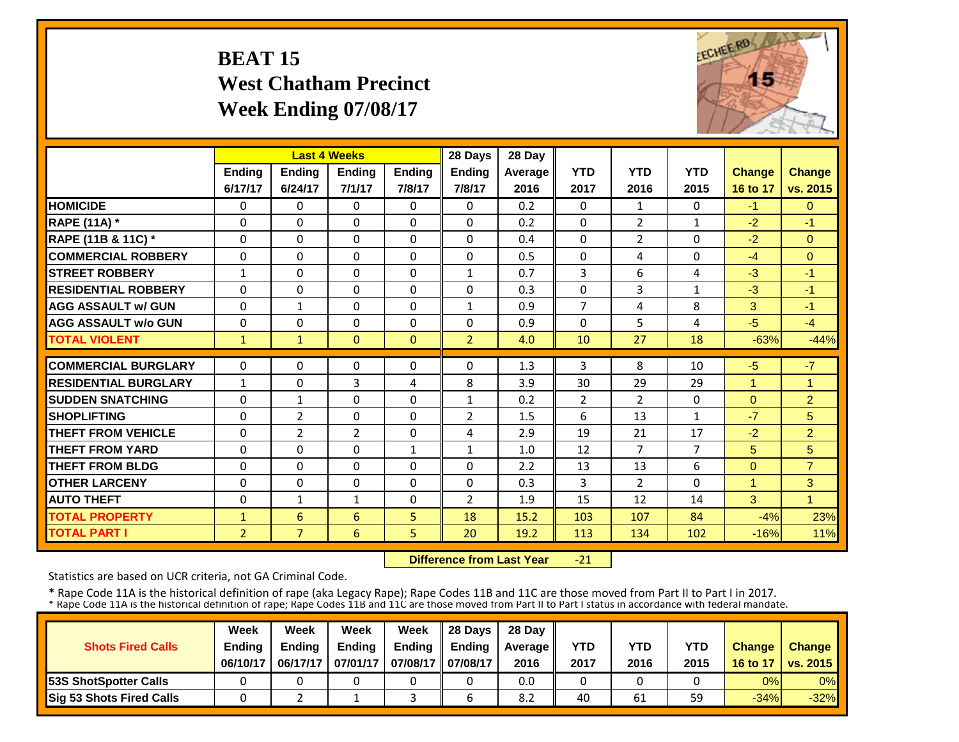### **BEAT 15 West Chatham Precinct Week Ending 07/08/17**



|                             |                | <b>Last 4 Weeks</b> |               |               | 28 Days        | 28 Day  |                |                |                |               |                |
|-----------------------------|----------------|---------------------|---------------|---------------|----------------|---------|----------------|----------------|----------------|---------------|----------------|
|                             | <b>Ending</b>  | <b>Ending</b>       | <b>Ending</b> | <b>Ending</b> | <b>Ending</b>  | Average | <b>YTD</b>     | <b>YTD</b>     | <b>YTD</b>     | <b>Change</b> | <b>Change</b>  |
|                             | 6/17/17        | 6/24/17             | 7/1/17        | 7/8/17        | 7/8/17         | 2016    | 2017           | 2016           | 2015           | 16 to 17      | vs. 2015       |
| <b>HOMICIDE</b>             | $\Omega$       | $\Omega$            | $\Omega$      | $\Omega$      | $\Omega$       | 0.2     | $\Omega$       | $\mathbf{1}$   | 0              | $-1$          | $\Omega$       |
| <b>RAPE (11A)</b> *         | $\Omega$       | $\Omega$            | $\Omega$      | $\Omega$      | $\Omega$       | 0.2     | $\Omega$       | $\overline{2}$ | 1              | $-2$          | $-1$           |
| RAPE (11B & 11C) *          | $\Omega$       | $\Omega$            | $\Omega$      | $\Omega$      | $\Omega$       | 0.4     | $\Omega$       | $\overline{2}$ | 0              | $-2$          | $\Omega$       |
| <b>COMMERCIAL ROBBERY</b>   | $\Omega$       | $\Omega$            | $\Omega$      | $\Omega$      | 0              | 0.5     | $\Omega$       | 4              | 0              | $-4$          | $\Omega$       |
| <b>ISTREET ROBBERY</b>      | $\mathbf{1}$   | $\Omega$            | $\Omega$      | $\Omega$      | $\mathbf{1}$   | 0.7     | 3              | 6              | 4              | $-3$          | $-1$           |
| <b>RESIDENTIAL ROBBERY</b>  | $\Omega$       | $\Omega$            | $\Omega$      | $\Omega$      | $\Omega$       | 0.3     | $\Omega$       | 3              | $\mathbf{1}$   | $-3$          | $-1$           |
| <b>AGG ASSAULT w/ GUN</b>   | $\Omega$       | $\mathbf{1}$        | $\Omega$      | $\Omega$      | $\mathbf{1}$   | 0.9     | $\overline{7}$ | 4              | 8              | 3             | $-1$           |
| <b>AGG ASSAULT w/o GUN</b>  | $\Omega$       | 0                   | $\Omega$      | $\Omega$      | 0              | 0.9     | $\Omega$       | 5              | 4              | $-5$          | $-4$           |
| <b>TOTAL VIOLENT</b>        | $\mathbf{1}$   | $\mathbf{1}$        | $\Omega$      | $\Omega$      | $\overline{2}$ | 4.0     | 10             | 27             | 18             | $-63%$        | $-44%$         |
| <b>COMMERCIAL BURGLARY</b>  | $\Omega$       | $\Omega$            | 0             | 0             | $\Omega$       | 1.3     | 3              | 8              | 10             | $-5$          | $-7$           |
| <b>RESIDENTIAL BURGLARY</b> | $\mathbf{1}$   | $\Omega$            | 3             | 4             | 8              | 3.9     | 30             | 29             | 29             | 1             | $\overline{1}$ |
| <b>SUDDEN SNATCHING</b>     | $\mathbf 0$    | $\mathbf{1}$        | $\Omega$      | $\Omega$      | 1              | 0.2     | $\overline{2}$ | $\overline{2}$ | 0              | $\Omega$      | $\overline{2}$ |
| <b>SHOPLIFTING</b>          | $\Omega$       | 2                   | $\Omega$      | $\Omega$      | $\overline{2}$ | 1.5     | 6              | 13             | $\mathbf{1}$   | $-7$          | 5              |
| <b>THEFT FROM VEHICLE</b>   | 0              | 2                   | 2             | $\Omega$      | 4              | 2.9     | 19             | 21             | 17             | $-2$          | $\overline{2}$ |
| <b>THEFT FROM YARD</b>      | $\Omega$       | $\Omega$            | $\Omega$      | 1             | 1              | 1.0     | 12             | $\overline{7}$ | $\overline{7}$ | 5             | 5              |
| <b>THEFT FROM BLDG</b>      | 0              | $\Omega$            | $\Omega$      | $\Omega$      | $\Omega$       | 2.2     | 13             | 13             | 6              | $\Omega$      | $\overline{7}$ |
| <b>OTHER LARCENY</b>        | $\Omega$       | $\Omega$            | $\Omega$      | $\Omega$      | $\Omega$       | 0.3     | 3              | $\overline{2}$ | 0              | 1             | 3              |
| <b>AUTO THEFT</b>           | $\Omega$       | $\mathbf{1}$        | $\mathbf{1}$  | $\Omega$      | $\overline{2}$ | 1.9     | 15             | 12             | 14             | 3             | $\overline{1}$ |
| <b>TOTAL PROPERTY</b>       | $\mathbf{1}$   | 6                   | 6             | 5             | 18             | 15.2    | 103            | 107            | 84             | $-4%$         | 23%            |
| <b>TOTAL PART I</b>         | $\overline{2}$ | $\overline{7}$      | 6             | 5             | 20             | 19.2    | 113            | 134            | 102            | $-16%$        | 11%            |

 **Difference from Last Year**‐21

Statistics are based on UCR criteria, not GA Criminal Code.

|                               | Week     | Week          | Week          | Week              | $\parallel$ 28 Davs | 28 Day    |      |      |      |               |                     |
|-------------------------------|----------|---------------|---------------|-------------------|---------------------|-----------|------|------|------|---------------|---------------------|
| <b>Shots Fired Calls</b>      | Ending   | <b>Ending</b> | <b>Ending</b> | <b>Ending</b>     | <b>Ending</b>       | Average I | YTD  | YTD  | YTD  | <b>Change</b> | <b>Change</b>       |
|                               | 06/10/17 | 06/17/17      | 07/01/17      | 07/08/17 07/08/17 |                     | 2016      | 2017 | 2016 | 2015 |               | 16 to 17   vs. 2015 |
| <b>153S ShotSpotter Calls</b> |          |               |               |                   |                     | 0.0       |      |      |      | 0%            | $0\%$               |
| Sig 53 Shots Fired Calls      |          |               |               |                   |                     | 8.2       | 40   | 61   | 59   | $-34%$        | $-32%$              |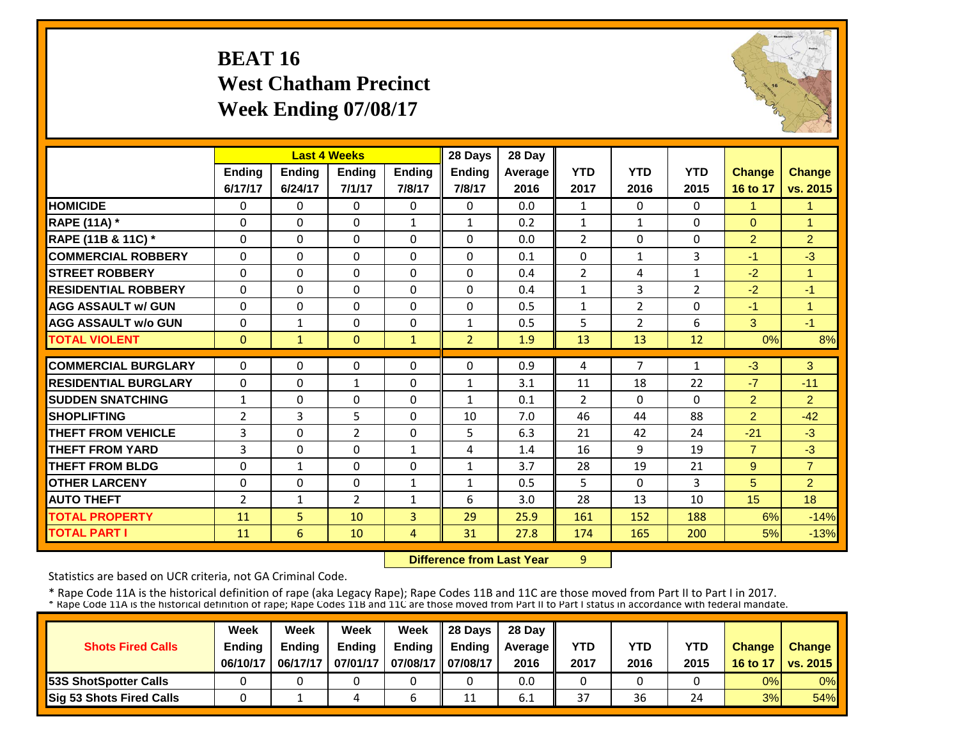# **BEAT 16 West Chatham Precinct Week Ending 07/08/17**



|                             |                | <b>Last 4 Weeks</b> |                |                | 28 Days        | 28 Day  |                |                |              |                |                |
|-----------------------------|----------------|---------------------|----------------|----------------|----------------|---------|----------------|----------------|--------------|----------------|----------------|
|                             | <b>Ending</b>  | Ending              | <b>Ending</b>  | <b>Ending</b>  | <b>Ending</b>  | Average | <b>YTD</b>     | <b>YTD</b>     | <b>YTD</b>   | <b>Change</b>  | <b>Change</b>  |
|                             | 6/17/17        | 6/24/17             | 7/1/17         | 7/8/17         | 7/8/17         | 2016    | 2017           | 2016           | 2015         | 16 to 17       | vs. 2015       |
| <b>HOMICIDE</b>             | $\Omega$       | $\Omega$            | $\Omega$       | $\Omega$       | $\Omega$       | 0.0     | $\mathbf{1}$   | $\Omega$       | 0            | $\mathbf{1}$   | 1              |
| <b>RAPE (11A) *</b>         | $\Omega$       | $\Omega$            | $\Omega$       | $\mathbf{1}$   | $\mathbf{1}$   | 0.2     | $\mathbf{1}$   | $\mathbf{1}$   | $\Omega$     | $\Omega$       | $\overline{1}$ |
| RAPE (11B & 11C) *          | $\Omega$       | $\Omega$            | $\Omega$       | $\Omega$       | $\Omega$       | 0.0     | $\overline{2}$ | $\Omega$       | $\Omega$     | $\overline{2}$ | $\overline{2}$ |
| <b>COMMERCIAL ROBBERY</b>   | $\Omega$       | 0                   | $\Omega$       | $\Omega$       | $\Omega$       | 0.1     | 0              | $\mathbf{1}$   | 3            | $-1$           | $-3$           |
| <b>STREET ROBBERY</b>       | $\Omega$       | $\Omega$            | $\Omega$       | $\Omega$       | $\Omega$       | 0.4     | $\overline{2}$ | 4              | $\mathbf{1}$ | $-2$           | 1              |
| <b>RESIDENTIAL ROBBERY</b>  | $\Omega$       | $\Omega$            | $\Omega$       | $\Omega$       | $\Omega$       | 0.4     | $\mathbf{1}$   | 3              | 2            | $-2$           | $-1$           |
| <b>AGG ASSAULT w/ GUN</b>   | $\Omega$       | $\Omega$            | $\Omega$       | $\Omega$       | $\mathbf{0}$   | 0.5     | $\mathbf{1}$   | $\overline{2}$ | 0            | $-1$           | $\overline{1}$ |
| <b>AGG ASSAULT w/o GUN</b>  | 0              | 1                   | 0              | 0              | 1              | 0.5     | 5              | $\overline{2}$ | 6            | 3              | $-1$           |
| <b>TOTAL VIOLENT</b>        | $\Omega$       | $\mathbf{1}$        | $\Omega$       | $\mathbf{1}$   | $\overline{2}$ | 1.9     | 13             | 13             | 12           | 0%             | 8%             |
| <b>COMMERCIAL BURGLARY</b>  | $\Omega$       | $\Omega$            | $\Omega$       | $\Omega$       | $\Omega$       | 0.9     | 4              | $\overline{7}$ | 1            | $-3$           | 3              |
| <b>RESIDENTIAL BURGLARY</b> | $\Omega$       | $\Omega$            | $\mathbf{1}$   | $\Omega$       | $\mathbf{1}$   | 3.1     | 11             | 18             | 22           | $-7$           | $-11$          |
| <b>ISUDDEN SNATCHING</b>    | $\mathbf{1}$   | $\Omega$            | $\Omega$       | $\Omega$       | 1              | 0.1     | $\overline{2}$ | $\Omega$       | 0            | $\overline{2}$ | 2              |
| <b>SHOPLIFTING</b>          | $\overline{2}$ | 3                   | 5              | $\Omega$       | 10             | 7.0     | 46             | 44             | 88           | $\overline{2}$ | $-42$          |
| <b>THEFT FROM VEHICLE</b>   | 3              | $\Omega$            | $\overline{2}$ | $\Omega$       | 5              | 6.3     | 21             | 42             | 24           | $-21$          | $-3$           |
| <b>THEFT FROM YARD</b>      | 3              | 0                   | $\Omega$       | $\mathbf{1}$   | 4              | 1.4     | 16             | 9              | 19           | $\overline{7}$ | $-3$           |
| <b>THEFT FROM BLDG</b>      | $\Omega$       | $\mathbf{1}$        | $\Omega$       | 0              | $\mathbf{1}$   | 3.7     | 28             | 19             | 21           | 9              | $\overline{7}$ |
| <b>OTHER LARCENY</b>        | $\Omega$       | $\Omega$            | $\Omega$       | $\mathbf{1}$   | $\mathbf{1}$   | 0.5     | 5              | $\Omega$       | 3            | 5              | 2              |
| <b>AUTO THEFT</b>           | 2              | $\mathbf{1}$        | $\overline{2}$ | 1              | 6              | 3.0     | 28             | 13             | 10           | 15             | 18             |
| <b>TOTAL PROPERTY</b>       | 11             | 5 <sup>1</sup>      | 10             | 3              | 29             | 25.9    | 161            | 152            | 188          | 6%             | $-14%$         |
| <b>TOTAL PART I</b>         | 11             | 6                   | 10             | $\overline{4}$ | 31             | 27.8    | 174            | 165            | 200          | 5%             | $-13%$         |

 **Difference from Last Year**

9

Statistics are based on UCR criteria, not GA Criminal Code.

|                               | Week     | Week          | Week          | Week              | $\parallel$ 28 Davs | 28 Day    |      |      |      |               |                     |
|-------------------------------|----------|---------------|---------------|-------------------|---------------------|-----------|------|------|------|---------------|---------------------|
| <b>Shots Fired Calls</b>      | Ending   | <b>Ending</b> | <b>Ending</b> | <b>Ending</b>     | <b>Ending</b>       | Average I | YTD  | YTD  | YTD  | <b>Change</b> | <b>Change</b>       |
|                               | 06/10/17 | 06/17/17      | 07/01/17      | 07/08/17 07/08/17 |                     | 2016      | 2017 | 2016 | 2015 |               | 16 to 17   vs. 2015 |
| <b>153S ShotSpotter Calls</b> |          |               |               |                   |                     | 0.0       |      |      |      | 0%            | $0\%$               |
| Sig 53 Shots Fired Calls      |          |               |               |                   | 11                  | -<br>6.1  | 37   | 36   | 24   | 3%            | <b>54%</b>          |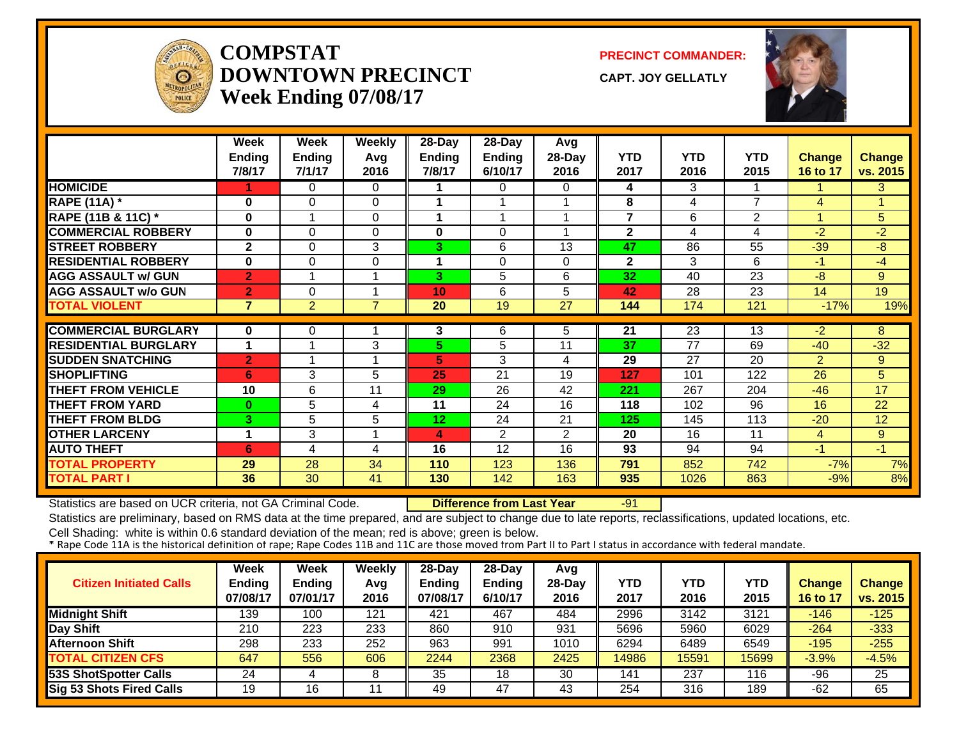

#### **COMPSTATDOWNTOWN PRECINCTWeek Ending 07/08/17**

**PRECINCT COMMANDER:**

**CAPT. JOY GELLATLY**



|                             | Week<br><b>Ending</b><br>7/8/17 | Week<br><b>Ending</b><br>7/1/17 | <b>Weekly</b><br>Avg<br>2016 | 28-Day<br><b>Ending</b><br>7/8/17 | 28-Day<br>Ending<br>6/10/17 | Avg<br>28-Day<br>2016 | <b>YTD</b><br>2017 | <b>YTD</b><br>2016 | <b>YTD</b><br>2015 | <b>Change</b><br>16 to 17 | <b>Change</b><br>vs. 2015 |
|-----------------------------|---------------------------------|---------------------------------|------------------------------|-----------------------------------|-----------------------------|-----------------------|--------------------|--------------------|--------------------|---------------------------|---------------------------|
| <b>HOMICIDE</b>             |                                 | 0                               | $\Omega$                     |                                   | $\Omega$                    | 0                     | 4                  | 3                  |                    |                           | 3                         |
| <b>RAPE (11A)</b> *         | 0                               | 0                               | $\Omega$                     |                                   |                             |                       | 8                  | 4                  | $\overline{7}$     | $\overline{4}$            | $\mathbf{1}$              |
| RAPE (11B & 11C) *          | $\bf{0}$                        | 1                               | $\Omega$                     |                                   |                             |                       | $\overline{7}$     | 6                  | $\mathbf{2}$       |                           | 5 <sup>5</sup>            |
| <b>COMMERCIAL ROBBERY</b>   | 0                               | 0                               | $\Omega$                     | $\bf{0}$                          | $\Omega$                    |                       | $\mathbf{2}$       | 4                  | 4                  | $-2$                      | $-2$                      |
| <b>STREET ROBBERY</b>       | $\mathbf{2}$                    | 0                               | 3                            | 3                                 | 6                           | 13                    | 47                 | 86                 | 55                 | $-39$                     | $-8$                      |
| <b>RESIDENTIAL ROBBERY</b>  | $\bf{0}$                        | 0                               | $\Omega$                     |                                   | $\Omega$                    | 0                     | $\mathbf{2}$       | 3                  | 6                  | $-1$                      | $-4$                      |
| <b>AGG ASSAULT w/ GUN</b>   | $\overline{2}$                  |                                 |                              | 3.                                | 5                           | 6                     | 32                 | 40                 | 23                 | $-8$                      | 9                         |
| <b>AGG ASSAULT w/o GUN</b>  | 2                               | 0                               | 1                            | 10                                | 6                           | 5.                    | 42                 | 28                 | 23                 | 14                        | 19                        |
| <b>TOTAL VIOLENT</b>        | $\overline{7}$                  | $\overline{2}$                  | $\overline{7}$               | 20                                | 19                          | 27                    | 144                | 174                | 121                | $-17%$                    | 19%                       |
| <b>COMMERCIAL BURGLARY</b>  |                                 |                                 |                              |                                   | 6                           | 5.                    |                    |                    | 13                 | $-2$                      | 8                         |
|                             | $\bf{0}$                        | 0                               |                              | 3                                 |                             |                       | 21                 | 23                 |                    |                           |                           |
| <b>RESIDENTIAL BURGLARY</b> | 1                               |                                 | 3                            | 5                                 | 5                           | 11                    | 37                 | 77                 | 69                 | $-40$                     | $-32$                     |
| <b>SUDDEN SNATCHING</b>     | $\overline{2}$                  |                                 |                              | 5                                 | 3                           | 4                     | 29                 | 27                 | 20                 | $\overline{2}$            | 9                         |
| <b>SHOPLIFTING</b>          | 6                               | 3                               | 5                            | 25                                | 21                          | 19                    | 127                | 101                | 122                | 26                        | 5 <sup>5</sup>            |
| <b>THEFT FROM VEHICLE</b>   | 10                              | 6                               | 11                           | 29                                | 26                          | 42                    | 221                | 267                | 204                | $-46$                     | 17                        |
| <b>THEFT FROM YARD</b>      | $\bf{0}$                        | 5                               | 4                            | 11                                | 24                          | 16                    | 118                | 102                | 96                 | 16                        | 22                        |
| <b>THEFT FROM BLDG</b>      | 3                               | 5                               | 5                            | 12                                | 24                          | 21                    | 125                | 145                | 113                | $-20$                     | 12                        |
| <b>OTHER LARCENY</b>        | 1                               | 3                               | 1                            | 4                                 | $\overline{2}$              | $\overline{2}$        | 20                 | 16                 | 11                 | $\overline{4}$            | 9                         |
| <b>AUTO THEFT</b>           | 6                               | 4                               | 4                            | 16                                | 12                          | 16                    | 93                 | 94                 | 94                 | $-1$                      | $-1$                      |
| <b>TOTAL PROPERTY</b>       | 29                              | 28                              | 34                           | 110                               | 123                         | 136                   | 791                | 852                | 742                | $-7%$                     | 7%                        |
| <b>TOTAL PART I</b>         | 36                              | 30                              | 41                           | 130                               | 142                         | 163                   | 935                | 1026               | 863                | $-9%$                     | 8%                        |

Statistics are based on UCR criteria, not GA Criminal Code. **Difference from Last Year** -91

Statistics are preliminary, based on RMS data at the time prepared, and are subject to change due to late reports, reclassifications, updated locations, etc.

| <b>Citizen Initiated Calls</b>  | Week<br><b>Ending</b><br>07/08/17 | Week<br><b>Ending</b><br>07/01/17 | Weekly<br>Avg<br>2016 | $28-Day$<br>Ending<br>07/08/17 | $28-Dav$<br>Ending<br>6/10/17 | Avg<br>$28-Day$<br>2016 | <b>YTD</b><br>2017 | YTD<br>2016 | <b>YTD</b><br>2015 | <b>Change</b><br>16 to 17 | <b>Change</b><br>vs. 2015 |
|---------------------------------|-----------------------------------|-----------------------------------|-----------------------|--------------------------------|-------------------------------|-------------------------|--------------------|-------------|--------------------|---------------------------|---------------------------|
| <b>Midnight Shift</b>           | 139                               | 100                               | 121                   | 421                            | 467                           | 484                     | 2996               | 3142        | 3121               | $-146$                    | $-125$                    |
| Day Shift                       | 210                               | 223                               | 233                   | 860                            | 910                           | 931                     | 5696               | 5960        | 6029               | $-264$                    | $-333$                    |
| <b>Afternoon Shift</b>          | 298                               | 233                               | 252                   | 963                            | 991                           | 1010                    | 6294               | 6489        | 6549               | $-195$                    | $-255$                    |
| <b>TOTAL CITIZEN CFS</b>        | 647                               | 556                               | 606                   | 2244                           | 2368                          | 2425                    | 14986              | 15591       | 15699              | $-3.9%$                   | $-4.5%$                   |
| 53S ShotSpotter Calls           | 24                                |                                   |                       | 35                             | 18                            | 30                      | 141                | 237         | 116                | -96                       | 25                        |
| <b>Sig 53 Shots Fired Calls</b> | 19                                | 16                                | 11                    | 49                             | 47                            | 43                      | 254                | 316         | 189                | $-62$                     | 65                        |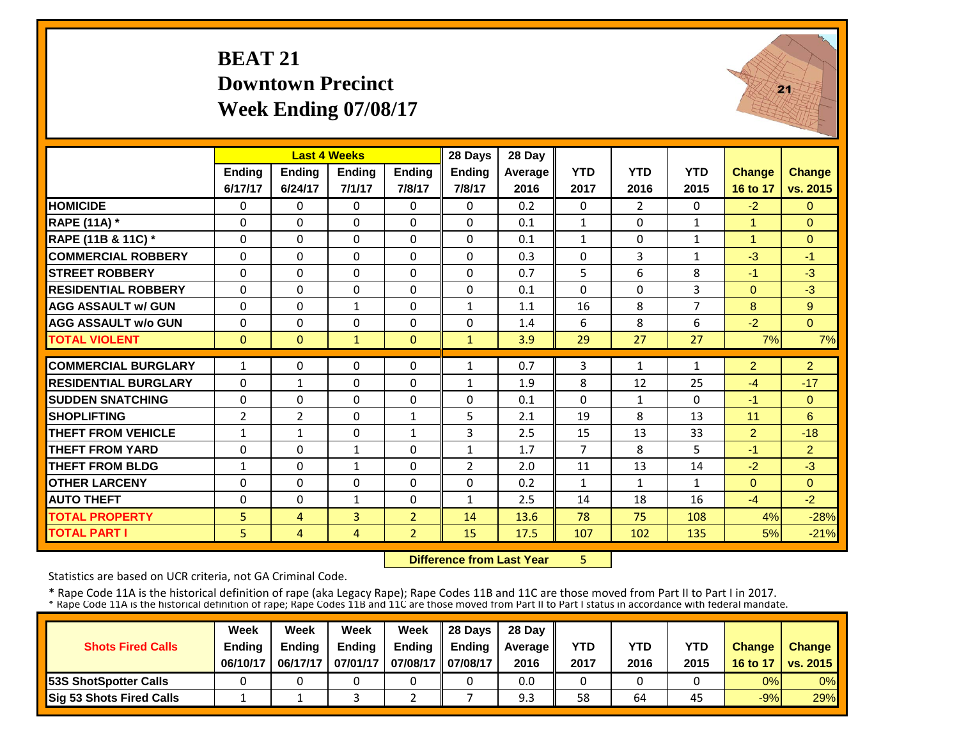# **BEAT 21 Downtown PrecinctWeek Ending 07/08/17**



|                             |                | <b>Last 4 Weeks</b> |              |                | 28 Days        | 28 Day  |                |                |              |                |                |
|-----------------------------|----------------|---------------------|--------------|----------------|----------------|---------|----------------|----------------|--------------|----------------|----------------|
|                             | <b>Ending</b>  | Ending              | Ending       | <b>Endina</b>  | <b>Ending</b>  | Average | <b>YTD</b>     | <b>YTD</b>     | <b>YTD</b>   | <b>Change</b>  | <b>Change</b>  |
|                             | 6/17/17        | 6/24/17             | 7/1/17       | 7/8/17         | 7/8/17         | 2016    | 2017           | 2016           | 2015         | 16 to 17       | vs. 2015       |
| <b>HOMICIDE</b>             | $\Omega$       | $\Omega$            | $\Omega$     | $\Omega$       | $\Omega$       | 0.2     | $\Omega$       | $\overline{2}$ | $\Omega$     | $-2$           | $\Omega$       |
| <b>RAPE (11A) *</b>         | $\Omega$       | $\Omega$            | $\Omega$     | $\Omega$       | $\Omega$       | 0.1     | $\mathbf{1}$   | $\Omega$       | $\mathbf{1}$ | 1              | $\Omega$       |
| RAPE (11B & 11C) *          | $\Omega$       | $\Omega$            | $\Omega$     | $\Omega$       | $\Omega$       | 0.1     | $\mathbf 1$    | $\Omega$       | $\mathbf{1}$ | 1              | $\Omega$       |
| <b>COMMERCIAL ROBBERY</b>   | $\Omega$       | 0                   | $\Omega$     | $\Omega$       | $\Omega$       | 0.3     | 0              | 3              | $\mathbf{1}$ | $-3$           | $-1$           |
| <b>STREET ROBBERY</b>       | $\Omega$       | 0                   | $\Omega$     | $\Omega$       | $\Omega$       | 0.7     | 5              | 6              | 8            | $-1$           | $-3$           |
| <b>IRESIDENTIAL ROBBERY</b> | $\Omega$       | $\Omega$            | $\Omega$     | $\Omega$       | $\Omega$       | 0.1     | $\Omega$       | $\Omega$       | 3            | $\Omega$       | $-3$           |
| <b>AGG ASSAULT w/ GUN</b>   | $\Omega$       | $\Omega$            | $\mathbf{1}$ | $\Omega$       | $\mathbf{1}$   | 1.1     | 16             | 8              | 7            | 8              | 9              |
| <b>AGG ASSAULT w/o GUN</b>  | 0              | 0                   | 0            | 0              | $\Omega$       | 1.4     | 6              | 8              | 6            | $-2$           | $\mathbf{0}$   |
| <b>TOTAL VIOLENT</b>        | $\Omega$       | $\Omega$            | $\mathbf{1}$ | $\Omega$       | $\mathbf{1}$   | 3.9     | 29             | 27             | 27           | 7%             | 7%             |
| <b>COMMERCIAL BURGLARY</b>  | 1              | $\Omega$            | $\Omega$     | $\Omega$       | $\mathbf{1}$   | 0.7     | 3              | $\mathbf{1}$   | 1            | $\overline{2}$ | $\overline{2}$ |
| <b>RESIDENTIAL BURGLARY</b> | $\Omega$       | $\mathbf{1}$        | $\Omega$     | $\Omega$       | 1              | 1.9     | 8              | 12             | 25           | $-4$           | $-17$          |
| <b>ISUDDEN SNATCHING</b>    | $\Omega$       | $\Omega$            | $\Omega$     | $\Omega$       | $\Omega$       | 0.1     | $\Omega$       | $\mathbf{1}$   | 0            | $-1$           | $\Omega$       |
| <b>SHOPLIFTING</b>          | $\overline{2}$ | $\overline{2}$      | $\Omega$     | $\mathbf{1}$   | 5              | 2.1     | 19             | 8              | 13           | 11             | 6              |
| <b>THEFT FROM VEHICLE</b>   | $\mathbf{1}$   | $\mathbf{1}$        | $\Omega$     | $\mathbf{1}$   | 3              | 2.5     | 15             | 13             | 33           | $\overline{2}$ | $-18$          |
| <b>THEFT FROM YARD</b>      | 0              | 0                   | $\mathbf{1}$ | $\Omega$       | 1              | 1.7     | $\overline{7}$ | 8              | 5            | $-1$           | $\overline{2}$ |
| <b>THEFT FROM BLDG</b>      | 1              | $\Omega$            | $\mathbf{1}$ | 0              | $\overline{2}$ | 2.0     | 11             | 13             | 14           | $-2$           | $-3$           |
| <b>OTHER LARCENY</b>        | $\Omega$       | $\Omega$            | $\Omega$     | $\Omega$       | $\Omega$       | 0.2     | $\mathbf{1}$   | 1              | 1            | $\Omega$       | $\Omega$       |
| <b>AUTO THEFT</b>           | $\Omega$       | $\Omega$            | $\mathbf{1}$ | $\Omega$       | $\mathbf{1}$   | 2.5     | 14             | 18             | 16           | $-4$           | $-2$           |
| <b>TOTAL PROPERTY</b>       | 5              | 4                   | 3            | $\overline{2}$ | 14             | 13.6    | 78             | 75             | 108          | 4%             | $-28%$         |
| <b>TOTAL PART I</b>         | 5              | $\overline{4}$      | 4            | $\overline{2}$ | 15             | 17.5    | 107            | 102            | 135          | 5%             | $-21%$         |

 **Difference from Last Year**5

Statistics are based on UCR criteria, not GA Criminal Code.

|                               | Week     | Week          | Week          | Week              | $\parallel$ 28 Davs | 28 Day    |      |      |            |               |                     |
|-------------------------------|----------|---------------|---------------|-------------------|---------------------|-----------|------|------|------------|---------------|---------------------|
| <b>Shots Fired Calls</b>      | Ending   | <b>Ending</b> | <b>Ending</b> | <b>Ending</b>     | <b>Ending</b>       | Average I | YTD  | YTD  | <b>YTD</b> | <b>Change</b> | <b>Change</b>       |
|                               | 06/10/17 | 06/17/17      | 07/01/17      | 07/08/17 07/08/17 |                     | 2016      | 2017 | 2016 | 2015       |               | 16 to 17   vs. 2015 |
| <b>153S ShotSpotter Calls</b> |          |               |               |                   |                     | 0.0       |      |      |            | 0%            | $0\%$               |
| Sig 53 Shots Fired Calls      |          |               |               |                   |                     | 9.3       | 58   | 64   | 45         | $-9%$         | 29%                 |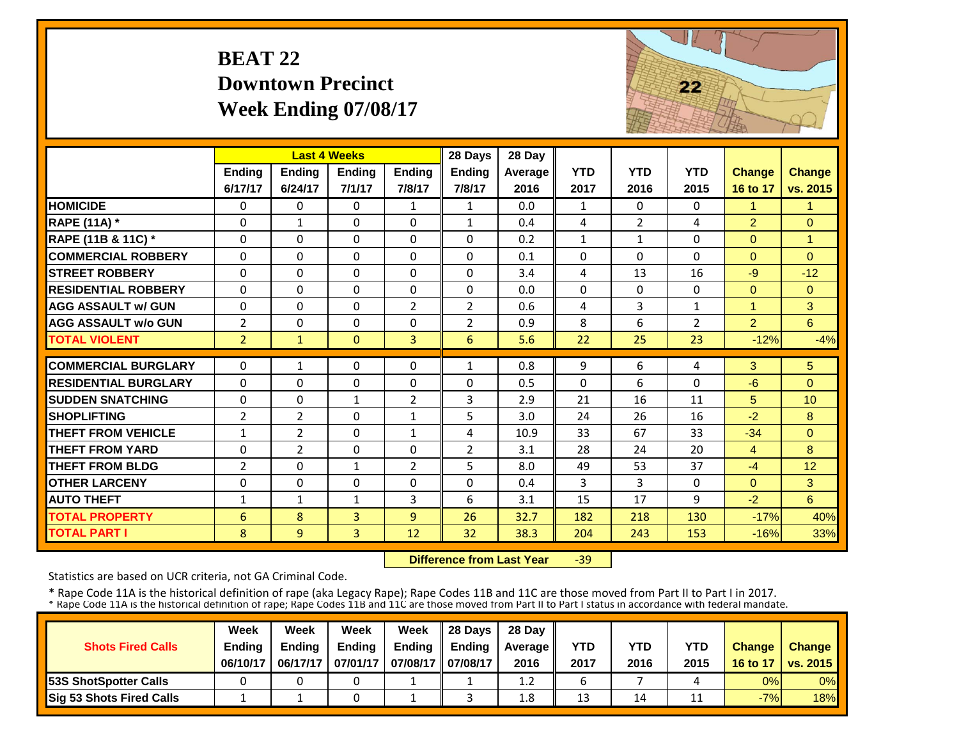# **BEAT 22 Downtown PrecinctWeek Ending 07/08/17**



|                             |                          | <b>Last 4 Weeks</b>              |                |                          | 28 Days        | 28 Day      |              |                |              |                |               |
|-----------------------------|--------------------------|----------------------------------|----------------|--------------------------|----------------|-------------|--------------|----------------|--------------|----------------|---------------|
|                             | <b>Ending</b>            | <b>Ending</b>                    | <b>Endina</b>  | <b>Ending</b>            | <b>Ending</b>  | Average     | <b>YTD</b>   | <b>YTD</b>     | <b>YTD</b>   | <b>Change</b>  | <b>Change</b> |
|                             | 6/17/17                  | 6/24/17                          | 7/1/17         | 7/8/17                   | 7/8/17         | 2016        | 2017         | 2016           | 2015         | 16 to 17       | vs. 2015      |
| <b>HOMICIDE</b>             | $\Omega$                 | 0                                | $\Omega$       | $\mathbf{1}$             | $\mathbf{1}$   | 0.0         | $\mathbf{1}$ | $\Omega$       | 0            | 1              | 1             |
| <b>RAPE (11A) *</b>         | $\Omega$                 | $\mathbf{1}$                     | $\Omega$       | $\Omega$                 | $\mathbf{1}$   | 0.4         | 4            | $\overline{2}$ | 4            | 2              | $\Omega$      |
| RAPE (11B & 11C) *          | $\Omega$                 | $\Omega$                         | $\Omega$       | $\Omega$                 | $\Omega$       | 0.2         | $\mathbf{1}$ | $\mathbf{1}$   | 0            | $\Omega$       | $\mathbf{1}$  |
| <b>COMMERCIAL ROBBERY</b>   | $\Omega$                 | 0                                | $\Omega$       | $\Omega$                 | $\Omega$       | 0.1         | $\Omega$     | $\Omega$       | $\Omega$     | $\Omega$       | $\Omega$      |
| <b>STREET ROBBERY</b>       | $\Omega$                 | $\Omega$                         | $\Omega$       | $\Omega$                 | $\Omega$       | 3.4         | 4            | 13             | 16           | $-9$           | $-12$         |
| <b>RESIDENTIAL ROBBERY</b>  | $\Omega$                 | $\Omega$                         | $\Omega$       | $\Omega$                 | $\Omega$       | 0.0         | $\Omega$     | $\Omega$       | 0            | $\Omega$       | $\Omega$      |
| <b>AGG ASSAULT w/ GUN</b>   | $\Omega$                 | $\Omega$                         | $\Omega$       | $\overline{2}$           | $\overline{2}$ | 0.6         | 4            | 3              | $\mathbf{1}$ | $\mathbf{1}$   | 3             |
| <b>AGG ASSAULT w/o GUN</b>  | $\overline{2}$           | $\Omega$                         | $\Omega$       | $\Omega$                 | $\overline{2}$ | 0.9         | 8            | 6              | 2            | $\overline{2}$ | $6^{\circ}$   |
| <b>TOTAL VIOLENT</b>        | 2 <sup>1</sup>           | $\mathbf{1}$                     | $\mathbf{0}$   | $\overline{3}$           | 6              | 5.6         | 22           | 25             | 23           | $-12%$         | $-4%$         |
| <b>COMMERCIAL BURGLARY</b>  | $\Omega$                 | $\mathbf{1}$                     | 0              | 0                        | $\mathbf{1}$   | 0.8         | 9            | 6              | 4            | 3              | 5             |
| <b>RESIDENTIAL BURGLARY</b> | $\Omega$                 | 0                                | 0              | $\Omega$                 | $\Omega$       | 0.5         | $\Omega$     | 6              | 0            | $-6$           | $\Omega$      |
| <b>SUDDEN SNATCHING</b>     | $\Omega$                 | 0                                | $\mathbf{1}$   | 2                        | 3              | 2.9         | 21           | 16             | 11           | 5              | 10            |
| <b>SHOPLIFTING</b>          | $\overline{2}$           | 2                                | $\Omega$       | $\mathbf{1}$             | 5              | 3.0         | 24           | 26             | 16           | $-2$           | 8             |
| <b>THEFT FROM VEHICLE</b>   |                          |                                  | $\Omega$       |                          | 4              |             | 33           | 67             | 33           | $-34$          | $\Omega$      |
| <b>THEFT FROM YARD</b>      | $\mathbf{1}$<br>$\Omega$ | $\overline{2}$<br>$\overline{2}$ | $\Omega$       | $\mathbf{1}$<br>$\Omega$ | $\overline{2}$ | 10.9<br>3.1 | 28           | 24             | 20           | $\overline{4}$ | 8             |
| <b>THEFT FROM BLDG</b>      |                          |                                  |                |                          | 5              | 8.0         | 49           | 53             | 37           |                | 12            |
|                             | $\overline{2}$           | 0                                | $\mathbf{1}$   | 2                        |                |             |              |                |              | $-4$           |               |
| <b>OTHER LARCENY</b>        | $\Omega$                 | 0                                | $\Omega$       | $\Omega$                 | $\Omega$       | 0.4         | 3            | 3              | 0            | $\Omega$       | 3             |
| <b>AUTO THEFT</b>           | $\mathbf{1}$             | $\mathbf{1}$                     | $\mathbf{1}$   | 3                        | 6              | 3.1         | 15           | 17             | 9            | $-2$           | 6             |
| <b>TOTAL PROPERTY</b>       | 6                        | 8                                | $\overline{3}$ | $\overline{9}$           | 26             | 32.7        | 182          | 218            | 130          | $-17%$         | 40%           |
| <b>TOTAL PART I</b>         | 8                        | 9                                | $\overline{3}$ | 12                       | 32             | 38.3        | 204          | 243            | 153          | $-16%$         | 33%           |

 **Difference from Last Year** $-39$ 

Statistics are based on UCR criteria, not GA Criminal Code.

|                               | Week     | Week          | Week          | Week              | $\parallel$ 28 Davs | 28 Day    |      |      |            |               |                     |
|-------------------------------|----------|---------------|---------------|-------------------|---------------------|-----------|------|------|------------|---------------|---------------------|
| <b>Shots Fired Calls</b>      | Ending   | <b>Ending</b> | <b>Ending</b> | <b>Ending</b>     | <b>Ending</b>       | Average I | YTD  | YTD  | YTD        | <b>Change</b> | <b>Change</b>       |
|                               | 06/10/17 | 06/17/17      | 07/01/17      | 07/08/17 07/08/17 |                     | 2016      | 2017 | 2016 | 2015       |               | 16 to 17   vs. 2015 |
| <b>153S ShotSpotter Calls</b> |          |               |               |                   |                     | 1.2       |      |      |            | 0%            | $0\%$               |
| Sig 53 Shots Fired Calls      |          |               |               |                   |                     | 1.8       | 13   | 14   | - 11<br>ᆂᆂ | $-7%$         | 18%                 |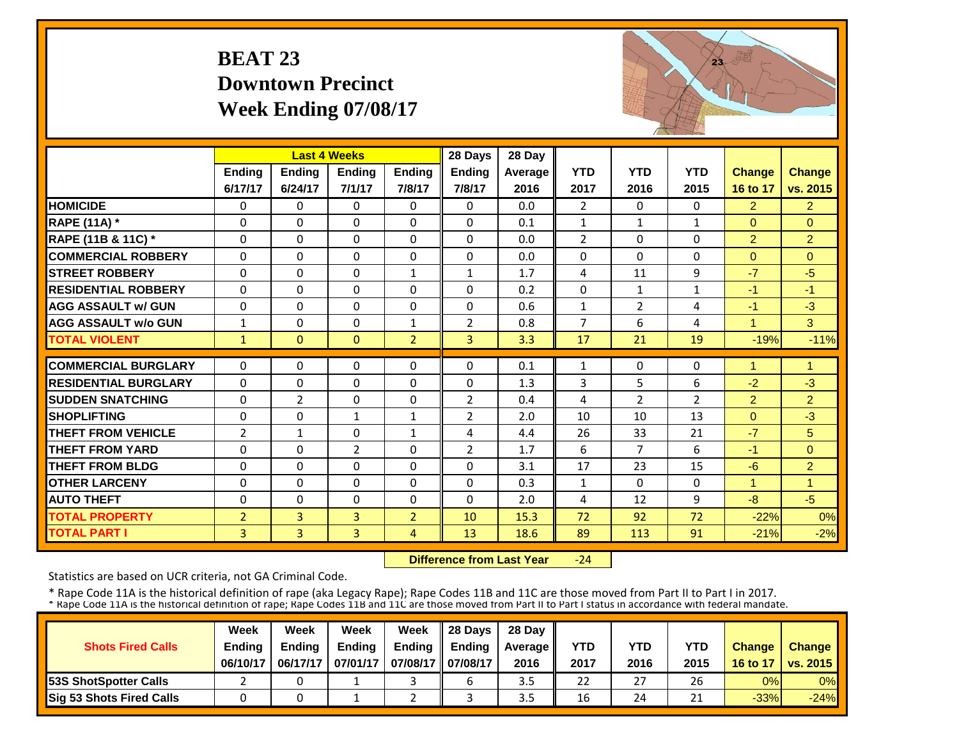# **BEAT 23 Downtown PrecinctWeek Ending 07/08/17**



|                             |                | <b>Last 4 Weeks</b> |                |                | 28 Days        | 28 Day  |                |                |                |                |                |
|-----------------------------|----------------|---------------------|----------------|----------------|----------------|---------|----------------|----------------|----------------|----------------|----------------|
|                             | Ending         | <b>Ending</b>       | <b>Ending</b>  | <b>Endina</b>  | <b>Ending</b>  | Average | <b>YTD</b>     | <b>YTD</b>     | <b>YTD</b>     | <b>Change</b>  | <b>Change</b>  |
|                             | 6/17/17        | 6/24/17             | 7/1/17         | 7/8/17         | 7/8/17         | 2016    | 2017           | 2016           | 2015           | 16 to 17       | vs. 2015       |
| <b>HOMICIDE</b>             | $\Omega$       | $\Omega$            | $\Omega$       | $\Omega$       | $\Omega$       | 0.0     | $\overline{2}$ | $\Omega$       | 0              | $\overline{2}$ | $\overline{2}$ |
| <b>RAPE (11A) *</b>         | $\Omega$       | $\Omega$            | $\Omega$       | $\Omega$       | $\Omega$       | 0.1     | $\mathbf{1}$   | $\mathbf{1}$   | $\mathbf{1}$   | $\Omega$       | $\Omega$       |
| RAPE (11B & 11C) *          | $\Omega$       | $\Omega$            | $\Omega$       | $\Omega$       | 0              | 0.0     | $\overline{2}$ | $\Omega$       | 0              | $\overline{2}$ | $\overline{2}$ |
| <b>COMMERCIAL ROBBERY</b>   | $\mathbf 0$    | $\Omega$            | $\Omega$       | $\Omega$       | 0              | 0.0     | $\Omega$       | $\Omega$       | 0              | $\overline{0}$ | $\mathbf{0}$   |
| <b>STREET ROBBERY</b>       | $\Omega$       | $\Omega$            | $\Omega$       | $\mathbf{1}$   | $\mathbf{1}$   | 1.7     | 4              | 11             | 9              | $-7$           | $-5$           |
| <b>RESIDENTIAL ROBBERY</b>  | $\Omega$       | $\Omega$            | $\Omega$       | $\Omega$       | $\Omega$       | 0.2     | $\Omega$       | $\mathbf{1}$   | 1              | $-1$           | $-1$           |
| <b>AGG ASSAULT w/ GUN</b>   | $\Omega$       | $\Omega$            | $\Omega$       | 0              | 0              | 0.6     | $\mathbf{1}$   | $\overline{2}$ | 4              | $-1$           | $-3$           |
| <b>AGG ASSAULT w/o GUN</b>  | $\mathbf{1}$   | $\Omega$            | $\Omega$       | $\mathbf{1}$   | $\overline{2}$ | 0.8     | $\overline{7}$ | 6              | 4              | 1              | 3              |
| <b>TOTAL VIOLENT</b>        | $\mathbf{1}$   | $\mathbf{0}$        | $\Omega$       | $\overline{2}$ | $\overline{3}$ | 3.3     | 17             | 21             | 19             | $-19%$         | $-11%$         |
| <b>COMMERCIAL BURGLARY</b>  | $\Omega$       | $\Omega$            | $\Omega$       | 0              | 0              | 0.1     | $\mathbf{1}$   | $\Omega$       | 0              |                | 1              |
| <b>RESIDENTIAL BURGLARY</b> | $\Omega$       | $\Omega$            | $\Omega$       | $\Omega$       | $\Omega$       | 1.3     | 3              | 5              | 6              | $-2$           | $-3$           |
| <b>ISUDDEN SNATCHING</b>    | $\Omega$       | $\overline{2}$      | $\Omega$       | 0              | $\overline{2}$ | 0.4     | 4              | $\overline{2}$ | $\overline{2}$ | $\overline{2}$ | $\overline{2}$ |
| <b>SHOPLIFTING</b>          | $\Omega$       | $\Omega$            | 1              | $\mathbf{1}$   | $\overline{2}$ | 2.0     | 10             | 10             | 13             | $\Omega$       | $-3$           |
| <b>THEFT FROM VEHICLE</b>   | $\overline{2}$ | $\mathbf{1}$        | $\Omega$       | $\mathbf{1}$   | 4              | 4.4     | 26             | 33             | 21             | $-7$           | 5              |
| <b>THEFT FROM YARD</b>      | $\Omega$       | $\Omega$            | $\overline{2}$ | $\Omega$       | $\overline{2}$ | 1.7     | 6              | $\overline{7}$ | 6              | $-1$           | $\Omega$       |
| <b>THEFT FROM BLDG</b>      | $\Omega$       | $\Omega$            | $\Omega$       | $\Omega$       | 0              | 3.1     | 17             | 23             | 15             | $-6$           | $\overline{2}$ |
| <b>OTHER LARCENY</b>        | $\Omega$       | $\Omega$            | $\Omega$       | 0              | 0              | 0.3     | 1              | $\Omega$       | 0              | 1              | $\overline{1}$ |
| <b>AUTO THEFT</b>           | $\Omega$       | $\Omega$            | $\Omega$       | $\Omega$       | $\Omega$       | 2.0     | 4              | 12             | 9              | $-8$           | $-5$           |
| <b>TOTAL PROPERTY</b>       | $\overline{2}$ | 3                   | 3              | $\overline{2}$ | 10             | 15.3    | 72             | 92             | 72             | $-22%$         | 0%             |
| <b>TOTAL PART I</b>         | 3              | $\overline{3}$      | $\overline{3}$ | 4              | 13             | 18.6    | 89             | 113            | 91             | $-21%$         | $-2%$          |

 **Difference from Last Year** $-24$ 

Statistics are based on UCR criteria, not GA Criminal Code.

|                               | Week          | Week          | Week          | Week          | $\parallel$ 28 Davs | 28 Day    |      |      |              |               |                     |
|-------------------------------|---------------|---------------|---------------|---------------|---------------------|-----------|------|------|--------------|---------------|---------------------|
| <b>Shots Fired Calls</b>      | <b>Ending</b> | <b>Ending</b> | <b>Ending</b> | <b>Ending</b> | <b>Ending</b>       | Average I | YTD  | YTD  | YTD          | <b>Change</b> | <b>Change</b>       |
|                               | 06/10/17      | 06/17/17      | 07/01/17      | 07/08/17 $\ $ | 07/08/17            | 2016      | 2017 | 2016 | 2015         |               | 16 to 17   vs. 2015 |
| <b>153S ShotSpotter Calls</b> |               |               |               |               |                     | 3.5       | 22   | 27   | 26           | 0%            | $0\%$               |
| Sig 53 Shots Fired Calls      |               |               |               |               |                     | 3.5       | 16   | 24   | $\mathbf{A}$ | $-33%$        | $-24%$              |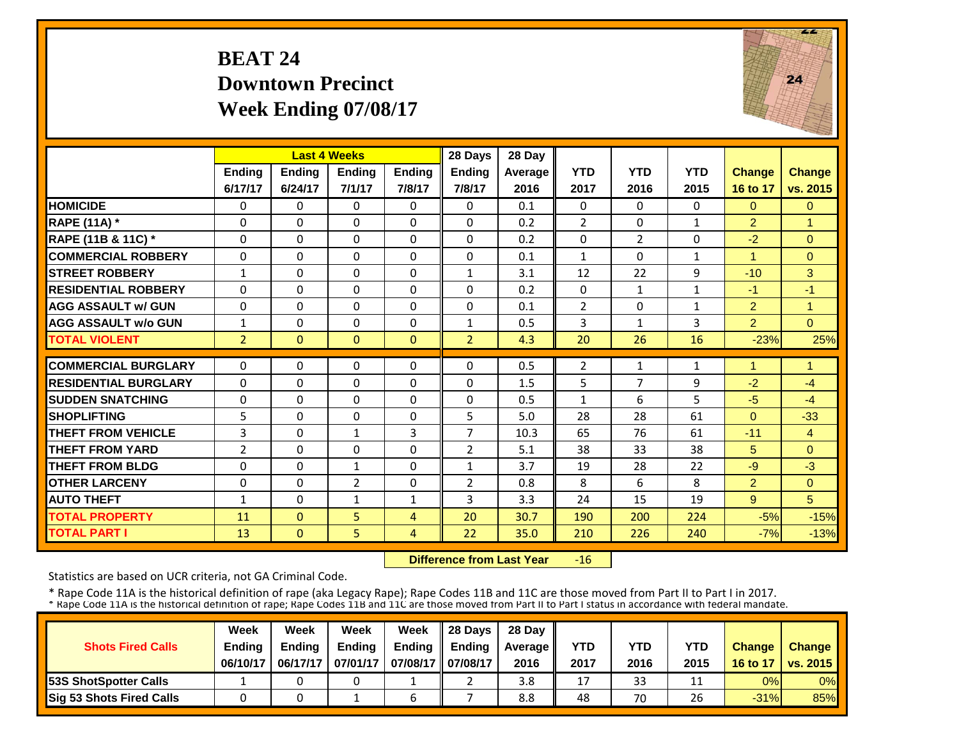## **BEAT 24 Downtown PrecinctWeek Ending 07/08/17**



|                             |                | <b>Last 4 Weeks</b> |                |                | 28 Days        | 28 Day  |                |                |              |                |                |
|-----------------------------|----------------|---------------------|----------------|----------------|----------------|---------|----------------|----------------|--------------|----------------|----------------|
|                             | <b>Ending</b>  | <b>Ending</b>       | <b>Endina</b>  | <b>Endina</b>  | <b>Ending</b>  | Average | <b>YTD</b>     | <b>YTD</b>     | <b>YTD</b>   | <b>Change</b>  | Change         |
|                             | 6/17/17        | 6/24/17             | 7/1/17         | 7/8/17         | 7/8/17         | 2016    | 2017           | 2016           | 2015         | 16 to 17       | vs. 2015       |
| <b>HOMICIDE</b>             | 0              | $\Omega$            | $\Omega$       | $\Omega$       | $\Omega$       | 0.1     | $\Omega$       | $\Omega$       | 0            | $\mathbf{0}$   | $\Omega$       |
| <b>RAPE (11A) *</b>         | $\Omega$       | $\Omega$            | $\Omega$       | $\Omega$       | $\Omega$       | 0.2     | $\overline{2}$ | $\Omega$       | 1            | $\overline{2}$ | $\overline{1}$ |
| RAPE (11B & 11C) *          | $\Omega$       | $\Omega$            | $\Omega$       | $\Omega$       | $\Omega$       | 0.2     | $\Omega$       | $\overline{2}$ | 0            | $-2$           | $\Omega$       |
| <b>COMMERCIAL ROBBERY</b>   | $\Omega$       | $\Omega$            | $\Omega$       | $\Omega$       | $\Omega$       | 0.1     | $\mathbf{1}$   | $\Omega$       | $\mathbf{1}$ | 4              | $\Omega$       |
| <b>STREET ROBBERY</b>       | $\mathbf{1}$   | $\Omega$            | $\Omega$       | $\Omega$       | 1              | 3.1     | 12             | 22             | 9            | $-10$          | 3              |
| <b>RESIDENTIAL ROBBERY</b>  | $\Omega$       | $\Omega$            | $\Omega$       | $\Omega$       | 0              | 0.2     | $\Omega$       | 1              | 1            | $-1$           | $-1$           |
| <b>AGG ASSAULT w/ GUN</b>   | $\Omega$       | $\Omega$            | $\Omega$       | 0              | $\Omega$       | 0.1     | $\overline{2}$ | $\Omega$       | 1            | $\overline{2}$ | $\overline{1}$ |
| <b>AGG ASSAULT w/o GUN</b>  | 1              | $\Omega$            | $\Omega$       | $\Omega$       | $\mathbf{1}$   | 0.5     | 3              | 1              | 3            | $\overline{2}$ | $\Omega$       |
| <b>TOTAL VIOLENT</b>        | $\overline{2}$ | $\overline{0}$      | $\Omega$       | $\Omega$       | $\overline{2}$ | 4.3     | 20             | 26             | 16           | $-23%$         | 25%            |
| <b>COMMERCIAL BURGLARY</b>  | $\Omega$       | 0                   | 0              | 0              | 0              | 0.5     | $\overline{2}$ | 1              | 1            |                | 1              |
| <b>RESIDENTIAL BURGLARY</b> | $\Omega$       | $\Omega$            | $\Omega$       | $\Omega$       | 0              | 1.5     | 5              | 7              | 9            | $-2$           | $-4$           |
| <b>SUDDEN SNATCHING</b>     | $\Omega$       | $\Omega$            | $\Omega$       | 0              | $\Omega$       | 0.5     | 1              | 6              | 5.           | $-5$           | $-4$           |
| <b>SHOPLIFTING</b>          | 5              | $\Omega$            | $\Omega$       | $\Omega$       | 5              | 5.0     | 28             | 28             | 61           | $\Omega$       | $-33$          |
| <b>THEFT FROM VEHICLE</b>   | 3              | $\Omega$            | 1              | 3              | $\overline{7}$ | 10.3    | 65             | 76             | 61           | $-11$          | 4              |
| <b>THEFT FROM YARD</b>      | $\overline{2}$ | $\Omega$            | $\Omega$       | $\Omega$       | $\overline{2}$ | 5.1     | 38             | 33             | 38           | 5              | $\Omega$       |
| <b>THEFT FROM BLDG</b>      | $\Omega$       | $\Omega$            | $\mathbf{1}$   | $\Omega$       | $\mathbf{1}$   | 3.7     | 19             | 28             | 22           | $-9$           | $-3$           |
| <b>OTHER LARCENY</b>        | $\Omega$       | $\Omega$            | $\overline{2}$ | $\Omega$       | $\overline{2}$ | 0.8     | 8              | 6              | 8            | 2              | $\Omega$       |
| <b>AUTO THEFT</b>           | $\mathbf{1}$   | $\Omega$            | $\mathbf{1}$   | $\mathbf{1}$   | 3              | 3.3     | 24             | 15             | 19           | 9              | 5              |
| <b>TOTAL PROPERTY</b>       | 11             | $\Omega$            | 5              | $\overline{4}$ | 20             | 30.7    | 190            | 200            | 224          | $-5%$          | $-15%$         |
| <b>TOTAL PART I</b>         | 13             | $\Omega$            | 5              | $\overline{4}$ | 22             | 35.0    | 210            | 226            | 240          | $-7%$          | $-13%$         |

 **Difference from Last Year** $-16$ 

Statistics are based on UCR criteria, not GA Criminal Code.

|                               | Week          | Week          | Week          | Week              | $\parallel$ 28 Davs | 28 Day    |      |      |            |               |                     |
|-------------------------------|---------------|---------------|---------------|-------------------|---------------------|-----------|------|------|------------|---------------|---------------------|
| <b>Shots Fired Calls</b>      | <b>Ending</b> | <b>Ending</b> | <b>Ending</b> | <b>Ending</b>     | <b>Ending</b>       | Average I | YTD  | YTD  | <b>YTD</b> | <b>Change</b> | <b>Change</b>       |
|                               | 06/10/17      | 06/17/17      | 07/01/17      | 07/08/17 07/08/17 |                     | 2016      | 2017 | 2016 | 2015       |               | 16 to 17   vs. 2015 |
| <b>153S ShotSpotter Calls</b> |               |               |               |                   |                     | 3.8       | 17   | 33   |            | 0%            | $0\%$               |
| Sig 53 Shots Fired Calls      |               |               |               |                   |                     | 8.8       | 48   | 70   | 26         | $-31%$        | 85%                 |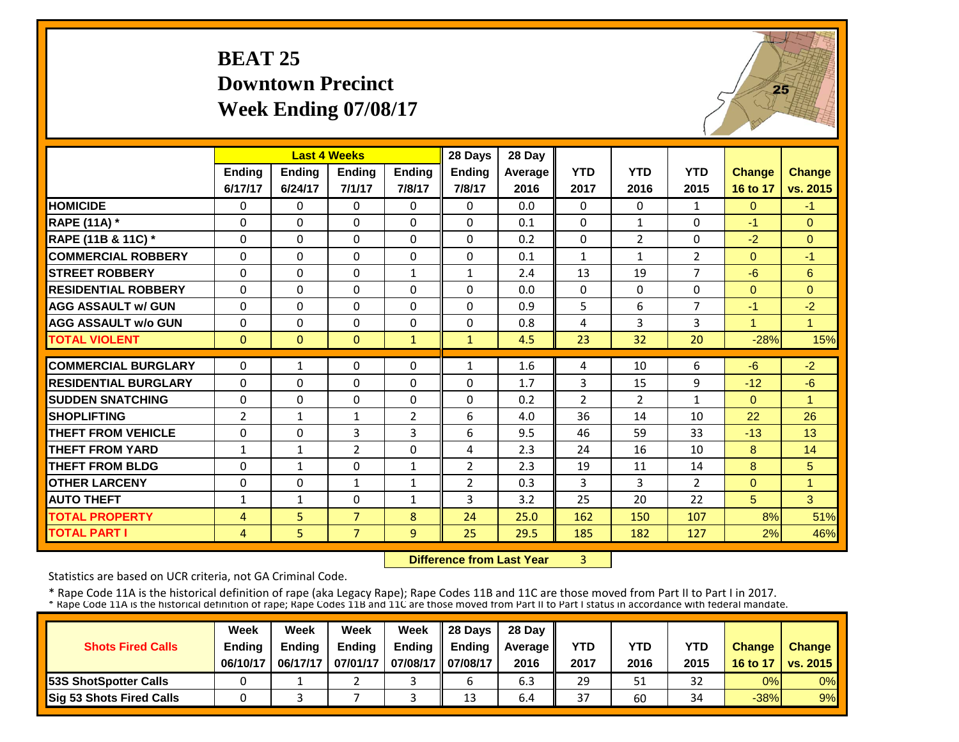# **BEAT 25 Downtown PrecinctWeek Ending 07/08/17**



|                             |                | <b>Last 4 Weeks</b> |                |                | 28 Days        | 28 Day  |                |                |                |               |                      |
|-----------------------------|----------------|---------------------|----------------|----------------|----------------|---------|----------------|----------------|----------------|---------------|----------------------|
|                             | Ending         | <b>Ending</b>       | <b>Endina</b>  | <b>Ending</b>  | Ending         | Average | <b>YTD</b>     | <b>YTD</b>     | <b>YTD</b>     | <b>Change</b> | <b>Change</b>        |
|                             | 6/17/17        | 6/24/17             | 7/1/17         | 7/8/17         | 7/8/17         | 2016    | 2017           | 2016           | 2015           | 16 to 17      | vs. 2015             |
| <b>HOMICIDE</b>             | $\Omega$       | $\Omega$            | $\Omega$       | $\Omega$       | $\Omega$       | 0.0     | $\Omega$       | $\Omega$       | $\mathbf{1}$   | $\Omega$      | $-1$                 |
| <b>RAPE (11A) *</b>         | $\Omega$       | $\Omega$            | $\Omega$       | $\Omega$       | $\Omega$       | 0.1     | $\Omega$       | $\mathbf{1}$   | 0              | $-1$          | $\Omega$             |
| RAPE (11B & 11C) *          | $\Omega$       | $\Omega$            | $\Omega$       | $\Omega$       | $\Omega$       | 0.2     | $\Omega$       | $\overline{2}$ | 0              | $-2$          | $\Omega$             |
| <b>COMMERCIAL ROBBERY</b>   | $\mathbf{0}$   | $\Omega$            | $\Omega$       | $\Omega$       | 0              | 0.1     | $\mathbf{1}$   | $\mathbf{1}$   | $\overline{2}$ | $\Omega$      | $-1$                 |
| <b>STREET ROBBERY</b>       | $\Omega$       | $\Omega$            | $\Omega$       | $\mathbf{1}$   | $\mathbf{1}$   | 2.4     | 13             | 19             | $\overline{7}$ | $-6$          | 6                    |
| <b>RESIDENTIAL ROBBERY</b>  | $\Omega$       | $\Omega$            | $\Omega$       | $\Omega$       | $\Omega$       | 0.0     | $\Omega$       | $\Omega$       | 0              | $\Omega$      | $\Omega$             |
| <b>AGG ASSAULT w/ GUN</b>   | $\Omega$       | $\Omega$            | $\Omega$       | $\Omega$       | $\Omega$       | 0.9     | 5              | 6              | 7              | $-1$          | $-2$                 |
| <b>AGG ASSAULT w/o GUN</b>  | $\Omega$       | $\Omega$            | $\Omega$       | $\Omega$       | 0              | 0.8     | 4              | 3              | 3              | 1             | $\overline{1}$       |
| <b>TOTAL VIOLENT</b>        | $\mathbf{0}$   | $\Omega$            | $\mathbf{0}$   | $\mathbf{1}$   | $\mathbf{1}$   | 4.5     | 23             | 32             | 20             | $-28%$        | 15%                  |
|                             |                |                     |                |                |                |         |                |                |                |               |                      |
| <b>COMMERCIAL BURGLARY</b>  | $\Omega$       | $\mathbf{1}$        | $\Omega$       | 0              | $\mathbf{1}$   | 1.6     | 4              | 10             | 6              | $-6$          | $-2$                 |
| <b>RESIDENTIAL BURGLARY</b> | $\mathbf 0$    | $\Omega$            | $\Omega$       | 0              | $\Omega$       | 1.7     | 3              | 15             | 9              | $-12$         | $-6$                 |
| <b>ISUDDEN SNATCHING</b>    | $\Omega$       | $\Omega$            | $\Omega$       | 0              | 0              | 0.2     | $\overline{2}$ | $\overline{2}$ | $\mathbf{1}$   | $\Omega$      | $\blacktriangleleft$ |
| <b>SHOPLIFTING</b>          | $\overline{2}$ | $\mathbf{1}$        | 1              | $\overline{2}$ | 6              | 4.0     | 36             | 14             | 10             | 22            | 26                   |
| <b>THEFT FROM VEHICLE</b>   | $\Omega$       | $\Omega$            | 3              | 3              | 6              | 9.5     | 46             | 59             | 33             | $-13$         | 13                   |
| <b>THEFT FROM YARD</b>      | $\mathbf{1}$   | $\mathbf{1}$        | 2              | $\Omega$       | 4              | 2.3     | 24             | 16             | 10             | 8             | 14                   |
| <b>THEFT FROM BLDG</b>      | 0              | $\mathbf{1}$        | $\Omega$       | 1              | $\overline{2}$ | 2.3     | 19             | 11             | 14             | 8             | 5                    |
| <b>OTHER LARCENY</b>        | 0              | $\Omega$            | $\mathbf{1}$   | 1              | $\overline{2}$ | 0.3     | 3              | 3              | $\overline{2}$ | $\mathbf{0}$  | $\overline{1}$       |
| <b>AUTO THEFT</b>           | 1              | 1                   | $\Omega$       | 1              | 3              | 3.2     | 25             | 20             | 22             | 5             | 3                    |
| <b>TOTAL PROPERTY</b>       | $\overline{4}$ | 5                   | $\overline{7}$ | 8              | 24             | 25.0    | 162            | 150            | 107            | 8%            | 51%                  |
| <b>TOTAL PART I</b>         | $\overline{4}$ | 5.                  | $\overline{7}$ | 9              | 25             | 29.5    | 185            | 182            | 127            | 2%            | 46%                  |

 **Difference from Last Year**3

Statistics are based on UCR criteria, not GA Criminal Code.

|                               | Week          | Week          | Week          | Week          | $\parallel$ 28 Davs | 28 Day    |      |      |      |               |                     |
|-------------------------------|---------------|---------------|---------------|---------------|---------------------|-----------|------|------|------|---------------|---------------------|
| <b>Shots Fired Calls</b>      | <b>Ending</b> | <b>Ending</b> | <b>Ending</b> | <b>Ending</b> | <b>Ending</b>       | Average I | YTD  | YTD  | YTD  | <b>Change</b> | <b>Change</b>       |
|                               | 06/10/17      | 06/17/17      | 07/01/17      | 07/08/17 $\ $ | 07/08/17            | 2016      | 2017 | 2016 | 2015 |               | 16 to 17   vs. 2015 |
| <b>153S ShotSpotter Calls</b> |               |               |               |               |                     | 6.3       | 29   | 51   | 32   | 0%            | $0\%$               |
| Sig 53 Shots Fired Calls      |               |               |               |               | 13                  | 6.4       | 37   | 60   | 34   | $-38%$        | 9%                  |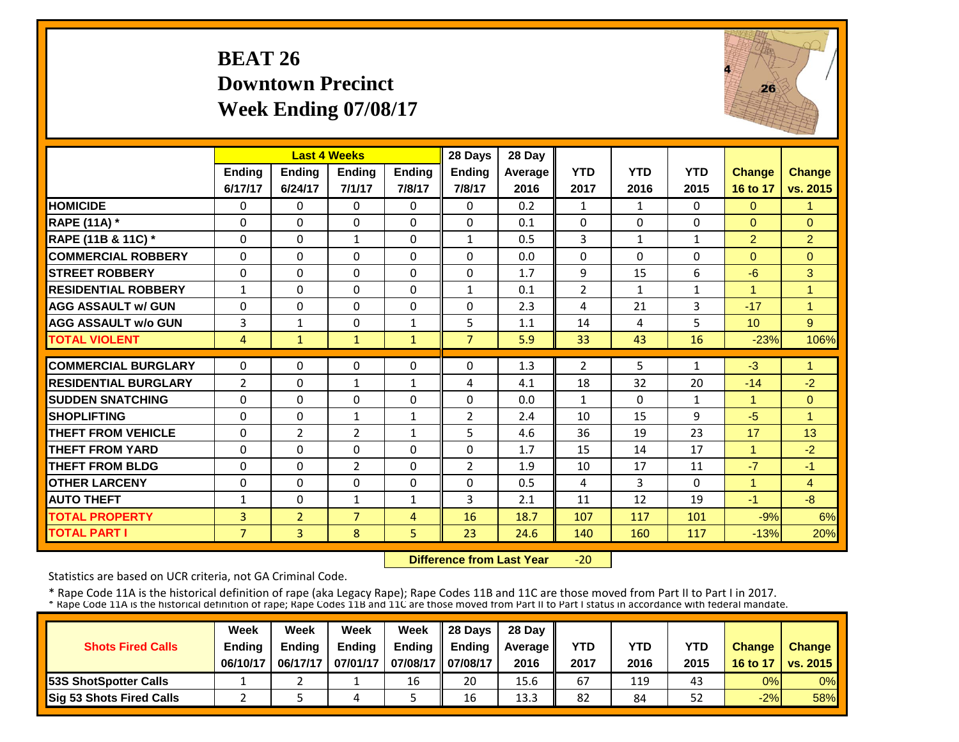#### **BEAT 26 Downtown PrecinctWeek Ending 07/08/17**



|                             |                | <b>Last 4 Weeks</b> |                |               | 28 Days        | 28 Day  |                |              |              |                 |                |
|-----------------------------|----------------|---------------------|----------------|---------------|----------------|---------|----------------|--------------|--------------|-----------------|----------------|
|                             | <b>Ending</b>  | <b>Ending</b>       | <b>Ending</b>  | <b>Endina</b> | <b>Ending</b>  | Average | <b>YTD</b>     | <b>YTD</b>   | <b>YTD</b>   | <b>Change</b>   | <b>Change</b>  |
|                             | 6/17/17        | 6/24/17             | 7/1/17         | 7/8/17        | 7/8/17         | 2016    | 2017           | 2016         | 2015         | 16 to 17        | vs. 2015       |
| <b>HOMICIDE</b>             | 0              | $\Omega$            | $\Omega$       | $\Omega$      | 0              | 0.2     | 1              | $\mathbf{1}$ | 0            | $\Omega$        | 1              |
| <b>RAPE (11A)</b> *         | $\Omega$       | $\Omega$            | $\Omega$       | $\Omega$      | 0              | 0.1     | $\Omega$       | $\Omega$     | 0            | $\Omega$        | $\Omega$       |
| RAPE (11B & 11C) *          | $\mathbf 0$    | $\Omega$            | $\mathbf{1}$   | $\Omega$      | $\mathbf{1}$   | 0.5     | $\overline{3}$ | $\mathbf{1}$ | $\mathbf{1}$ | $\overline{2}$  | $\overline{2}$ |
| <b>COMMERCIAL ROBBERY</b>   | $\Omega$       | $\Omega$            | $\Omega$       | $\Omega$      | 0              | 0.0     | $\Omega$       | $\Omega$     | 0            | $\Omega$        | $\Omega$       |
| <b>ISTREET ROBBERY</b>      | 0              | $\Omega$            | $\Omega$       | 0             | $\Omega$       | 1.7     | 9              | 15           | 6            | $-6$            | 3              |
| <b>RESIDENTIAL ROBBERY</b>  | $\mathbf{1}$   | $\Omega$            | $\Omega$       | 0             | $\mathbf{1}$   | 0.1     | $\overline{2}$ | $\mathbf{1}$ | $\mathbf{1}$ | $\overline{4}$  | $\overline{1}$ |
| <b>AGG ASSAULT w/ GUN</b>   | $\Omega$       | $\Omega$            | $\Omega$       | $\Omega$      | $\Omega$       | 2.3     | 4              | 21           | 3            | $-17$           | $\overline{1}$ |
| <b>AGG ASSAULT w/o GUN</b>  | 3              | $\mathbf{1}$        | $\Omega$       | $\mathbf{1}$  | 5              | 1.1     | 14             | 4            | 5            | 10 <sup>°</sup> | 9              |
| <b>TOTAL VIOLENT</b>        | $\overline{4}$ | $\mathbf{1}$        | $\mathbf{1}$   | $\mathbf{1}$  | $\overline{7}$ | 5.9     | 33             | 43           | 16           | $-23%$          | 106%           |
| <b>COMMERCIAL BURGLARY</b>  | $\Omega$       | $\Omega$            | $\Omega$       | $\Omega$      | 0              | 1.3     | $\overline{2}$ | 5.           | 1            | $-3$            | $\mathbf{1}$   |
| <b>RESIDENTIAL BURGLARY</b> | $\overline{2}$ | $\Omega$            | $\mathbf{1}$   | $\mathbf{1}$  | 4              | 4.1     | 18             | 32           | 20           | $-14$           | $-2$           |
| <b>SUDDEN SNATCHING</b>     | 0              | $\Omega$            | $\Omega$       | $\Omega$      | 0              | 0.0     | $\mathbf{1}$   | $\Omega$     | $\mathbf{1}$ | 1               | $\Omega$       |
| <b>SHOPLIFTING</b>          | 0              | $\Omega$            | $\mathbf{1}$   | $\mathbf{1}$  | $\overline{2}$ | 2.4     | 10             | 15           | 9            | $-5$            | $\overline{1}$ |
| <b>THEFT FROM VEHICLE</b>   | 0              | 2                   | 2              | 1             | 5              | 4.6     | 36             | 19           | 23           | 17              | 13             |
| <b>THEFT FROM YARD</b>      | 0              | $\Omega$            | 0              | $\Omega$      | 0              | 1.7     | 15             | 14           | 17           | 1               | $-2$           |
| <b>THEFT FROM BLDG</b>      | $\Omega$       | $\Omega$            | $\overline{2}$ | $\Omega$      | $\overline{2}$ | 1.9     | 10             | 17           | 11           | $-7$            | $-1$           |
| <b>OTHER LARCENY</b>        | $\Omega$       | $\Omega$            | $\Omega$       | 0             | 0              | 0.5     | 4              | 3            | 0            | 1               | $\overline{4}$ |
| <b>AUTO THEFT</b>           | $\mathbf{1}$   | $\Omega$            | $\mathbf{1}$   | $\mathbf{1}$  | 3              | 2.1     | 11             | 12           | 19           | $-1$            | $-8$           |
| <b>TOTAL PROPERTY</b>       | 3              | $\overline{2}$      | $\overline{7}$ | 4             | 16             | 18.7    | 107            | 117          | 101          | $-9%$           | 6%             |
| <b>TOTAL PART I</b>         | $\overline{7}$ | $\overline{3}$      | 8              | 5             | 23             | 24.6    | 140            | 160          | 117          | $-13%$          | 20%            |

 **Difference from Last Year** $-20$ 

Statistics are based on UCR criteria, not GA Criminal Code.

|                               | Week          | Week          | Week          | Week          | $\parallel$ 28 Davs | 28 Day    |      |      |      |               |                     |
|-------------------------------|---------------|---------------|---------------|---------------|---------------------|-----------|------|------|------|---------------|---------------------|
| <b>Shots Fired Calls</b>      | <b>Ending</b> | <b>Ending</b> | <b>Ending</b> | <b>Ending</b> | <b>Ending</b>       | Average I | YTD  | YTD  | YTD  | <b>Change</b> | <b>Change</b>       |
|                               | 06/10/17      | 06/17/17      | 07/01/17      | 07/08/17      | 07/08/17            | 2016      | 2017 | 2016 | 2015 |               | 16 to 17   vs. 2015 |
| <b>153S ShotSpotter Calls</b> |               |               |               | 16            | 20                  | 15.6      | 67   | 119  | 43   | 0%            | $0\%$               |
| Sig 53 Shots Fired Calls      |               |               |               |               | 16                  | 13.3      | 82   | 84   | 52   | $-2%$         | <b>58%</b>          |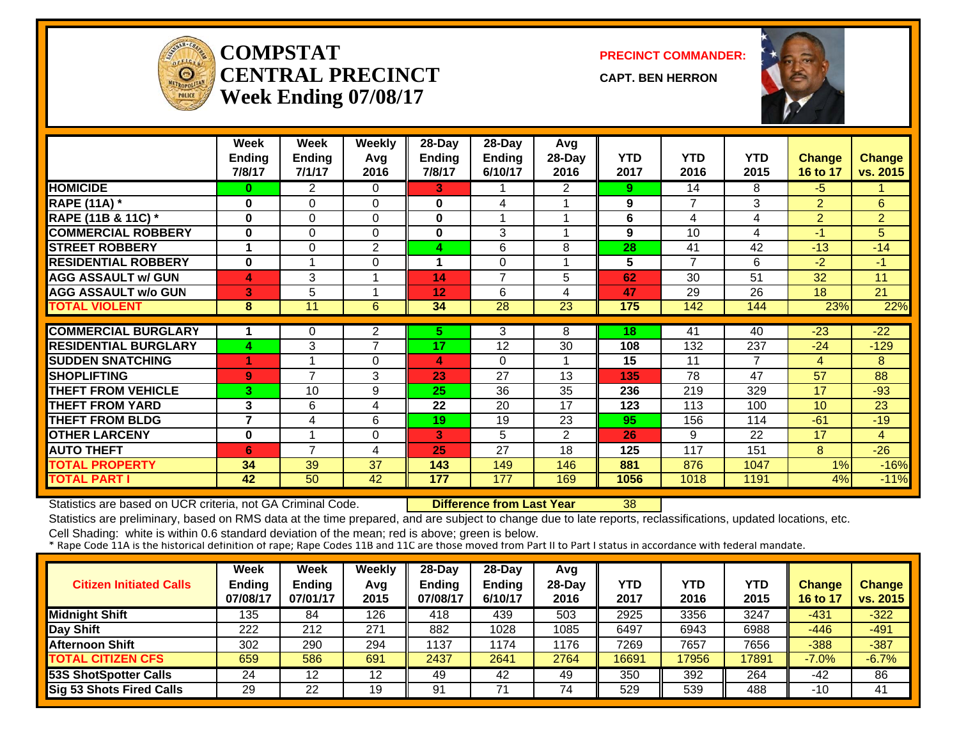

#### **COMPSTATCENTRAL PRECINCTWeek Ending 07/08/17**

**PRECINCT COMMANDER:**

**CAPT. BEN HERRON**



|                             | Week<br>Ending<br>7/8/17 | Week<br><b>Ending</b><br>7/1/17 | <b>Weekly</b><br>Avg<br>2016 | 28-Day<br>Ending<br>7/8/17 | 28-Day<br>Ending<br>6/10/17 | Avg<br>28-Day<br>2016 | YTD<br>2017 | <b>YTD</b><br>2016 | <b>YTD</b><br>2015 | <b>Change</b><br>16 to 17 | <b>Change</b><br>vs. 2015 |
|-----------------------------|--------------------------|---------------------------------|------------------------------|----------------------------|-----------------------------|-----------------------|-------------|--------------------|--------------------|---------------------------|---------------------------|
| <b>HOMICIDE</b>             | $\bf{0}$                 | $\overline{2}$                  | 0                            | 3.                         |                             | $\overline{2}$        | 9           | 14                 | 8                  | $-5$                      |                           |
| <b>RAPE (11A) *</b>         | 0                        | $\Omega$                        | $\Omega$                     | $\bf{0}$                   | 4                           |                       | 9           | $\overline{7}$     | 3                  | $\overline{2}$            | 6                         |
| RAPE (11B & 11C) *          | 0                        | 0                               | $\Omega$                     | $\bf{0}$                   |                             |                       | 6           | 4                  | 4                  | $\overline{2}$            | $\overline{2}$            |
| <b>COMMERCIAL ROBBERY</b>   | $\bf{0}$                 | 0                               | $\Omega$                     | $\bf{0}$                   | 3                           |                       | 9           | 10                 | 4                  | $-1$                      | 5                         |
| <b>STREET ROBBERY</b>       | 1                        | 0                               | $\overline{2}$               | 4                          | 6                           | 8                     | 28          | 41                 | 42                 | $-13$                     | $-14$                     |
| <b>RESIDENTIAL ROBBERY</b>  | $\bf{0}$                 |                                 | $\Omega$                     |                            | $\Omega$                    |                       | 5           | $\overline{7}$     | 6                  | $-2$                      | $-1$                      |
| <b>AGG ASSAULT w/ GUN</b>   | 4                        | 3                               |                              | 14                         | $\overline{7}$              | 5                     | 62          | 30                 | 51                 | 32                        | 11                        |
| <b>AGG ASSAULT w/o GUN</b>  | 3                        | 5                               |                              | $12 \,$                    | 6                           | 4                     | 47          | 29                 | 26                 | 18                        | $\overline{21}$           |
| <b>TOTAL VIOLENT</b>        | 8                        | 11                              | 6                            | 34                         | 28                          | 23                    | 175         | 142                | 144                | 23%                       | 22%                       |
|                             |                          |                                 |                              |                            |                             |                       |             |                    |                    |                           |                           |
| <b>COMMERCIAL BURGLARY</b>  |                          | 0                               | 2                            | 5.                         | 3                           | 8                     | 18          | 41                 | 40                 | $-23$                     | $-22$                     |
| <b>RESIDENTIAL BURGLARY</b> | 4                        | 3                               | 7                            | 17                         | 12                          | 30                    | 108         | 132                | 237                | $-24$                     | $-129$                    |
| <b>SUDDEN SNATCHING</b>     |                          |                                 | $\Omega$                     | 4                          | $\Omega$                    |                       | 15          | 11                 | 7                  | 4                         | 8                         |
| <b>SHOPLIFTING</b>          | 9                        | $\overline{\phantom{a}}$        | 3                            | 23                         | 27                          | 13                    | 135         | 78                 | 47                 | 57                        | 88                        |
| <b>THEFT FROM VEHICLE</b>   | 3                        | 10                              | 9                            | 25                         | 36                          | 35                    | 236         | 219                | 329                | 17                        | $-93$                     |
| <b>THEFT FROM YARD</b>      | 3                        | 6                               | 4                            | 22                         | 20                          | 17                    | 123         | 113                | 100                | 10 <sup>°</sup>           | 23                        |
| <b>THEFT FROM BLDG</b>      | $\overline{7}$           | 4                               | 6                            | 19                         | 19                          | 23                    | 95          | 156                | 114                | $-61$                     | $-19$                     |
| <b>OTHER LARCENY</b>        | $\bf{0}$                 |                                 | 0                            | 3                          | 5                           | $\overline{2}$        | 26          | 9                  | 22                 | 17                        | $\overline{4}$            |
| <b>AUTO THEFT</b>           | 6                        | $\overline{7}$                  | 4                            | 25                         | 27                          | 18                    | 125         | 117                | 151                | 8                         | $-26$                     |
| <b>TOTAL PROPERTY</b>       | 34                       | 39                              | 37                           | 143                        | 149                         | 146                   | 881         | 876                | 1047               | 1%                        | $-16%$                    |
| <b>TOTAL PART I</b>         | 42                       | 50                              | 42                           | 177                        | 177                         | 169                   | 1056        | 1018               | 1191               | 4%                        | $-11%$                    |

Statistics are based on UCR criteria, not GA Criminal Code. **Difference from Last Year** 38

Statistics are preliminary, based on RMS data at the time prepared, and are subject to change due to late reports, reclassifications, updated locations, etc.

| <b>Citizen Initiated Calls</b>  | <b>Week</b><br><b>Ending</b><br>07/08/17 | Week<br><b>Ending</b><br>07/01/17 | Weekly<br>Avg<br>2015 | $28$ -Day<br>Ending<br>07/08/17 | $28-Dav$<br><b>Ending</b><br>6/10/17 | Avg<br>$28-Day$<br>2016 | YTD<br>2017 | YTD<br>2016 | <b>YTD</b><br>2015 | <b>Change</b><br>16 to 17 | <b>Change</b><br>vs. 2015 |
|---------------------------------|------------------------------------------|-----------------------------------|-----------------------|---------------------------------|--------------------------------------|-------------------------|-------------|-------------|--------------------|---------------------------|---------------------------|
| <b>Midnight Shift</b>           | 135                                      | 84                                | 126                   | 418                             | 439                                  | 503                     | 2925        | 3356        | 3247               | -431                      | $-322$                    |
| Day Shift                       | 222                                      | 212                               | 271                   | 882                             | 1028                                 | 1085                    | 6497        | 6943        | 6988               | -446                      | $-491$                    |
| <b>Afternoon Shift</b>          | 302                                      | 290                               | 294                   | 1137                            | 1174                                 | 1176                    | 7269        | 7657        | 7656               | $-388$                    | $-387$                    |
| <b>TOTAL CITIZEN CFS</b>        | 659                                      | 586                               | 691                   | 2437                            | 2641                                 | 2764                    | 16691       | 7956        | 17891              | $-7.0%$                   | $-6.7%$                   |
| 53S ShotSpotter Calls           | 24                                       | 12                                | 12                    | 49                              | 42                                   | 49                      | 350         | 392         | 264                | $-42$                     | 86                        |
| <b>Sig 53 Shots Fired Calls</b> | 29                                       | າາ<br>∠∠                          | 19                    | 91                              | 71                                   | 74                      | 529         | 539         | 488                | -10                       | 41                        |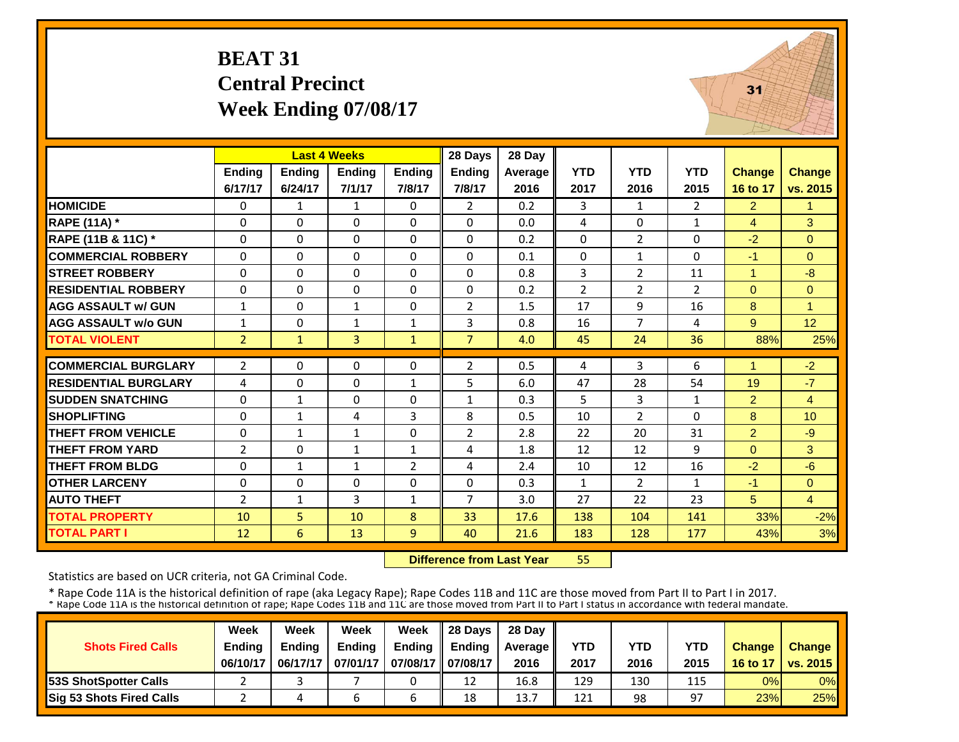# **BEAT 31 Central Precinct Week Ending 07/08/17**



|                             |                | <b>Last 4 Weeks</b> |               |                | 28 Days        | 28 Day  |                |                |                |                |                |
|-----------------------------|----------------|---------------------|---------------|----------------|----------------|---------|----------------|----------------|----------------|----------------|----------------|
|                             | <b>Ending</b>  | <b>Ending</b>       | <b>Endina</b> | <b>Ending</b>  | <b>Endina</b>  | Average | <b>YTD</b>     | <b>YTD</b>     | <b>YTD</b>     | <b>Change</b>  | <b>Change</b>  |
|                             | 6/17/17        | 6/24/17             | 7/1/17        | 7/8/17         | 7/8/17         | 2016    | 2017           | 2016           | 2015           | 16 to 17       | vs. 2015       |
| <b>HOMICIDE</b>             | $\mathbf{0}$   | $\mathbf{1}$        | 1             | 0              | $\overline{2}$ | 0.2     | 3              | $\mathbf{1}$   | $\mathbf{2}$   | $\overline{2}$ | $\mathbf 1$    |
| <b>RAPE (11A) *</b>         | $\Omega$       | $\Omega$            | $\Omega$      | $\Omega$       | $\Omega$       | 0.0     | 4              | $\Omega$       | $\mathbf{1}$   | $\overline{4}$ | 3              |
| RAPE (11B & 11C) *          | $\Omega$       | $\Omega$            | $\Omega$      | $\Omega$       | $\Omega$       | 0.2     | $\Omega$       | $\overline{2}$ | $\Omega$       | $-2$           | $\Omega$       |
| <b>COMMERCIAL ROBBERY</b>   | $\Omega$       | $\Omega$            | $\Omega$      | $\Omega$       | $\Omega$       | 0.1     | $\Omega$       | $\mathbf{1}$   | $\Omega$       | $-1$           | $\Omega$       |
| <b>STREET ROBBERY</b>       | $\Omega$       | $\Omega$            | $\Omega$      | $\Omega$       | $\Omega$       | 0.8     | 3              | $\overline{2}$ | 11             | $\mathbf{1}$   | $-8$           |
| <b>RESIDENTIAL ROBBERY</b>  | 0              | $\Omega$            | $\Omega$      | 0              | $\Omega$       | 0.2     | $\overline{2}$ | $\overline{2}$ | $\overline{2}$ | $\Omega$       | $\mathbf{0}$   |
| <b>AGG ASSAULT w/ GUN</b>   | $\mathbf{1}$   | $\Omega$            | $\mathbf{1}$  | $\Omega$       | $\overline{2}$ | 1.5     | 17             | 9              | 16             | 8              | $\overline{1}$ |
| <b>AGG ASSAULT w/o GUN</b>  | $\mathbf{1}$   | $\Omega$            | $\mathbf{1}$  | $\mathbf{1}$   | 3              | 0.8     | 16             | $\overline{7}$ | 4              | 9              | 12             |
| <b>TOTAL VIOLENT</b>        | $\overline{2}$ | $\mathbf{1}$        | 3             | $\mathbf{1}$   | $\overline{7}$ | 4.0     | 45             | 24             | 36             | 88%            | 25%            |
| <b>COMMERCIAL BURGLARY</b>  | $\overline{2}$ | $\Omega$            | $\Omega$      | 0              | $\overline{2}$ | 0.5     | 4              | 3              | 6              | 1              | $-2$           |
| <b>RESIDENTIAL BURGLARY</b> | 4              | $\Omega$            | $\Omega$      | $\mathbf{1}$   | 5              | 6.0     | 47             | 28             | 54             | 19             | $-7$           |
| <b>ISUDDEN SNATCHING</b>    | $\Omega$       | $\mathbf{1}$        | $\Omega$      | $\Omega$       | $\mathbf{1}$   | 0.3     | 5              | 3              | $\mathbf{1}$   | $\overline{2}$ | $\overline{4}$ |
| <b>SHOPLIFTING</b>          | $\Omega$       | $\mathbf{1}$        | 4             | 3              | 8              | 0.5     | 10             | $\overline{2}$ | 0              | 8              | 10             |
| <b>THEFT FROM VEHICLE</b>   | $\Omega$       | $\mathbf{1}$        | 1             | $\mathbf 0$    | $\overline{2}$ | 2.8     | 22             | 20             | 31             | $\overline{2}$ | $-9$           |
| <b>THEFT FROM YARD</b>      | $\overline{2}$ | $\Omega$            | $\mathbf{1}$  | $\mathbf{1}$   | 4              | 1.8     | 12             | 12             | 9              | $\Omega$       | 3              |
| <b>THEFT FROM BLDG</b>      | $\mathbf 0$    | $\mathbf{1}$        | $\mathbf{1}$  | $\overline{2}$ | 4              | 2.4     | 10             | 12             | 16             | $-2$           | $-6$           |
| <b>OTHER LARCENY</b>        | 0              | 0                   | $\Omega$      | 0              | 0              | 0.3     | $\mathbf{1}$   | $\overline{2}$ | $\mathbf{1}$   | $-1$           | $\Omega$       |
| <b>AUTO THEFT</b>           | 2              | $\mathbf{1}$        | 3             | $\mathbf{1}$   | 7              | 3.0     | 27             | 22             | 23             | 5              | $\overline{4}$ |
| <b>TOTAL PROPERTY</b>       | 10             |                     | 10            |                |                |         |                | 104            | 141            |                | $-2%$          |
|                             |                | 5                   |               | 8              | 33             | 17.6    | 138            |                |                | 33%            |                |
| <b>TOTAL PART I</b>         | 12             | 6                   | 13            | 9              | 40             | 21.6    | 183            | 128            | 177            | 43%            | 3%             |

 **Difference from Last Year**55

Statistics are based on UCR criteria, not GA Criminal Code.

|                               | Week          | Week          | Week          | Week          | $\parallel$ 28 Davs | 28 Day    |      |      |            |               |                     |
|-------------------------------|---------------|---------------|---------------|---------------|---------------------|-----------|------|------|------------|---------------|---------------------|
| <b>Shots Fired Calls</b>      | <b>Ending</b> | <b>Ending</b> | <b>Ending</b> | <b>Ending</b> | <b>Ending</b>       | Average I | YTD  | YTD  | <b>YTD</b> | <b>Change</b> | <b>Change</b>       |
|                               | 06/10/17      | 06/17/17      | 07/01/17      | 07/08/17      | 07/08/17            | 2016      | 2017 | 2016 | 2015       |               | 16 to 17   vs. 2015 |
| <b>153S ShotSpotter Calls</b> |               |               |               |               | 12                  | 16.8      | 129  | 130  | 115        | 0%            | $0\%$               |
| Sig 53 Shots Fired Calls      |               |               |               |               | 18                  | 13.7      | 121  | 98   | 97         | 23%           | 25%                 |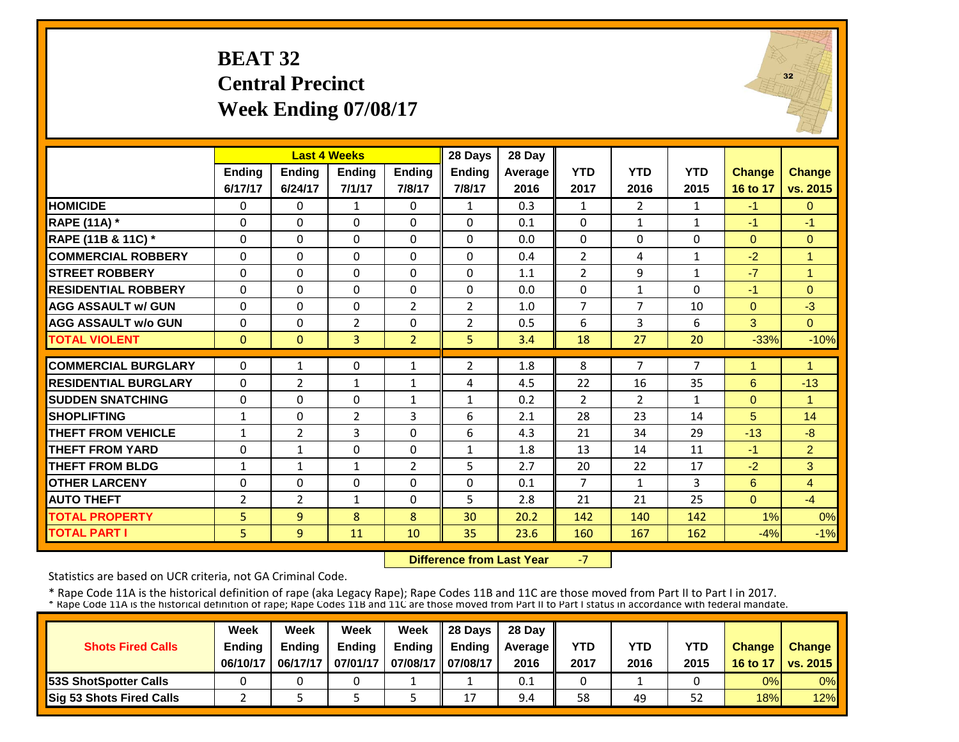# **BEAT 32 Central Precinct Week Ending 07/08/17**



|                             |                | <b>Last 4 Weeks</b> |                |                | 28 Days        | 28 Day  |                |                |              |               |                |
|-----------------------------|----------------|---------------------|----------------|----------------|----------------|---------|----------------|----------------|--------------|---------------|----------------|
|                             | Ending         | Ending              | <b>Ending</b>  | <b>Endina</b>  | Ending         | Average | <b>YTD</b>     | <b>YTD</b>     | <b>YTD</b>   | <b>Change</b> | <b>Change</b>  |
|                             | 6/17/17        | 6/24/17             | 7/1/17         | 7/8/17         | 7/8/17         | 2016    | 2017           | 2016           | 2015         | 16 to 17      | vs. 2015       |
| <b>HOMICIDE</b>             | $\Omega$       | $\Omega$            | $\mathbf{1}$   | $\Omega$       | $\mathbf{1}$   | 0.3     | 1              | $\overline{2}$ | $\mathbf{1}$ | $-1$          | $\Omega$       |
| <b>RAPE (11A) *</b>         | $\Omega$       | $\Omega$            | $\Omega$       | $\Omega$       | $\Omega$       | 0.1     | $\Omega$       | $\mathbf{1}$   | $\mathbf{1}$ | $-1$          | $-1$           |
| RAPE (11B & 11C) *          | $\Omega$       | $\Omega$            | $\Omega$       | $\Omega$       | $\Omega$       | 0.0     | $\Omega$       | $\Omega$       | 0            | $\Omega$      | $\mathbf{0}$   |
| <b>COMMERCIAL ROBBERY</b>   | $\Omega$       | $\Omega$            | $\Omega$       | $\Omega$       | $\Omega$       | 0.4     | $\overline{2}$ | 4              | $\mathbf{1}$ | $-2$          | $\overline{1}$ |
| <b>STREET ROBBERY</b>       | $\mathbf 0$    | $\Omega$            | $\Omega$       | $\Omega$       | $\Omega$       | 1.1     | $\overline{2}$ | 9              | $\mathbf{1}$ | $-7$          | $\overline{1}$ |
| <b>RESIDENTIAL ROBBERY</b>  | $\Omega$       | $\Omega$            | $\Omega$       | $\Omega$       | $\Omega$       | 0.0     | $\Omega$       | $\mathbf{1}$   | 0            | $-1$          | $\Omega$       |
| <b>AGG ASSAULT w/ GUN</b>   | $\Omega$       | $\Omega$            | $\Omega$       | $\overline{2}$ | $\overline{2}$ | 1.0     | $\overline{7}$ | $\overline{7}$ | 10           | $\Omega$      | $-3$           |
| <b>AGG ASSAULT w/o GUN</b>  | $\Omega$       | $\Omega$            | $\overline{2}$ | $\Omega$       | $\overline{2}$ | 0.5     | 6              | 3              | 6            | 3             | $\Omega$       |
| <b>TOTAL VIOLENT</b>        | $\mathbf{0}$   | $\Omega$            | $\overline{3}$ | $\overline{2}$ | 5              | 3.4     | 18             | 27             | 20           | $-33%$        | $-10%$         |
| <b>COMMERCIAL BURGLARY</b>  | $\Omega$       | 1                   | $\Omega$       | 1              | $\overline{2}$ | 1.8     | 8              | 7              | 7            | 1             | 1              |
| <b>RESIDENTIAL BURGLARY</b> | $\Omega$       | $\overline{2}$      | $\mathbf{1}$   | 1              | 4              | 4.5     | 22             | 16             | 35           | 6             | $-13$          |
| <b>ISUDDEN SNATCHING</b>    | 0              | $\Omega$            | $\Omega$       | $\mathbf{1}$   | $\mathbf{1}$   | 0.2     | $\overline{2}$ | $\overline{2}$ | $\mathbf{1}$ | $\Omega$      | 1              |
| <b>SHOPLIFTING</b>          | $\mathbf{1}$   | $\Omega$            | $\overline{2}$ | 3              | 6              | 2.1     | 28             | 23             | 14           | 5             | 14             |
| <b>THEFT FROM VEHICLE</b>   | $\mathbf{1}$   | $\overline{2}$      | $\overline{3}$ | $\Omega$       | 6              | 4.3     | 21             | 34             | 29           | $-13$         | $-8$           |
| <b>THEFT FROM YARD</b>      | $\Omega$       | $\mathbf{1}$        | $\Omega$       | $\Omega$       | 1              | 1.8     | 13             | 14             | 11           | $-1$          | 2 <sup>1</sup> |
| <b>THEFT FROM BLDG</b>      | $\mathbf{1}$   | 1                   | 1              | $\overline{2}$ | 5              | 2.7     | 20             | 22             | 17           | $-2$          | 3              |
| <b>OTHER LARCENY</b>        | 0              | $\Omega$            | $\Omega$       | $\Omega$       | $\Omega$       | 0.1     | $\overline{7}$ | 1              | 3            | 6             | $\overline{4}$ |
| <b>AUTO THEFT</b>           | $\overline{2}$ | 2                   | $\mathbf{1}$   | $\Omega$       | 5              | 2.8     | 21             | 21             | 25           | $\Omega$      | $-4$           |
| <b>TOTAL PROPERTY</b>       | 5              | 9                   | 8              | 8              | 30             | 20.2    | 142            | 140            | 142          | 1%            | 0%             |
| <b>TOTAL PART I</b>         | 5              | 9                   | 11             | 10             | 35             | 23.6    | 160            | 167            | 162          | $-4%$         | $-1%$          |
|                             |                |                     |                |                |                |         |                |                |              |               |                |

 **Difference from Last Year**‐7

Statistics are based on UCR criteria, not GA Criminal Code.

|                               | Week          | Week          | Week          | Week              | $\parallel$ 28 Davs | 28 Day    |      |      |            |               |                     |
|-------------------------------|---------------|---------------|---------------|-------------------|---------------------|-----------|------|------|------------|---------------|---------------------|
| <b>Shots Fired Calls</b>      | <b>Ending</b> | <b>Ending</b> | <b>Ending</b> | <b>Ending</b>     | <b>Ending</b>       | Average I | YTD  | YTD  | <b>YTD</b> | <b>Change</b> | <b>Change</b>       |
|                               | 06/10/17      | 06/17/17      | 07/01/17      | 07/08/17 07/08/17 |                     | 2016      | 2017 | 2016 | 2015       |               | 16 to 17   vs. 2015 |
| <b>153S ShotSpotter Calls</b> |               |               |               |                   |                     | 0.1       |      |      |            | 0%            | $0\%$               |
| Sig 53 Shots Fired Calls      |               |               |               |                   | ∸                   | 9.4       | 58   | 49   | 52         | 18%           | 12%                 |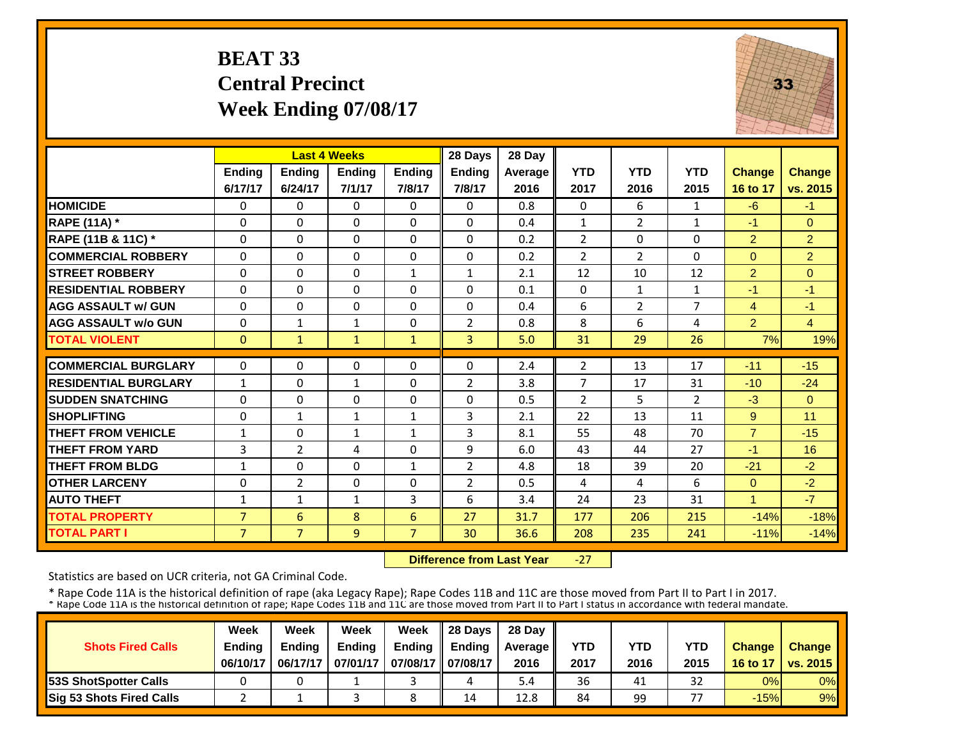# **BEAT 33 Central Precinct Week Ending 07/08/17**



|                             |                | <b>Last 4 Weeks</b> |               |                | 28 Days        | 28 Day  |                |                |                |                |                |
|-----------------------------|----------------|---------------------|---------------|----------------|----------------|---------|----------------|----------------|----------------|----------------|----------------|
|                             | Ending         | <b>Ending</b>       | <b>Ending</b> | <b>Ending</b>  | <b>Ending</b>  | Average | <b>YTD</b>     | <b>YTD</b>     | <b>YTD</b>     | <b>Change</b>  | <b>Change</b>  |
|                             | 6/17/17        | 6/24/17             | 7/1/17        | 7/8/17         | 7/8/17         | 2016    | 2017           | 2016           | 2015           | 16 to 17       | vs. 2015       |
| <b>HOMICIDE</b>             | 0              | 0                   | $\Omega$      | $\Omega$       | 0              | 0.8     | $\mathbf{0}$   | 6              | $\mathbf{1}$   | $-6$           | $-1$           |
| <b>RAPE (11A) *</b>         | $\Omega$       | $\Omega$            | $\Omega$      | $\Omega$       | $\Omega$       | 0.4     | $\mathbf{1}$   | $\overline{2}$ | $\mathbf{1}$   | $-1$           | $\Omega$       |
| RAPE (11B & 11C) *          | $\Omega$       | $\Omega$            | $\Omega$      | $\Omega$       | $\Omega$       | 0.2     | $\overline{2}$ | $\Omega$       | 0              | $\overline{2}$ | $\overline{2}$ |
| <b>COMMERCIAL ROBBERY</b>   | $\Omega$       | $\Omega$            | $\Omega$      | $\Omega$       | 0              | 0.2     | $\overline{2}$ | $\overline{2}$ | 0              | $\Omega$       | $\overline{2}$ |
| <b>STREET ROBBERY</b>       | 0              | $\Omega$            | 0             | $\mathbf{1}$   | 1              | 2.1     | 12             | 10             | 12             | $\overline{2}$ | $\mathbf{0}$   |
| <b>RESIDENTIAL ROBBERY</b>  | $\Omega$       | $\Omega$            | 0             | 0              | 0              | 0.1     | $\Omega$       | $\mathbf{1}$   | 1              | $-1$           | $-1$           |
| <b>AGG ASSAULT w/ GUN</b>   | $\Omega$       | $\Omega$            | $\Omega$      | 0              | 0              | 0.4     | 6              | $\overline{2}$ | 7              | 4              | $-1$           |
| <b>AGG ASSAULT w/o GUN</b>  | 0              | 1                   | 1             | 0              | $\overline{2}$ | 0.8     | 8              | 6              | 4              | $\overline{2}$ | $\overline{4}$ |
| <b>TOTAL VIOLENT</b>        | $\Omega$       | $\mathbf{1}$        | $\mathbf{1}$  | $\mathbf{1}$   | $\overline{3}$ | 5.0     | 31             | 29             | 26             | 7%             | 19%            |
| <b>COMMERCIAL BURGLARY</b>  | $\Omega$       | $\Omega$            | $\Omega$      | $\Omega$       | 0              | 2.4     | $\overline{2}$ | 13             | 17             | $-11$          | $-15$          |
| <b>RESIDENTIAL BURGLARY</b> | $\mathbf{1}$   | $\Omega$            | 1             | 0              | 2              | 3.8     | $\overline{7}$ | 17             | 31             | $-10$          | $-24$          |
| <b>SUDDEN SNATCHING</b>     | $\Omega$       | $\Omega$            | $\Omega$      | $\Omega$       | 0              | 0.5     | $\overline{2}$ | 5.             | $\overline{2}$ | $-3$           | $\Omega$       |
| <b>SHOPLIFTING</b>          | $\Omega$       | $\mathbf{1}$        | $\mathbf{1}$  | $\mathbf{1}$   | 3              | 2.1     | 22             | 13             | 11             | 9              | 11             |
| <b>THEFT FROM VEHICLE</b>   | $\mathbf{1}$   | $\Omega$            | $\mathbf{1}$  | $\mathbf{1}$   | 3              | 8.1     | 55             | 48             | 70             | $\overline{7}$ | $-15$          |
| <b>THEFT FROM YARD</b>      | 3              | $\overline{2}$      | 4             | $\Omega$       | 9              | 6.0     | 43             | 44             | 27             | $-1$           | 16             |
| <b>THEFT FROM BLDG</b>      | 1              | $\Omega$            | $\Omega$      | 1              | $\overline{2}$ | 4.8     | 18             | 39             | 20             | $-21$          | $-2$           |
| <b>OTHER LARCENY</b>        | $\Omega$       | $\overline{2}$      | $\Omega$      | $\Omega$       | $\overline{2}$ | 0.5     | 4              | 4              | 6              | $\Omega$       | $-2$           |
| <b>AUTO THEFT</b>           | $\mathbf{1}$   | $\mathbf{1}$        | $\mathbf{1}$  | 3              | 6              | 3.4     | 24             | 23             | 31             | 1              | $-7$           |
| <b>TOTAL PROPERTY</b>       | $\overline{7}$ | 6                   | 8             | 6              | 27             | 31.7    | 177            | 206            | 215            | $-14%$         | $-18%$         |
| <b>TOTAL PART I</b>         | $\overline{7}$ | $\overline{7}$      | 9             | $\overline{7}$ | 30             | 36.6    | 208            | 235            | 241            | $-11%$         | $-14%$         |

 **Difference from Last Year** $-27$ 

Statistics are based on UCR criteria, not GA Criminal Code.

|                               | Week          | Week          | Week          | Week              | $\parallel$ 28 Davs | 28 Day    |      |      |                          |               |                     |
|-------------------------------|---------------|---------------|---------------|-------------------|---------------------|-----------|------|------|--------------------------|---------------|---------------------|
| <b>Shots Fired Calls</b>      | <b>Ending</b> | <b>Ending</b> | <b>Ending</b> | <b>Ending</b>     | <b>Ending</b>       | Average I | YTD  | YTD  | <b>YTD</b>               | <b>Change</b> | <b>Change</b>       |
|                               | 06/10/17      | 06/17/17      | 07/01/17      | 07/08/17 07/08/17 |                     | 2016      | 2017 | 2016 | 2015                     |               | 16 to 17   vs. 2015 |
| <b>153S ShotSpotter Calls</b> |               |               |               |                   |                     | 5.4       | 36   | 41   | 32                       | 0%            | $0\%$               |
| Sig 53 Shots Fired Calls      |               |               |               |                   | 14                  | 12.8      | 84   | 99   | $\overline{\phantom{a}}$ | $-15%$        | 9%                  |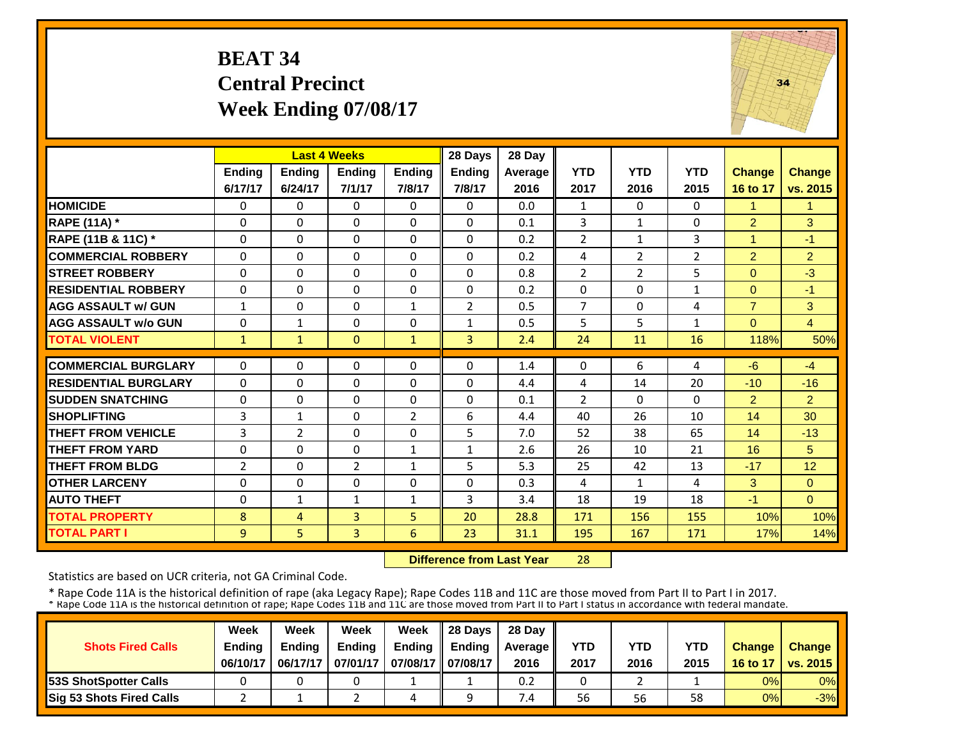# **BEAT 34 Central Precinct Week Ending 07/08/17**



|                             |                | <b>Last 4 Weeks</b> |                |                | 28 Days        | 28 Day  |                |                |                |                |                |
|-----------------------------|----------------|---------------------|----------------|----------------|----------------|---------|----------------|----------------|----------------|----------------|----------------|
|                             | <b>Ending</b>  | <b>Ending</b>       | <b>Ending</b>  | <b>Ending</b>  | <b>Ending</b>  | Average | <b>YTD</b>     | <b>YTD</b>     | <b>YTD</b>     | <b>Change</b>  | <b>Change</b>  |
|                             | 6/17/17        | 6/24/17             | 7/1/17         | 7/8/17         | 7/8/17         | 2016    | 2017           | 2016           | 2015           | 16 to 17       | vs. 2015       |
| <b>HOMICIDE</b>             | 0              | 0                   | $\Omega$       | $\Omega$       | $\Omega$       | 0.0     | 1              | $\Omega$       | 0              | 1              | 1              |
| <b>RAPE (11A)</b> *         | $\Omega$       | $\Omega$            | $\Omega$       | $\Omega$       | $\Omega$       | 0.1     | 3              | $\mathbf{1}$   | 0              | $\overline{2}$ | 3              |
| RAPE (11B & 11C) *          | $\Omega$       | $\Omega$            | $\Omega$       | $\Omega$       | $\Omega$       | 0.2     | $\overline{2}$ | $\mathbf{1}$   | 3              | 1              | $-1$           |
| <b>COMMERCIAL ROBBERY</b>   | $\Omega$       | $\Omega$            | $\Omega$       | $\Omega$       | $\Omega$       | 0.2     | 4              | $\overline{2}$ | $\overline{2}$ | $\overline{2}$ | $\overline{2}$ |
| <b>ISTREET ROBBERY</b>      | $\Omega$       | $\Omega$            | $\Omega$       | $\Omega$       | $\Omega$       | 0.8     | $\overline{2}$ | $\overline{2}$ | 5              | $\Omega$       | $-3$           |
| <b>RESIDENTIAL ROBBERY</b>  | $\Omega$       | $\Omega$            | $\Omega$       | $\Omega$       | $\Omega$       | 0.2     | $\Omega$       | $\Omega$       | 1              | $\Omega$       | $-1$           |
| <b>AGG ASSAULT w/ GUN</b>   | $\mathbf{1}$   | $\Omega$            | $\Omega$       | $\mathbf{1}$   | $\overline{2}$ | 0.5     | $\overline{7}$ | $\Omega$       | 4              | $\overline{7}$ | 3              |
| <b>AGG ASSAULT w/o GUN</b>  | $\Omega$       | $\mathbf{1}$        | $\Omega$       | 0              | $\mathbf{1}$   | 0.5     | 5              | 5              | 1              | $\Omega$       | $\overline{4}$ |
| <b>TOTAL VIOLENT</b>        | $\mathbf{1}$   | $\mathbf{1}$        | $\Omega$       | $\mathbf{1}$   | $\overline{3}$ | 2.4     | 24             | 11             | 16             | 118%           | 50%            |
| <b>COMMERCIAL BURGLARY</b>  | $\Omega$       | $\Omega$            | $\Omega$       | $\Omega$       | $\Omega$       | 1.4     | $\Omega$       | 6              | 4              | $-6$           | $-4$           |
| <b>RESIDENTIAL BURGLARY</b> | $\Omega$       | $\Omega$            | $\Omega$       | $\Omega$       | $\Omega$       | 4.4     | 4              | 14             | 20             | $-10$          | $-16$          |
| <b>SUDDEN SNATCHING</b>     | $\Omega$       | $\Omega$            | $\Omega$       | $\Omega$       | $\Omega$       | 0.1     | $\overline{2}$ | $\Omega$       | 0              | $\overline{2}$ | $\overline{2}$ |
| <b>SHOPLIFTING</b>          | 3              | $\mathbf{1}$        | $\Omega$       | $\overline{2}$ | 6              | 4.4     | 40             | 26             | 10             | 14             | 30             |
| <b>THEFT FROM VEHICLE</b>   | 3              | 2                   | $\Omega$       | 0              | 5              | 7.0     | 52             | 38             | 65             | 14             | $-13$          |
| <b>THEFT FROM YARD</b>      | 0              | $\Omega$            | $\Omega$       | $\mathbf{1}$   | $\mathbf{1}$   | 2.6     | 26             | 10             | 21             | 16             | 5              |
| <b>THEFT FROM BLDG</b>      | $\overline{2}$ | $\Omega$            | $\overline{2}$ | 1              | 5              | 5.3     | 25             | 42             | 13             | $-17$          | 12             |
| <b>OTHER LARCENY</b>        | $\Omega$       | $\Omega$            | $\Omega$       | $\Omega$       | $\Omega$       | 0.3     | 4              | 1              | 4              | 3              | $\Omega$       |
| <b>AUTO THEFT</b>           | 0              | $\mathbf{1}$        | $\mathbf{1}$   | 1              | 3              | 3.4     | 18             | 19             | 18             | $-1$           | $\Omega$       |
| <b>TOTAL PROPERTY</b>       | 8              | 4                   | 3              | 5              | 20             | 28.8    | 171            | 156            | 155            | 10%            | 10%            |
| <b>TOTAL PART I</b>         | 9              | 5                   | $\overline{3}$ | 6              | 23             | 31.1    | 195            | 167            | 171            | 17%            | 14%            |

 **Difference from Last Year**28

Statistics are based on UCR criteria, not GA Criminal Code.

|                               | Week          | Week          | Week          | Week              | $\parallel$ 28 Davs | 28 Day  |      |      |      |               |                     |
|-------------------------------|---------------|---------------|---------------|-------------------|---------------------|---------|------|------|------|---------------|---------------------|
| <b>Shots Fired Calls</b>      | <b>Ending</b> | <b>Ending</b> | <b>Ending</b> | <b>Ending</b>     | <b>Ending</b>       | Average | YTD  | YTD  | YTD  | <b>Change</b> | <b>Change</b>       |
|                               | 06/10/17      | 06/17/17      | 07/01/17      | 07/08/17 07/08/17 |                     | 2016    | 2017 | 2016 | 2015 |               | 16 to 17   vs. 2015 |
| <b>153S ShotSpotter Calls</b> |               |               |               |                   |                     | 0.2     |      |      |      | 0%            | $0\%$               |
| Sig 53 Shots Fired Calls      |               |               |               | 4                 |                     | 7.4     | 56   | 56   | 58   | 0%            | $-3%$               |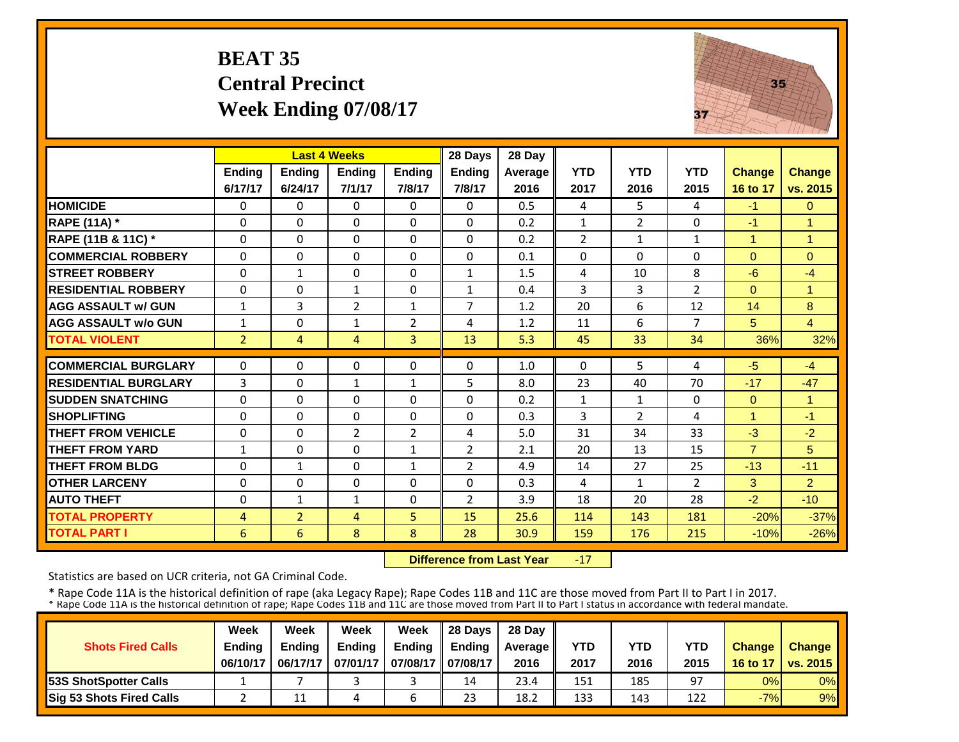# **BEAT 35 Central Precinct Week Ending 07/08/17**



|                             |                | <b>Last 4 Weeks</b> |                |                | 28 Days        | 28 Day  |                |                |                |                |                |
|-----------------------------|----------------|---------------------|----------------|----------------|----------------|---------|----------------|----------------|----------------|----------------|----------------|
|                             | <b>Ending</b>  | <b>Ending</b>       | <b>Endina</b>  | <b>Endina</b>  | <b>Ending</b>  | Average | <b>YTD</b>     | <b>YTD</b>     | <b>YTD</b>     | <b>Change</b>  | Change         |
|                             | 6/17/17        | 6/24/17             | 7/1/17         | 7/8/17         | 7/8/17         | 2016    | 2017           | 2016           | 2015           | 16 to 17       | vs. 2015       |
| <b>HOMICIDE</b>             | $\Omega$       | $\Omega$            | $\Omega$       | $\Omega$       | $\Omega$       | 0.5     | 4              | 5              | 4              | $-1$           | $\overline{0}$ |
| <b>RAPE (11A) *</b>         | $\Omega$       | $\Omega$            | $\Omega$       | $\Omega$       | 0              | 0.2     | $\mathbf{1}$   | $\overline{2}$ | 0              | $-1$           | $\overline{1}$ |
| RAPE (11B & 11C) *          | $\mathbf 0$    | $\Omega$            | $\Omega$       | $\Omega$       | $\Omega$       | 0.2     | $\overline{2}$ | $\mathbf{1}$   | $\mathbf{1}$   | $\mathbf{1}$   | $\overline{1}$ |
| <b>COMMERCIAL ROBBERY</b>   | $\Omega$       | $\Omega$            | $\Omega$       | $\Omega$       | 0              | 0.1     | $\Omega$       | $\Omega$       | 0              | $\Omega$       | $\Omega$       |
| <b>ISTREET ROBBERY</b>      | $\Omega$       | 1                   | $\Omega$       | $\Omega$       | 1              | 1.5     | 4              | 10             | 8              | $-6$           | $-4$           |
| <b>RESIDENTIAL ROBBERY</b>  | $\Omega$       | $\Omega$            | $\mathbf{1}$   | 0              | $\mathbf{1}$   | 0.4     | 3              | 3              | $\overline{2}$ | $\Omega$       | 1              |
| <b>AGG ASSAULT w/ GUN</b>   | $\mathbf{1}$   | 3                   | 2              | $\mathbf{1}$   | $\overline{7}$ | 1.2     | 20             | 6              | 12             | 14             | 8              |
| <b>AGG ASSAULT w/o GUN</b>  | $\mathbf{1}$   | $\Omega$            | 1              | $\overline{2}$ | 4              | 1.2     | 11             | 6              | 7              | 5              | $\overline{4}$ |
| <b>TOTAL VIOLENT</b>        | $\overline{2}$ | 4                   | 4              | 3              | 13             | 5.3     | 45             | 33             | 34             | 36%            | 32%            |
| <b>COMMERCIAL BURGLARY</b>  | $\Omega$       | $\Omega$            | $\Omega$       | $\Omega$       | 0              | 1.0     | $\Omega$       | 5.             | 4              | $-5$           | $-4$           |
| <b>RESIDENTIAL BURGLARY</b> | 3              | $\Omega$            | $\mathbf{1}$   | $\mathbf{1}$   | 5              | 8.0     | 23             | 40             | 70             | $-17$          | $-47$          |
| <b>ISUDDEN SNATCHING</b>    | 0              | $\Omega$            | $\Omega$       | $\Omega$       | 0              | 0.2     | $\mathbf{1}$   | $\mathbf{1}$   | 0              | $\Omega$       | $\overline{1}$ |
| <b>SHOPLIFTING</b>          | $\Omega$       | $\Omega$            | $\Omega$       | $\Omega$       | 0              | 0.3     | 3              | $\overline{2}$ | 4              | 1              | $-1$           |
| <b>THEFT FROM VEHICLE</b>   | $\Omega$       | $\Omega$            | $\overline{2}$ | $\overline{2}$ | 4              | 5.0     | 31             | 34             | 33             | $-3$           | $-2$           |
| <b>THEFT FROM YARD</b>      | 1              | $\Omega$            | $\Omega$       | $\mathbf{1}$   | $\overline{2}$ | 2.1     | 20             | 13             | 15             | $\overline{7}$ | 5              |
| <b>THEFT FROM BLDG</b>      | $\Omega$       | $\mathbf{1}$        | $\Omega$       | 1              | $\overline{2}$ | 4.9     | 14             | 27             | 25             | $-13$          | $-11$          |
| <b>OTHER LARCENY</b>        | $\Omega$       | $\Omega$            | $\Omega$       | $\Omega$       | 0              | 0.3     | 4              | $\mathbf{1}$   | $\overline{2}$ | 3              | $\overline{2}$ |
| <b>AUTO THEFT</b>           | $\Omega$       | $\mathbf{1}$        | $\mathbf{1}$   | $\Omega$       | $\overline{2}$ | 3.9     | 18             | 20             | 28             | $-2$           | $-10$          |
| <b>TOTAL PROPERTY</b>       | $\overline{4}$ | $\overline{2}$      | $\overline{4}$ | 5              | 15             | 25.6    | 114            | 143            | 181            | $-20%$         | $-37%$         |
| <b>TOTAL PART I</b>         | 6              | 6                   | 8              | 8              | 28             | 30.9    | 159            | 176            | 215            | $-10%$         | $-26%$         |

 **Difference from Last Year** $-17$ 

Statistics are based on UCR criteria, not GA Criminal Code.

|                               | Week          | Week          | Week          | Week          | $\parallel$ 28 Davs | 28 Day    |      |      |            |               |                     |
|-------------------------------|---------------|---------------|---------------|---------------|---------------------|-----------|------|------|------------|---------------|---------------------|
| <b>Shots Fired Calls</b>      | <b>Ending</b> | <b>Ending</b> | <b>Ending</b> | <b>Ending</b> | <b>Ending</b>       | Average I | YTD  | YTD  | <b>YTD</b> | <b>Change</b> | <b>Change</b>       |
|                               | 06/10/17      | 06/17/17      | 07/01/17      | 07/08/17      | 07/08/17            | 2016      | 2017 | 2016 | 2015       |               | 16 to 17   vs. 2015 |
| <b>153S ShotSpotter Calls</b> |               |               |               |               | 14                  | 23.4      | 151  | 185  | 97         | 0%            | $0\%$               |
| Sig 53 Shots Fired Calls      |               | 11            |               |               | 23                  | 18.2      | 133  | 143  | 122        | $-7%$         | 9%                  |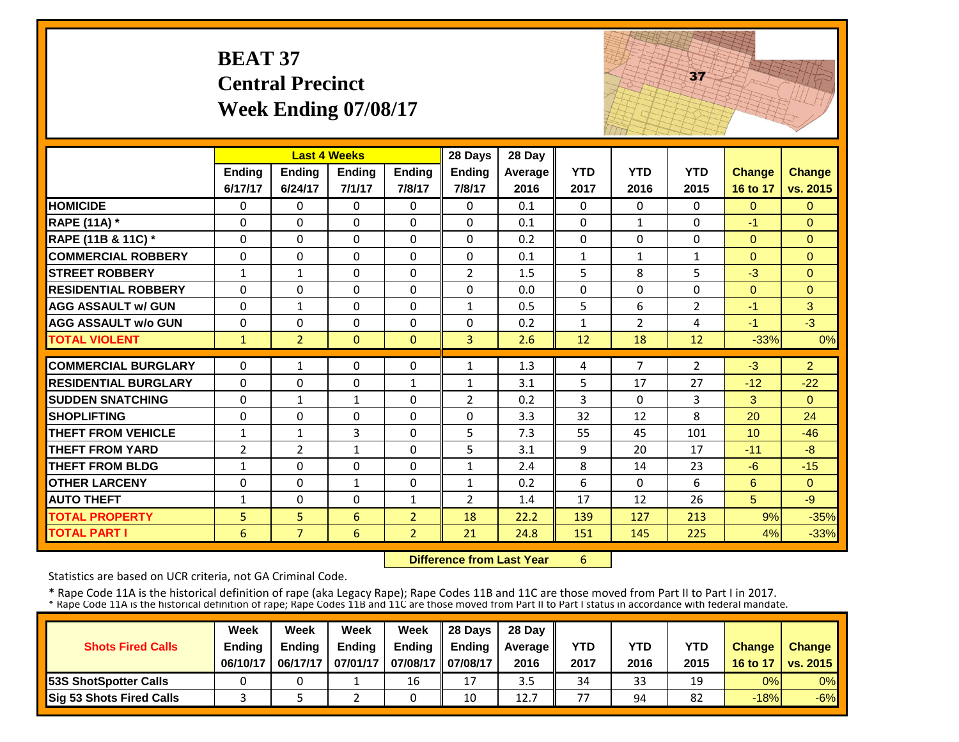|                             | <b>BEAT 37</b>   | <b>Central Precinct</b><br>Week Ending 07/08/17 |                     |                |                                  |         |              |                | 37             |                |                |
|-----------------------------|------------------|-------------------------------------------------|---------------------|----------------|----------------------------------|---------|--------------|----------------|----------------|----------------|----------------|
|                             |                  |                                                 | <b>Last 4 Weeks</b> |                | 28 Days                          | 28 Day  |              |                |                |                |                |
|                             | <b>Ending</b>    | <b>Ending</b>                                   | <b>Ending</b>       | <b>Ending</b>  | <b>Ending</b>                    | Average | <b>YTD</b>   | <b>YTD</b>     | <b>YTD</b>     | <b>Change</b>  | <b>Change</b>  |
|                             | 6/17/17          | 6/24/17                                         | 7/1/17              | 7/8/17         | 7/8/17                           | 2016    | 2017         | 2016           | 2015           | 16 to 17       | vs. 2015       |
| <b>HOMICIDE</b>             | $\Omega$         | $\Omega$                                        | $\Omega$            | $\Omega$       | $\Omega$                         | 0.1     | $\Omega$     | $\Omega$       | $\Omega$       | $\Omega$       | $\Omega$       |
| <b>RAPE (11A) *</b>         | 0                | $\Omega$                                        | 0                   | $\Omega$       | $\Omega$                         | 0.1     | $\mathbf{0}$ | $\mathbf{1}$   | 0              | -1             | $\Omega$       |
| RAPE (11B & 11C) *          | $\mathbf 0$      | $\Omega$                                        | $\mathbf 0$         | $\Omega$       | $\Omega$                         | 0.2     | $\Omega$     | $\Omega$       | $\overline{0}$ | $\Omega$       | $\Omega$       |
| <b>COMMERCIAL ROBBERY</b>   | $\mathbf 0$      | 0                                               | 0                   | 0              | 0                                | 0.1     | $\mathbf{1}$ | $\mathbf{1}$   | $\mathbf{1}$   | $\mathbf{0}$   | $\overline{0}$ |
| <b>STREET ROBBERY</b>       | $\mathbf{1}$     | $\mathbf{1}$                                    | 0                   | 0              | $\overline{2}$                   | 1.5     | 5            | 8              | 5              | $-3$           | $\Omega$       |
| <b>RESIDENTIAL ROBBERY</b>  | $\Omega$         | $\Omega$                                        | $\Omega$            | $\Omega$       | 0                                | 0.0     | $\mathbf{0}$ | $\Omega$       | 0              | $\overline{0}$ | $\Omega$       |
| <b>AGG ASSAULT w/ GUN</b>   | 0                | $\mathbf{1}$                                    | 0                   | 0              | $\mathbf{1}$                     | 0.5     | 5            | 6              | $\overline{2}$ | $-1$           | 3              |
| <b>AGG ASSAULT w/o GUN</b>  | $\boldsymbol{0}$ | $\Omega$                                        | $\Omega$            | 0              | $\Omega$                         | 0.2     | $\mathbf{1}$ | $\overline{2}$ | 4              | $-1$           | $-3$           |
| <b>TOTAL VIOLENT</b>        | $\mathbf{1}$     | $\overline{2}$                                  | $\mathbf{0}$        | $\mathbf{0}$   | 3                                | 2.6     | 12           | 18             | 12             | $-33%$         | 0%             |
| <b>COMMERCIAL BURGLARY</b>  | 0                | $\mathbf{1}$                                    | 0                   | 0              | 1                                | 1.3     | 4            | 7              | $\overline{2}$ | $-3$           | $\overline{2}$ |
| <b>RESIDENTIAL BURGLARY</b> | 0                | $\Omega$                                        | $\Omega$            | $\mathbf{1}$   | $\mathbf{1}$                     | 3.1     | 5            | 17             | 27             | $-12$          | $-22$          |
| <b>ISUDDEN SNATCHING</b>    | $\Omega$         | $\mathbf{1}$                                    | $\mathbf{1}$        | $\Omega$       | $\overline{2}$                   | 0.2     | 3            | $\Omega$       | 3              | 3              | $\Omega$       |
| <b>SHOPLIFTING</b>          | $\Omega$         | $\Omega$                                        | $\Omega$            | 0              | $\Omega$                         | 3.3     | 32           | 12             | 8              | 20             | 24             |
| <b>THEFT FROM VEHICLE</b>   | $\mathbf{1}$     | $\mathbf{1}$                                    | $\overline{3}$      | $\Omega$       | 5                                | 7.3     | 55           | 45             | 101            | 10             | $-46$          |
| <b>THEFT FROM YARD</b>      | $\overline{2}$   | $\overline{2}$                                  | $\mathbf{1}$        | $\Omega$       | 5                                | 3.1     | 9            | 20             | 17             | $-11$          | $-8$           |
| <b>THEFT FROM BLDG</b>      | $\mathbf{1}$     | $\mathbf{0}$                                    | $\mathbf 0$         | 0              | $\mathbf{1}$                     | 2.4     | 8            | 14             | 23             | $-6$           | $-15$          |
| <b>OTHER LARCENY</b>        | $\mathbf 0$      | 0                                               | $\mathbf{1}$        | $\Omega$       | $\mathbf{1}$                     | 0.2     | 6            | $\Omega$       | 6              | 6              | $\overline{0}$ |
| <b>AUTO THEFT</b>           | $\mathbf{1}$     | $\Omega$                                        | 0                   | $\mathbf{1}$   | $\overline{2}$                   | 1.4     | 17           | 12             | 26             | 5 <sup>5</sup> | $-9$           |
| <b>TOTAL PROPERTY</b>       | 5                | 5                                               | 6                   | $\overline{2}$ | 18                               | 22.2    | 139          | 127            | 213            | 9%             | $-35%$         |
| <b>TOTAL PART I</b>         | 6                | 7 <sup>1</sup>                                  | $6\overline{6}$     | 2 <sup>1</sup> | 21                               | 24.8    | 151          | 145            | 225            | 4%             | $-33%$         |
|                             |                  |                                                 |                     |                | <b>Difference from Last Year</b> |         | 6            |                |                |                |                |

 **Difference from Last Year**

Statistics are based on UCR criteria, not GA Criminal Code.

|                                 | Week          | Week     | Week          | Week          | 28 Days       | 28 Day    |      |      |            |               |                          |
|---------------------------------|---------------|----------|---------------|---------------|---------------|-----------|------|------|------------|---------------|--------------------------|
| <b>Shots Fired Calls</b>        | <b>Ending</b> | Endina   | <b>Ending</b> | <b>Ending</b> | <b>Endina</b> | Average I | YTD  | YTD  | <b>YTD</b> | <b>Change</b> | <b>Change</b>            |
|                                 | 06/10/17      | 06/17/17 | 07/01/17      | 07/08/17      | 07/08/17      | 2016      | 2017 | 2016 | 2015       | 16 to 17      | $\vert$ vs. 2015 $\vert$ |
| <b>53S ShotSpotter Calls</b>    |               |          |               | 16            | 17            | 3.5       | 34   | 33   | 19         | 0%            | $0\%$                    |
| <b>Sig 53 Shots Fired Calls</b> |               |          |               |               | 10            | 12.7      | 77   | 94   | 82         | $-18%$        | $-6%$                    |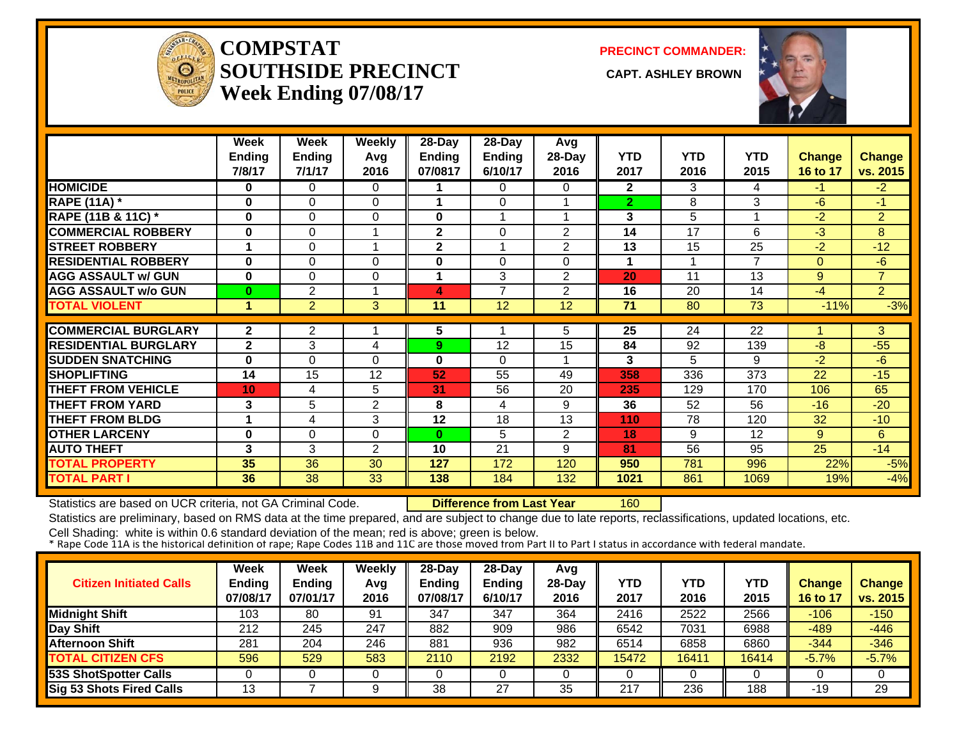

**COMPSTATSOUTHSIDE PRECINCT** CAPT. ASHLEY BROWN **Week Ending 07/08/17**

**PRECINCT COMMANDER:**



|                             | Week           | Week           | <b>Weekly</b>    | 28-Day       | $28 - Day$     | Avg            |                |            |                 |             |                |
|-----------------------------|----------------|----------------|------------------|--------------|----------------|----------------|----------------|------------|-----------------|-------------|----------------|
|                             | <b>Ending</b>  | <b>Ending</b>  | Avg              | Ending       | Ending         | 28-Day         | <b>YTD</b>     | <b>YTD</b> | <b>YTD</b>      | Change      | <b>Change</b>  |
|                             | 7/8/17         | 7/1/17         | 2016             | 07/0817      | 6/10/17        | 2016           | 2017           | 2016       | 2015            | 16 to 17    | vs. 2015       |
| <b>HOMICIDE</b>             | 0              | 0              | 0                |              | $\Omega$       | 0              | $\overline{2}$ | 3          | 4               | $-1$        | $-2$           |
| <b>RAPE (11A) *</b>         | $\bf{0}$       | 0              | $\Omega$         |              | 0              |                | $\overline{2}$ | 8          | 3               | $-6$        | $-1$           |
| RAPE (11B & 11C) *          | $\bf{0}$       | 0              | $\Omega$         | $\bf{0}$     |                |                | 3              | 5          |                 | $-2$        | $\overline{2}$ |
| <b>COMMERCIAL ROBBERY</b>   | $\bf{0}$       | 0              | 1                | 2            | $\Omega$       | $\overline{2}$ | 14             | 17         | 6               | $-3$        | 8              |
| <b>STREET ROBBERY</b>       | 1              | 0              | 1                | 2            |                | $\overline{2}$ | 13             | 15         | 25              | $-2$        | $-12$          |
| <b>RESIDENTIAL ROBBERY</b>  | $\bf{0}$       | 0              | $\Omega$         | 0            | $\Omega$       | $\Omega$       | 1              |            | $\overline{7}$  | $\Omega$    | $-6$           |
| <b>AGG ASSAULT w/ GUN</b>   | $\mathbf 0$    | 0              | $\boldsymbol{0}$ |              | 3              | $\overline{2}$ | 20             | 11         | 13              | $9^{\circ}$ | $\overline{7}$ |
| <b>AGG ASSAULT w/o GUN</b>  | $\bf{0}$       | $\overline{2}$ | 1                | 4            | $\overline{7}$ | $\overline{2}$ | 16             | 20         | 14              | $-4$        | $\overline{2}$ |
| <b>TOTAL VIOLENT</b>        | $\mathbf{1}$   | $\overline{2}$ | 3 <sup>1</sup>   | 11           | 12             | 12             | 71             | 80         | 73              | $-11%$      | $-3%$          |
|                             |                |                |                  |              |                |                |                |            |                 |             |                |
| <b>COMMERCIAL BURGLARY</b>  | $\overline{2}$ | $\overline{2}$ |                  | 5            |                | 5.             | 25             | 24         | $\overline{22}$ |             | 3              |
| <b>RESIDENTIAL BURGLARY</b> | $\mathbf{2}$   | 3              | 4                | 9            | 12             | 15             | 84             | 92         | 139             | -8          | $-55$          |
| <b>SUDDEN SNATCHING</b>     | $\bf{0}$       | 0              | $\Omega$         | $\bf{0}$     | 0              |                | 3              | 5          | 9               | $-2$        | $-6$           |
| <b>SHOPLIFTING</b>          | 14             | 15             | 12               | 52           | 55             | 49             | 358            | 336        | 373             | 22          | $-15$          |
| <b>THEFT FROM VEHICLE</b>   | 10             | 4              | 5                | 31           | 56             | 20             | 235            | 129        | 170             | 106         | 65             |
| <b>THEFT FROM YARD</b>      | 3              | 5              | $\overline{2}$   | 8            | 4              | 9              | 36             | 52         | 56              | $-16$       | $-20$          |
| <b>THEFT FROM BLDG</b>      | 1              | 4              | 3                | 12           | 18             | 13             | 110            | 78         | 120             | 32          | $-10$          |
| <b>OTHER LARCENY</b>        | $\bf{0}$       | 0              | $\Omega$         | $\mathbf{0}$ | 5              | $\overline{2}$ | 18             | 9          | 12              | 9           | 6              |
| <b>AUTO THEFT</b>           | 3              | 3              | $\overline{2}$   | 10           | 21             | 9              | 81             | 56         | 95              | 25          | $-14$          |
| <b>TOTAL PROPERTY</b>       | 35             | 36             | 30               | 127          | 172            | 120            | 950            | 781        | 996             | 22%         | $-5%$          |
| <b>TOTAL PART I</b>         | 36             | 38             | 33               | 138          | 184            | 132            | 1021           | 861        | 1069            | 19%         | $-4%$          |

Statistics are based on UCR criteria, not GA Criminal Code. **Difference from Last Year** 160

Statistics are preliminary, based on RMS data at the time prepared, and are subject to change due to late reports, reclassifications, updated locations, etc.

| <b>Citizen Initiated Calls</b> | Week<br><b>Ending</b><br>07/08/17 | Week<br><b>Ending</b><br>07/01/17 | Weekly<br>Avg<br>2016 | $28$ -Day<br>Ending<br>07/08/17 | $28$ -Dav<br><b>Ending</b><br>6/10/17 | Avg<br>$28-Day$<br>2016 | YTD<br>2017 | YTD<br>2016 | YTD<br>2015 | <b>Change</b><br>16 to 17 | Change<br>vs. 2015 |
|--------------------------------|-----------------------------------|-----------------------------------|-----------------------|---------------------------------|---------------------------------------|-------------------------|-------------|-------------|-------------|---------------------------|--------------------|
| <b>Midnight Shift</b>          | 103                               | 80                                | 91                    | 347                             | 347                                   | 364                     | 2416        | 2522        | 2566        | -106                      | $-150$             |
| Day Shift                      | 212                               | 245                               | 247                   | 882                             | 909                                   | 986                     | 6542        | 7031        | 6988        | $-489$                    | $-446$             |
| <b>Afternoon Shift</b>         | 281                               | 204                               | 246                   | 881                             | 936                                   | 982                     | 6514        | 6858        | 6860        | $-344$                    | $-346$             |
| <b>TOTAL CITIZEN CFS</b>       | 596                               | 529                               | 583                   | 2110                            | 2192                                  | 2332                    | 15472       | 16411       | 16414       | $-5.7%$                   | $-5.7%$            |
| 53S ShotSpotter Calls          |                                   |                                   |                       |                                 |                                       |                         |             |             |             |                           | 0                  |
| Sig 53 Shots Fired Calls       | 13                                |                                   |                       | 38                              | 27                                    | 35                      | 217         | 236         | 188         | $-19$                     | 29                 |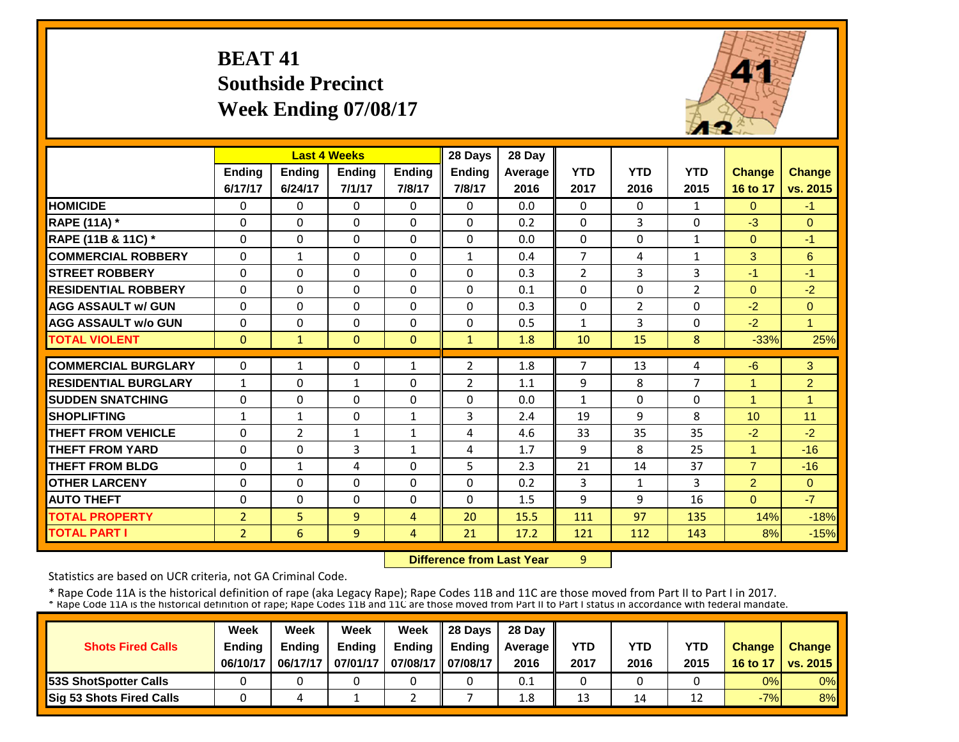# **BEAT 41 Southside Precinct Week Ending 07/08/17**



|                             |                |               | <b>Last 4 Weeks</b> |               | 28 Days        | 28 Day  |                |                |                |                |                |
|-----------------------------|----------------|---------------|---------------------|---------------|----------------|---------|----------------|----------------|----------------|----------------|----------------|
|                             | Ending         | <b>Ending</b> | <b>Ending</b>       | <b>Endina</b> | Ending         | Average | <b>YTD</b>     | <b>YTD</b>     | <b>YTD</b>     | <b>Change</b>  | <b>Change</b>  |
|                             | 6/17/17        | 6/24/17       | 7/1/17              | 7/8/17        | 7/8/17         | 2016    | 2017           | 2016           | 2015           | 16 to 17       | vs. 2015       |
| <b>HOMICIDE</b>             | $\Omega$       | $\Omega$      | $\Omega$            | $\mathbf{0}$  | $\Omega$       | 0.0     | $\Omega$       | $\Omega$       | $\mathbf{1}$   | $\Omega$       | $-1$           |
| <b>RAPE (11A)</b> *         | $\Omega$       | $\Omega$      | $\Omega$            | $\Omega$      | $\Omega$       | 0.2     | $\Omega$       | 3              | 0              | $-3$           | $\mathbf{0}$   |
| RAPE (11B & 11C) *          | $\mathbf 0$    | $\Omega$      | $\Omega$            | $\Omega$      | $\Omega$       | 0.0     | $\Omega$       | $\Omega$       | $\mathbf{1}$   | $\Omega$       | $-1$           |
| <b>COMMERCIAL ROBBERY</b>   | $\Omega$       | $\mathbf{1}$  | $\Omega$            | $\Omega$      | $\mathbf{1}$   | 0.4     | $\overline{7}$ | 4              | 1              | 3              | 6              |
| <b>STREET ROBBERY</b>       | $\Omega$       | $\Omega$      | $\Omega$            | $\Omega$      | $\Omega$       | 0.3     | $\overline{2}$ | 3              | 3              | $-1$           | $-1$           |
| <b>RESIDENTIAL ROBBERY</b>  | $\Omega$       | $\Omega$      | $\Omega$            | $\Omega$      | $\Omega$       | 0.1     | $\Omega$       | $\Omega$       | $\overline{2}$ | $\Omega$       | $-2$           |
| <b>AGG ASSAULT w/ GUN</b>   | $\Omega$       | $\Omega$      | $\Omega$            | $\Omega$      | $\Omega$       | 0.3     | $\Omega$       | $\overline{2}$ | 0              | $-2$           | $\Omega$       |
| <b>AGG ASSAULT w/o GUN</b>  | 0              | $\Omega$      | $\mathbf 0$         | 0             | $\Omega$       | 0.5     | $\mathbf{1}$   | 3              | 0              | $-2$           | $\overline{1}$ |
| <b>TOTAL VIOLENT</b>        | $\Omega$       | $\mathbf{1}$  | $\mathbf{0}$        | $\Omega$      | $\mathbf{1}$   | 1.8     | 10             | 15             | 8              | $-33%$         | 25%            |
| <b>COMMERCIAL BURGLARY</b>  | $\Omega$       | $\mathbf{1}$  | $\Omega$            | $\mathbf{1}$  | $\overline{2}$ | 1.8     | 7              | 13             | 4              | $-6$           | 3              |
| <b>RESIDENTIAL BURGLARY</b> | $\mathbf{1}$   | $\Omega$      | $\mathbf{1}$        | $\Omega$      | 2              | 1.1     | 9              | 8              | 7              | 1              | $\overline{2}$ |
| <b>ISUDDEN SNATCHING</b>    | $\Omega$       | $\Omega$      | $\Omega$            | $\Omega$      | $\Omega$       | 0.0     | $\mathbf{1}$   | $\Omega$       | 0              | 4              | 1              |
| <b>SHOPLIFTING</b>          | $\mathbf{1}$   | $\mathbf{1}$  | $\Omega$            | $\mathbf{1}$  | 3              | 2.4     | 19             | 9              | 8              | 10             | 11             |
| <b>THEFT FROM VEHICLE</b>   | $\Omega$       | 2             | $\mathbf{1}$        | $\mathbf{1}$  | 4              | 4.6     | 33             | 35             | 35             | $-2$           | $-2$           |
| <b>THEFT FROM YARD</b>      | $\Omega$       | $\Omega$      | 3                   | $\mathbf{1}$  | 4              | 1.7     | 9              | 8              | 25             | 4              | $-16$          |
| <b>THEFT FROM BLDG</b>      | 0              | 1             | 4                   | 0             | 5              | 2.3     | 21             | 14             | 37             | $\overline{7}$ | $-16$          |
| <b>OTHER LARCENY</b>        | 0              | $\Omega$      | $\Omega$            | $\Omega$      | $\Omega$       | 0.2     | 3              | $\mathbf{1}$   | 3              | $\overline{2}$ | $\Omega$       |
| <b>AUTO THEFT</b>           | $\Omega$       | $\Omega$      | $\Omega$            | $\Omega$      | $\Omega$       | 1.5     | 9              | 9              | 16             | $\Omega$       | $-7$           |
| <b>TOTAL PROPERTY</b>       | $\overline{2}$ | 5             | 9                   | 4             | 20             | 15.5    | 111            | 97             | 135            | 14%            | $-18%$         |
| <b>TOTAL PART I</b>         | $\overline{2}$ | 6             | 9                   | 4             | 21             | 17.2    | 121            | 112            | 143            | 8%             | $-15%$         |

 **Difference from Last Year**9

Statistics are based on UCR criteria, not GA Criminal Code.

|                               | Week     | Week          | Week          | Week              | $\parallel$ 28 Davs | 28 Day  |      |      |            |               |                     |
|-------------------------------|----------|---------------|---------------|-------------------|---------------------|---------|------|------|------------|---------------|---------------------|
| <b>Shots Fired Calls</b>      | Ending   | <b>Ending</b> | <b>Ending</b> | <b>Ending</b>     | <b>Ending</b>       | Average | YTD  | YTD  | <b>YTD</b> | <b>Change</b> | <b>Change</b>       |
|                               | 06/10/17 | 06/17/17      | 07/01/17      | 07/08/17 07/08/17 |                     | 2016    | 2017 | 2016 | 2015       |               | 16 to 17   vs. 2015 |
| <b>153S ShotSpotter Calls</b> |          |               |               |                   |                     | 0.1     |      |      |            | 0%            | $0\%$               |
| Sig 53 Shots Fired Calls      |          |               |               |                   |                     | 1.8     | 13   | 14   | 12         | $-7%$         | 8%                  |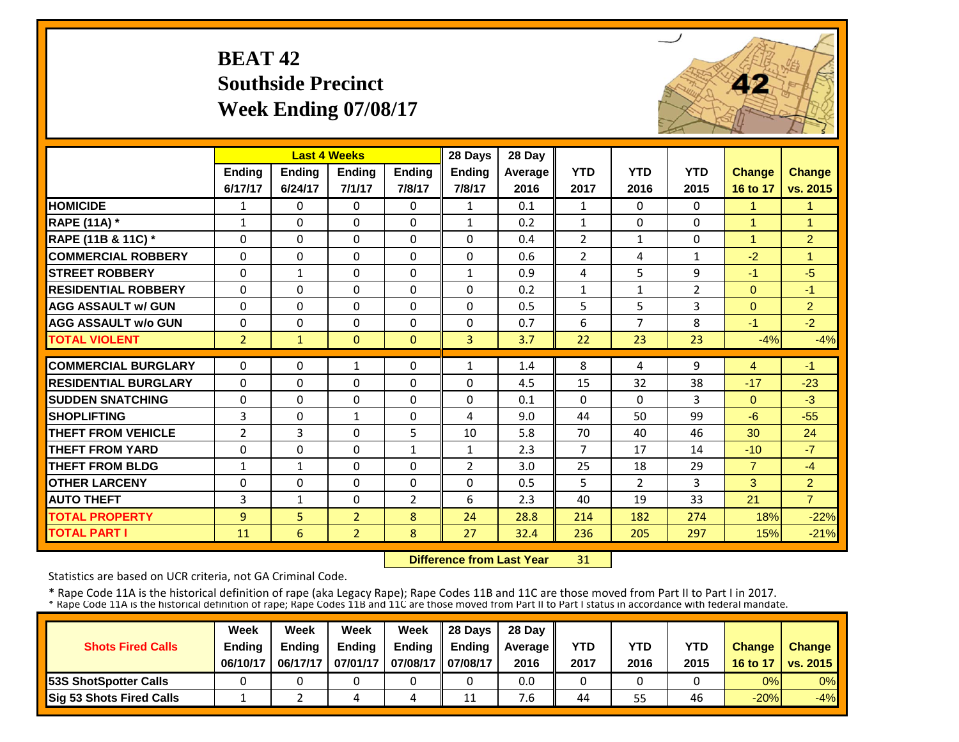# **BEAT 42 Southside Precinct Week Ending 07/08/17**



|                             |                | <b>Last 4 Weeks</b> |                |               | 28 Days        | 28 Day  |                |                |                |                |                |
|-----------------------------|----------------|---------------------|----------------|---------------|----------------|---------|----------------|----------------|----------------|----------------|----------------|
|                             | <b>Ending</b>  | <b>Ending</b>       | <b>Endina</b>  | <b>Ending</b> | <b>Endina</b>  | Average | <b>YTD</b>     | <b>YTD</b>     | <b>YTD</b>     | <b>Change</b>  | <b>Change</b>  |
|                             | 6/17/17        | 6/24/17             | 7/1/17         | 7/8/17        | 7/8/17         | 2016    | 2017           | 2016           | 2015           | 16 to 17       | vs. 2015       |
| <b>HOMICIDE</b>             | $\mathbf{1}$   | $\Omega$            | $\Omega$       | $\Omega$      | $\mathbf{1}$   | 0.1     | $\mathbf{1}$   | $\Omega$       | 0              | $\mathbf{1}$   | 1              |
| <b>RAPE (11A) *</b>         | $\mathbf{1}$   | $\Omega$            | $\Omega$       | $\Omega$      | $\mathbf{1}$   | 0.2     | $\mathbf{1}$   | $\Omega$       | $\Omega$       | $\mathbf{1}$   | $\mathbf{1}$   |
| RAPE (11B & 11C) *          | $\Omega$       | $\Omega$            | $\Omega$       | $\Omega$      | $\Omega$       | 0.4     | $\overline{2}$ | $\mathbf{1}$   | $\Omega$       | $\mathbf{1}$   | $\overline{2}$ |
| <b>COMMERCIAL ROBBERY</b>   | $\Omega$       | $\Omega$            | $\Omega$       | $\Omega$      | $\Omega$       | 0.6     | $\overline{2}$ | 4              | $\mathbf{1}$   | $-2$           | $\mathbf{1}$   |
| <b>STREET ROBBERY</b>       | 0              | $\mathbf{1}$        | $\Omega$       | $\Omega$      | $\mathbf{1}$   | 0.9     | 4              | 5              | 9              | $-1$           | $-5$           |
| <b>RESIDENTIAL ROBBERY</b>  | $\Omega$       | $\Omega$            | $\Omega$       | $\Omega$      | 0              | 0.2     | $\mathbf{1}$   | $\mathbf{1}$   | $\overline{2}$ | $\Omega$       | $-1$           |
| <b>AGG ASSAULT w/ GUN</b>   | $\Omega$       | $\Omega$            | $\Omega$       | $\Omega$      | $\Omega$       | 0.5     | 5              | 5              | 3              | $\Omega$       | $\overline{2}$ |
| <b>AGG ASSAULT w/o GUN</b>  | $\Omega$       | $\Omega$            | $\Omega$       | $\Omega$      | $\Omega$       | 0.7     | 6              | $\overline{7}$ | 8              | $-1$           | $-2$           |
| <b>TOTAL VIOLENT</b>        | $\overline{2}$ | $\mathbf{1}$        | $\mathbf{0}$   | $\mathbf{0}$  | $\overline{3}$ | 3.7     | 22             | 23             | 23             | $-4%$          | $-4%$          |
| <b>COMMERCIAL BURGLARY</b>  | $\Omega$       | $\Omega$            | $\mathbf{1}$   | $\Omega$      | $\mathbf{1}$   | 1.4     | 8              | 4              | 9              | 4              | $-1$           |
| <b>RESIDENTIAL BURGLARY</b> |                |                     |                |               | $\Omega$       |         |                |                |                |                |                |
|                             | $\Omega$       | $\Omega$            | $\Omega$       | $\Omega$      |                | 4.5     | 15             | 32             | 38             | $-17$          | $-23$          |
| <b>SUDDEN SNATCHING</b>     | $\Omega$       | $\Omega$            | $\Omega$       | $\Omega$      | $\Omega$       | 0.1     | $\Omega$       | $\Omega$       | 3              | $\Omega$       | $-3$           |
| <b>SHOPLIFTING</b>          | 3              | $\Omega$            | $\mathbf{1}$   | 0             | 4              | 9.0     | 44             | 50             | 99             | $-6$           | $-55$          |
| <b>THEFT FROM VEHICLE</b>   | $\overline{2}$ | 3                   | $\Omega$       | 5             | 10             | 5.8     | 70             | 40             | 46             | 30             | 24             |
| <b>THEFT FROM YARD</b>      | 0              | $\Omega$            | $\Omega$       | $\mathbf{1}$  | $\mathbf{1}$   | 2.3     | $\overline{7}$ | 17             | 14             | $-10$          | $-7$           |
| <b>THEFT FROM BLDG</b>      | 1              | 1                   | $\Omega$       | 0             | $\overline{2}$ | 3.0     | 25             | 18             | 29             | $\overline{7}$ | $-4$           |
| <b>OTHER LARCENY</b>        | $\Omega$       | $\Omega$            | $\Omega$       | 0             | 0              | 0.5     | 5              | $\overline{2}$ | 3              | 3              | $\overline{2}$ |
| <b>AUTO THEFT</b>           | 3              | $\mathbf{1}$        | $\Omega$       | 2             | 6              | 2.3     | 40             | 19             | 33             | 21             | $\overline{7}$ |
| <b>TOTAL PROPERTY</b>       | $\overline{9}$ | 5                   | $\overline{2}$ | 8             | 24             | 28.8    | 214            | 182            | 274            | 18%            | $-22%$         |
| <b>TOTAL PART I</b>         | 11             | 6                   | $\overline{2}$ | 8             | 27             | 32.4    | 236            | 205            | 297            | 15%            | $-21%$         |

 **Difference from Last Year**31

Statistics are based on UCR criteria, not GA Criminal Code.

|                               | Week     | Week          | Week          | Week              | $\parallel$ 28 Davs | 28 Day    |      |      |      |               |                     |
|-------------------------------|----------|---------------|---------------|-------------------|---------------------|-----------|------|------|------|---------------|---------------------|
| <b>Shots Fired Calls</b>      | Ending   | <b>Ending</b> | <b>Ending</b> | <b>Ending</b>     | <b>Ending</b>       | Average I | YTD  | YTD  | YTD  | <b>Change</b> | <b>Change</b>       |
|                               | 06/10/17 | 06/17/17      | 07/01/17      | 07/08/17 07/08/17 |                     | 2016      | 2017 | 2016 | 2015 |               | 16 to 17   vs. 2015 |
| <b>153S ShotSpotter Calls</b> |          |               |               |                   |                     | 0.0       |      |      |      | 0%            | $0\%$               |
| Sig 53 Shots Fired Calls      |          |               |               | 4                 | 11                  | ՛.6       | 44   | 55   | 46   | $-20%$        | $-4%$               |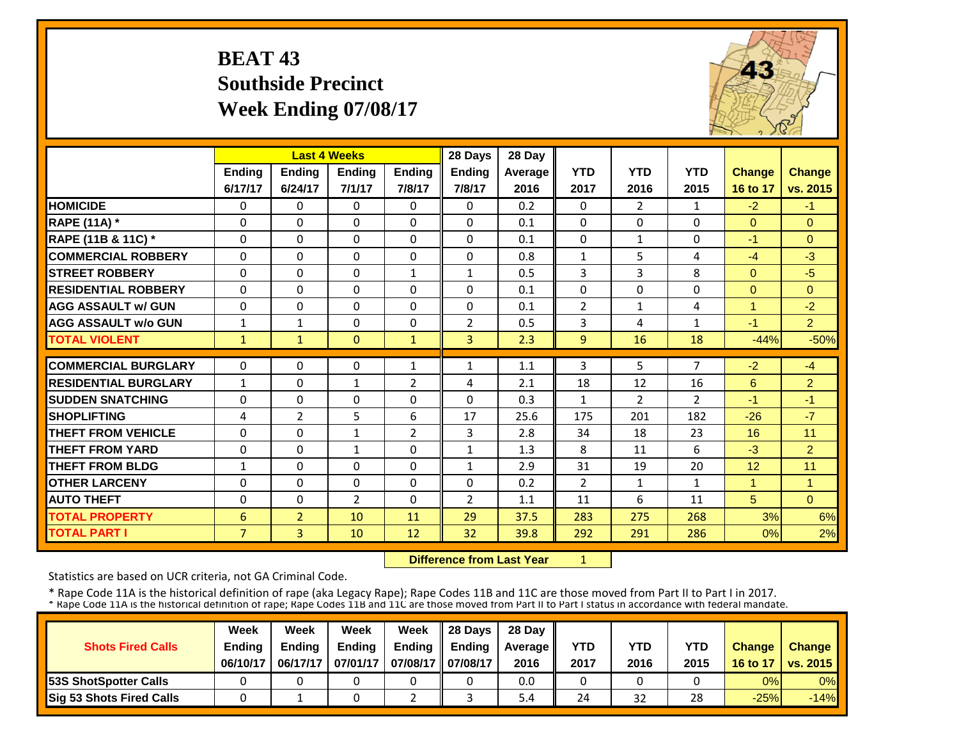# **BEAT 43 Southside Precinct Week Ending 07/08/17**



|                             |                | <b>Last 4 Weeks</b> |               |               | 28 Days        | 28 Day  |                |                |                |                 |                |
|-----------------------------|----------------|---------------------|---------------|---------------|----------------|---------|----------------|----------------|----------------|-----------------|----------------|
|                             | <b>Ending</b>  | <b>Ending</b>       | <b>Ending</b> | <b>Endina</b> | <b>Ending</b>  | Average | <b>YTD</b>     | <b>YTD</b>     | <b>YTD</b>     | <b>Change</b>   | Change         |
|                             | 6/17/17        | 6/24/17             | 7/1/17        | 7/8/17        | 7/8/17         | 2016    | 2017           | 2016           | 2015           | 16 to 17        | vs. 2015       |
| <b>HOMICIDE</b>             | $\Omega$       | $\Omega$            | $\Omega$      | $\Omega$      | 0              | 0.2     | $\Omega$       | $\overline{2}$ | $\mathbf{1}$   | $-2$            | $-1$           |
| <b>RAPE (11A) *</b>         | $\Omega$       | $\Omega$            | $\Omega$      | $\Omega$      | $\Omega$       | 0.1     | $\Omega$       | $\Omega$       | $\Omega$       | $\Omega$        | $\Omega$       |
| RAPE (11B & 11C) *          | $\mathbf{0}$   | $\Omega$            | $\Omega$      | $\Omega$      | 0              | 0.1     | $\Omega$       | $\mathbf{1}$   | 0              | $-1$            | $\Omega$       |
| <b>COMMERCIAL ROBBERY</b>   | $\Omega$       | $\Omega$            | $\Omega$      | $\Omega$      | $\Omega$       | 0.8     | $\mathbf{1}$   | 5              | 4              | $-4$            | $-3$           |
| <b>STREET ROBBERY</b>       | $\Omega$       | $\Omega$            | $\Omega$      | $\mathbf{1}$  | 1              | 0.5     | 3              | 3              | 8              | $\Omega$        | $-5$           |
| <b>RESIDENTIAL ROBBERY</b>  | $\Omega$       | $\Omega$            | $\Omega$      | 0             | 0              | 0.1     | $\Omega$       | $\Omega$       | 0              | $\Omega$        | $\Omega$       |
| <b>AGG ASSAULT w/ GUN</b>   | 0              | $\Omega$            | $\Omega$      | 0             | $\Omega$       | 0.1     | $\overline{2}$ | 1              | 4              | 1               | $-2$           |
| <b>AGG ASSAULT w/o GUN</b>  | 1              | $\mathbf{1}$        | $\Omega$      | $\Omega$      | $\overline{2}$ | 0.5     | 3              | 4              | $\mathbf{1}$   | $-1$            | 2 <sup>1</sup> |
| <b>TOTAL VIOLENT</b>        | $\mathbf{1}$   | $\mathbf{1}$        | $\Omega$      | $\mathbf{1}$  | $\overline{3}$ | 2.3     | 9              | 16             | 18             | $-44%$          | $-50%$         |
| <b>COMMERCIAL BURGLARY</b>  | $\Omega$       | $\Omega$            | $\Omega$      | $\mathbf{1}$  | $\mathbf{1}$   | 1.1     | 3              | 5.             | 7              | $-2$            | $-4$           |
| <b>RESIDENTIAL BURGLARY</b> | $\mathbf{1}$   | $\Omega$            | 1             | 2             | 4              | 2.1     | 18             | 12             | 16             | 6               | $\overline{2}$ |
| <b>SUDDEN SNATCHING</b>     | 0              | $\Omega$            | $\Omega$      | $\Omega$      | 0              | 0.3     | $\mathbf{1}$   | $\overline{2}$ | $\overline{2}$ | $-1$            | $-1$           |
| <b>SHOPLIFTING</b>          | 4              | $\overline{2}$      | 5             | 6             | 17             | 25.6    | 175            | 201            | 182            | $-26$           | $-7$           |
| <b>THEFT FROM VEHICLE</b>   | 0              | $\Omega$            | 1             | 2             | 3              | 2.8     | 34             | 18             | 23             | 16              | 11             |
| <b>THEFT FROM YARD</b>      | 0              | $\Omega$            | 1             | 0             | 1              | 1.3     | 8              | 11             | 6              | $-3$            | $\overline{2}$ |
| <b>THEFT FROM BLDG</b>      | $\mathbf{1}$   | $\Omega$            | 0             | $\Omega$      | $\mathbf{1}$   | 2.9     | 31             | 19             | 20             | 12 <sup>2</sup> | 11             |
| <b>OTHER LARCENY</b>        | $\Omega$       | $\Omega$            | $\Omega$      | $\Omega$      | 0              | 0.2     | 2              | $\mathbf{1}$   | $\mathbf{1}$   | 1               | $\overline{1}$ |
| <b>AUTO THEFT</b>           | 0              | $\Omega$            | 2             | $\Omega$      | $\overline{2}$ | 1.1     | 11             | 6              | 11             | 5               | $\Omega$       |
| <b>TOTAL PROPERTY</b>       | 6              | $\overline{2}$      | 10            | 11            | 29             | 37.5    | 283            | 275            | 268            | 3%              | 6%             |
| <b>TOTAL PART I</b>         | $\overline{7}$ | $\overline{3}$      | 10            | 12            | 32             | 39.8    | 292            | 291            | 286            | 0%              | 2%             |

 **Difference from Last Year**1

Statistics are based on UCR criteria, not GA Criminal Code.

|                               | Week     | Week          | Week          | Week              | $\parallel$ 28 Davs | 28 Day    |      |      |      |               |                     |
|-------------------------------|----------|---------------|---------------|-------------------|---------------------|-----------|------|------|------|---------------|---------------------|
| <b>Shots Fired Calls</b>      | Ending   | <b>Ending</b> | <b>Ending</b> | <b>Ending</b>     | <b>Ending</b>       | Average I | YTD  | YTD  | YTD  | <b>Change</b> | <b>Change</b>       |
|                               | 06/10/17 | 06/17/17      | 07/01/17      | 07/08/17 07/08/17 |                     | 2016      | 2017 | 2016 | 2015 |               | 16 to 17   vs. 2015 |
| <b>153S ShotSpotter Calls</b> |          |               |               |                   |                     | 0.0       |      |      |      | 0%            | $0\%$               |
| Sig 53 Shots Fired Calls      |          |               |               |                   |                     | 5.4       | 24   | 32   | 28   | $-25%$        | $-14%$              |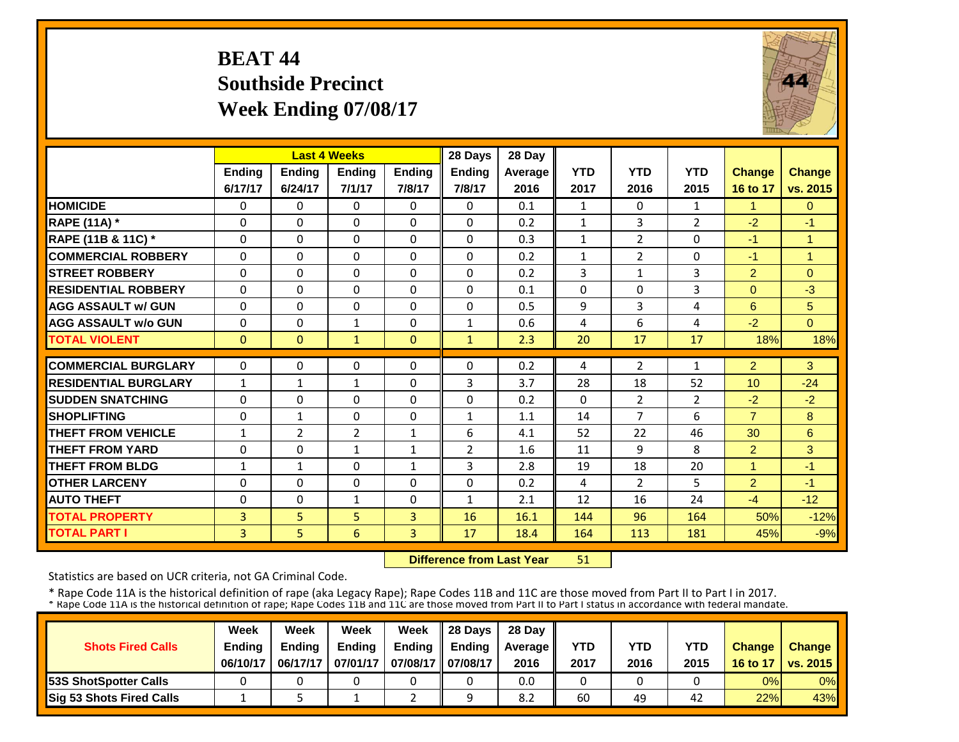# **BEAT 44 Southside Precinct Week Ending 07/08/17**



|                             |              | <b>Last 4 Weeks</b> |                |               | 28 Days        | 28 Day  |              |                |                |                |                      |
|-----------------------------|--------------|---------------------|----------------|---------------|----------------|---------|--------------|----------------|----------------|----------------|----------------------|
|                             | Ending       | Ending              | <b>Ending</b>  | <b>Ending</b> | <b>Ending</b>  | Average | <b>YTD</b>   | <b>YTD</b>     | <b>YTD</b>     | <b>Change</b>  | <b>Change</b>        |
|                             | 6/17/17      | 6/24/17             | 7/1/17         | 7/8/17        | 7/8/17         | 2016    | 2017         | 2016           | 2015           | 16 to 17       | vs. 2015             |
| <b>HOMICIDE</b>             | 0            | 0                   | $\mathbf{0}$   | 0             | $\Omega$       | 0.1     | 1            | $\Omega$       | $\mathbf{1}$   | $\mathbf{1}$   | $\Omega$             |
| <b>RAPE (11A) *</b>         | $\Omega$     | $\Omega$            | $\Omega$       | $\Omega$      | $\Omega$       | 0.2     | $\mathbf{1}$ | 3              | $\overline{2}$ | $-2$           | $-1$                 |
| RAPE (11B & 11C) *          | $\Omega$     | $\Omega$            | $\Omega$       | $\Omega$      | $\Omega$       | 0.3     | $\mathbf{1}$ | $\overline{2}$ | $\Omega$       | $-1$           | $\mathbf{1}$         |
| <b>COMMERCIAL ROBBERY</b>   | $\Omega$     | $\Omega$            | $\Omega$       | $\Omega$      | $\Omega$       | 0.2     | $\mathbf{1}$ | $\overline{2}$ | 0              | $-1$           | $\blacktriangleleft$ |
| <b>STREET ROBBERY</b>       | $\Omega$     | $\Omega$            | 0              | 0             | $\Omega$       | 0.2     | 3            | 1              | 3              | $\overline{2}$ | $\Omega$             |
| <b>RESIDENTIAL ROBBERY</b>  | 0            | $\Omega$            | 0              | $\Omega$      | $\Omega$       | 0.1     | $\mathbf{0}$ | $\Omega$       | 3              | $\Omega$       | $-3$                 |
| <b>AGG ASSAULT w/ GUN</b>   | $\Omega$     | 0                   | $\Omega$       | $\Omega$      | 0              | 0.5     | 9            | 3              | 4              | 6              | 5 <sup>5</sup>       |
| <b>AGG ASSAULT w/o GUN</b>  | $\Omega$     | 0                   | $\mathbf{1}$   | $\Omega$      | $\mathbf{1}$   | 0.6     | 4            | 6              | 4              | $-2$           | $\Omega$             |
| <b>TOTAL VIOLENT</b>        | $\Omega$     | $\Omega$            | $\mathbf{1}$   | $\Omega$      | $\mathbf{1}$   | 2.3     | 20           | 17             | 17             | 18%            | 18%                  |
| <b>COMMERCIAL BURGLARY</b>  | $\Omega$     | 0                   | $\Omega$       | 0             | $\Omega$       | 0.2     | 4            | $\overline{2}$ | 1              | $\overline{2}$ | 3                    |
| <b>RESIDENTIAL BURGLARY</b> |              |                     |                | $\Omega$      |                | 3.7     | 28           | 18             |                | 10             |                      |
|                             | $\mathbf{1}$ | 1                   | $\mathbf{1}$   |               | 3              |         |              |                | 52             |                | $-24$                |
| <b>SUDDEN SNATCHING</b>     | $\Omega$     | $\Omega$            | $\Omega$       | $\Omega$      | $\Omega$       | 0.2     | $\Omega$     | $\overline{2}$ | $\overline{2}$ | $-2$           | $-2$                 |
| <b>SHOPLIFTING</b>          | $\Omega$     | $\mathbf{1}$        | $\Omega$       | $\Omega$      | $\mathbf{1}$   | 1.1     | 14           | $\overline{7}$ | 6              | $\overline{7}$ | 8                    |
| <b>THEFT FROM VEHICLE</b>   | $\mathbf{1}$ | $\overline{2}$      | $\overline{2}$ | $\mathbf{1}$  | 6              | 4.1     | 52           | 22             | 46             | 30             | 6                    |
| <b>THEFT FROM YARD</b>      | $\Omega$     | $\Omega$            | $\mathbf{1}$   | $\mathbf{1}$  | $\overline{2}$ | 1.6     | 11           | 9              | 8              | $\overline{2}$ | 3                    |
| <b>THEFT FROM BLDG</b>      | $\mathbf{1}$ | $\mathbf{1}$        | $\Omega$       | $\mathbf{1}$  | 3              | 2.8     | 19           | 18             | 20             | $\mathbf{1}$   | $-1$                 |
| <b>OTHER LARCENY</b>        | $\Omega$     | $\Omega$            | $\Omega$       | $\Omega$      | $\Omega$       | 0.2     | 4            | $\overline{2}$ | 5.             | $\overline{2}$ | $-1$                 |
| <b>AUTO THEFT</b>           | $\Omega$     | $\Omega$            | $\mathbf{1}$   | $\Omega$      | $\mathbf{1}$   | 2.1     | 12           | 16             | 24             | $-4$           | $-12$                |
| <b>TOTAL PROPERTY</b>       | 3            | 5                   | 5              | 3             | 16             | 16.1    | 144          | 96             | 164            | 50%            | $-12%$               |
| <b>TOTAL PART I</b>         | 3            | 5                   | 6              | 3             | 17             | 18.4    | 164          | 113            | 181            | 45%            | $-9%$                |

 **Difference from Last Year**51

Statistics are based on UCR criteria, not GA Criminal Code.

|                               | Week          | Week          | Week          | Week              | $\parallel$ 28 Davs | 28 Day    |      |      |      |               |                     |
|-------------------------------|---------------|---------------|---------------|-------------------|---------------------|-----------|------|------|------|---------------|---------------------|
| <b>Shots Fired Calls</b>      | <b>Ending</b> | <b>Ending</b> | <b>Ending</b> | <b>Ending</b>     | <b>Ending</b>       | Average I | YTD  | YTD  | YTD  | <b>Change</b> | <b>Change</b>       |
|                               | 06/10/17      | 06/17/17      | 07/01/17      | 07/08/17 07/08/17 |                     | 2016      | 2017 | 2016 | 2015 |               | 16 to 17   vs. 2015 |
| <b>153S ShotSpotter Calls</b> |               |               |               |                   |                     | 0.0       |      |      |      | 0%            | $0\%$               |
| Sig 53 Shots Fired Calls      |               |               |               |                   |                     | 8.2       | 60   | 49   | 42   | 22%           | 43%                 |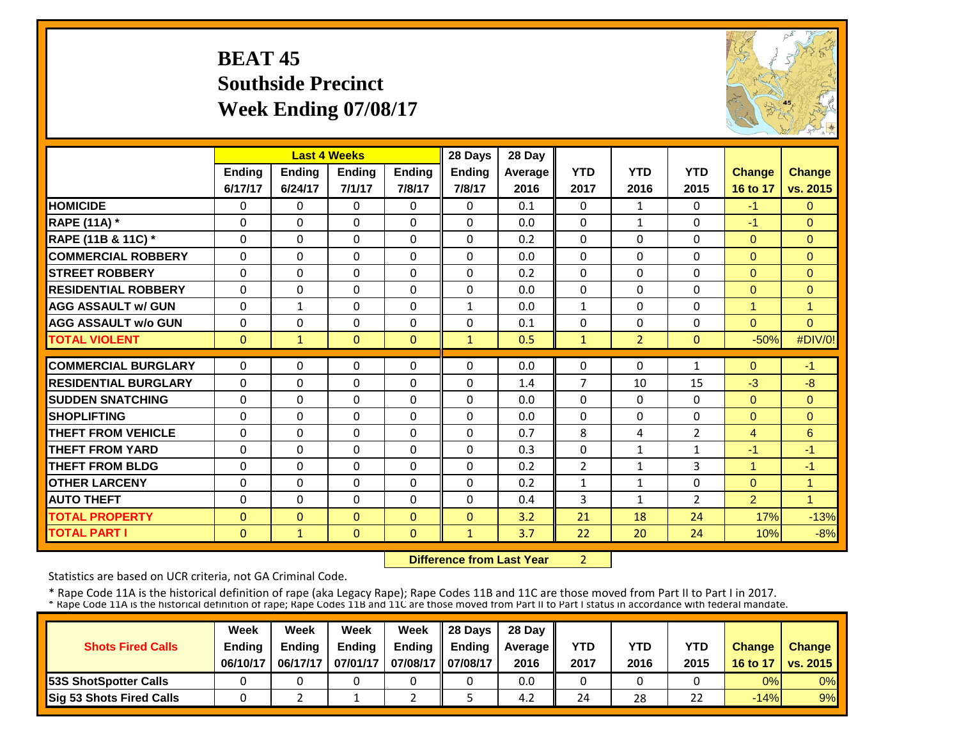# **BEAT 45 Southside Precinct Week Ending 07/08/17**



|                             |               | <b>Last 4 Weeks</b> |               |               | 28 Days        | 28 Day  |                |                |                |                |                |
|-----------------------------|---------------|---------------------|---------------|---------------|----------------|---------|----------------|----------------|----------------|----------------|----------------|
|                             | <b>Ending</b> | <b>Ending</b>       | <b>Endina</b> | <b>Ending</b> | <b>Endina</b>  | Average | <b>YTD</b>     | <b>YTD</b>     | <b>YTD</b>     | <b>Change</b>  | <b>Change</b>  |
|                             | 6/17/17       | 6/24/17             | 7/1/17        | 7/8/17        | 7/8/17         | 2016    | 2017           | 2016           | 2015           | 16 to 17       | vs. 2015       |
| <b>HOMICIDE</b>             | 0             | $\Omega$            | $\Omega$      | $\Omega$      | 0              | 0.1     | $\Omega$       | $\mathbf{1}$   | 0              | $-1$           | $\Omega$       |
| <b>RAPE (11A) *</b>         | $\Omega$      | $\Omega$            | $\Omega$      | $\Omega$      | $\Omega$       | 0.0     | $\Omega$       | $\mathbf{1}$   | 0              | $-1$           | $\Omega$       |
| RAPE (11B & 11C) *          | $\Omega$      | $\Omega$            | $\Omega$      | $\Omega$      | $\Omega$       | 0.2     | $\Omega$       | $\Omega$       | 0              | $\Omega$       | $\Omega$       |
| <b>COMMERCIAL ROBBERY</b>   | $\mathbf{0}$  | $\Omega$            | $\Omega$      | $\Omega$      | $\Omega$       | 0.0     | $\Omega$       | $\Omega$       | 0              | $\Omega$       | $\Omega$       |
| <b>STREET ROBBERY</b>       | 0             | $\Omega$            | $\Omega$      | $\Omega$      | 0              | 0.2     | $\mathbf 0$    | 0              | 0              | $\overline{0}$ | $\mathbf{0}$   |
| <b>RESIDENTIAL ROBBERY</b>  | $\mathbf{0}$  | $\Omega$            | $\Omega$      | $\Omega$      | 0              | 0.0     | $\Omega$       | $\Omega$       | 0              | $\Omega$       | $\Omega$       |
| <b>AGG ASSAULT w/ GUN</b>   | $\Omega$      | $\mathbf{1}$        | $\Omega$      | $\Omega$      | $\mathbf{1}$   | 0.0     | $\mathbf{1}$   | $\Omega$       | 0              | $\overline{1}$ | $\overline{1}$ |
| <b>AGG ASSAULT w/o GUN</b>  | $\Omega$      | $\Omega$            | $\Omega$      | $\Omega$      | 0              | 0.1     | $\Omega$       | $\Omega$       | 0              | $\Omega$       | $\Omega$       |
| <b>TOTAL VIOLENT</b>        | $\mathbf{0}$  | $\mathbf{1}$        | $\mathbf{0}$  | $\mathbf{0}$  | $\mathbf{1}$   | 0.5     | $\mathbf{1}$   | $\overline{2}$ | $\overline{0}$ | $-50%$         | #DIV/0!        |
| <b>COMMERCIAL BURGLARY</b>  | $\Omega$      | $\Omega$            | $\Omega$      | $\Omega$      | 0              | 0.0     | $\Omega$       | $\Omega$       | $\mathbf{1}$   | $\Omega$       | $-1$           |
| <b>RESIDENTIAL BURGLARY</b> | $\Omega$      | $\Omega$            | $\Omega$      | $\Omega$      | $\Omega$       | 1.4     | $\overline{7}$ | 10             | 15             | $-3$           | $-8$           |
| <b>SUDDEN SNATCHING</b>     | $\Omega$      | $\Omega$            | $\Omega$      | 0             | 0              | 0.0     | $\Omega$       | $\Omega$       | 0              | $\mathbf{0}$   | $\Omega$       |
| <b>SHOPLIFTING</b>          | 0             | $\Omega$            | 0             | 0             | 0              | 0.0     | $\Omega$       | $\Omega$       | 0              | $\mathbf{0}$   | $\mathbf{0}$   |
| <b>THEFT FROM VEHICLE</b>   | $\Omega$      | $\Omega$            | $\Omega$      | $\Omega$      | $\Omega$       | 0.7     | 8              | 4              | 2              | 4              | 6              |
| <b>THEFT FROM YARD</b>      | 0             | $\Omega$            | $\Omega$      | $\Omega$      | 0              | 0.3     | $\Omega$       | $\mathbf{1}$   | 1              | $-1$           | $-1$           |
| <b>THEFT FROM BLDG</b>      | 0             | $\Omega$            | $\Omega$      | $\Omega$      | 0              | 0.2     | $\overline{2}$ | 1              | 3              | 4              | $-1$           |
| <b>OTHER LARCENY</b>        | $\Omega$      | $\Omega$            | $\Omega$      | 0             | 0              | 0.2     | $\mathbf{1}$   | $\mathbf{1}$   | 0              | $\Omega$       | $\overline{1}$ |
| <b>AUTO THEFT</b>           | $\Omega$      | $\Omega$            | $\Omega$      | 0             | 0              | 0.4     | 3              | $\mathbf{1}$   | $\overline{2}$ | $\overline{2}$ | $\overline{1}$ |
| <b>TOTAL PROPERTY</b>       | $\Omega$      | $\Omega$            | $\Omega$      | $\Omega$      | $\overline{0}$ | 3.2     | 21             | 18             | 24             | 17%            | $-13%$         |
| <b>TOTAL PART I</b>         | $\mathbf{0}$  | $\mathbf{1}$        | $\mathbf{0}$  | $\mathbf{0}$  | $\mathbf{1}$   | 3.7     | 22             | 20             | 24             | 10%            | $-8%$          |

 **Difference from Last Year**2

Statistics are based on UCR criteria, not GA Criminal Code.

|                               | Week          | Week          | Week          | Week              | $\parallel$ 28 Davs | 28 Day    |      |      |      |               |                     |
|-------------------------------|---------------|---------------|---------------|-------------------|---------------------|-----------|------|------|------|---------------|---------------------|
| <b>Shots Fired Calls</b>      | <b>Ending</b> | <b>Ending</b> | <b>Ending</b> | <b>Ending</b>     | <b>Ending</b>       | Average I | YTD  | YTD  | YTD  | <b>Change</b> | <b>Change</b>       |
|                               | 06/10/17      | 06/17/17      | 07/01/17      | 07/08/17 07/08/17 |                     | 2016      | 2017 | 2016 | 2015 |               | 16 to 17   vs. 2015 |
| <b>153S ShotSpotter Calls</b> |               |               |               |                   |                     | 0.0       |      |      |      | 0%            | $0\%$               |
| Sig 53 Shots Fired Calls      |               |               |               |                   |                     | 4.2       | 24   | 28   | 22   | $-14%$        | 9%                  |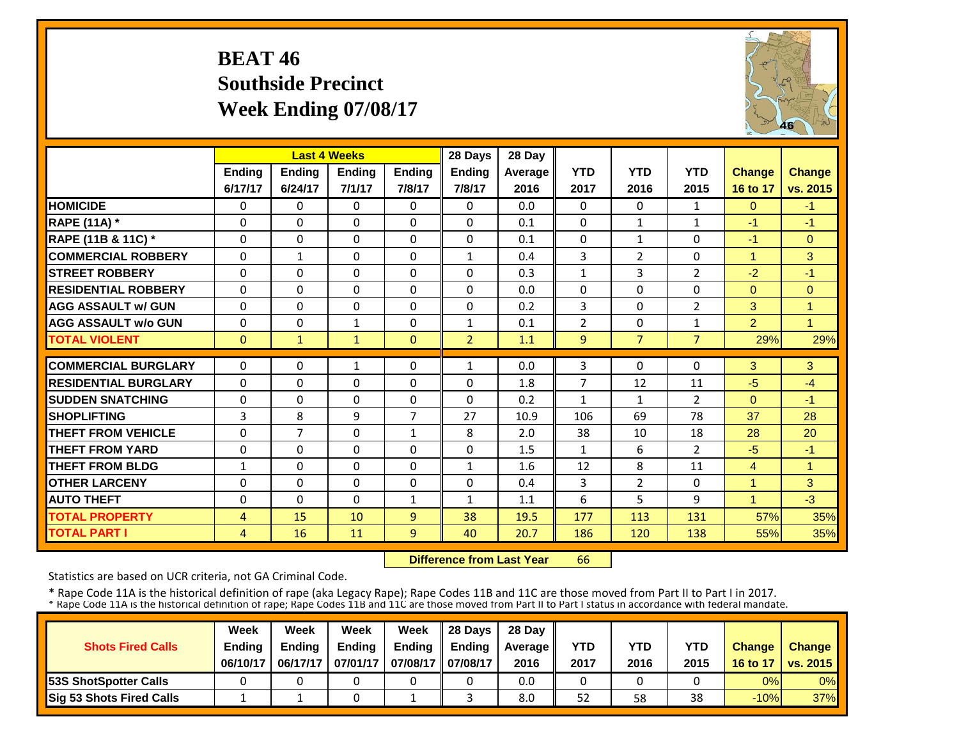# **BEAT 46 Southside Precinct Week Ending 07/08/17**



|                             |                | <b>Last 4 Weeks</b> |               |                | 28 Days        | 28 Day  |                |                |                |                |                |
|-----------------------------|----------------|---------------------|---------------|----------------|----------------|---------|----------------|----------------|----------------|----------------|----------------|
|                             | <b>Ending</b>  | Ending              | <b>Ending</b> | <b>Ending</b>  | <b>Ending</b>  | Average | <b>YTD</b>     | <b>YTD</b>     | <b>YTD</b>     | <b>Change</b>  | Change         |
|                             | 6/17/17        | 6/24/17             | 7/1/17        | 7/8/17         | 7/8/17         | 2016    | 2017           | 2016           | 2015           | 16 to 17       | vs. 2015       |
| <b>HOMICIDE</b>             | $\Omega$       | $\Omega$            | $\Omega$      | 0              | $\Omega$       | 0.0     | $\Omega$       | $\Omega$       | $\mathbf{1}$   | $\mathbf{0}$   | $-1$           |
| <b>RAPE (11A) *</b>         | $\Omega$       | $\Omega$            | $\Omega$      | $\Omega$       | 0              | 0.1     | $\Omega$       | $\mathbf{1}$   | 1              | $-1$           | $-1$           |
| RAPE (11B & 11C) *          | $\Omega$       | $\Omega$            | $\Omega$      | 0              | $\Omega$       | 0.1     | $\Omega$       | $\mathbf{1}$   | 0              | $-1$           | $\Omega$       |
| <b>COMMERCIAL ROBBERY</b>   | $\Omega$       | $\mathbf{1}$        | $\Omega$      | $\Omega$       | $\mathbf{1}$   | 0.4     | $\overline{3}$ | $\overline{2}$ | 0              | 1              | 3              |
| <b>STREET ROBBERY</b>       | $\Omega$       | $\Omega$            | $\Omega$      | $\Omega$       | $\Omega$       | 0.3     | $\mathbf{1}$   | 3              | 2              | $-2$           | $-1$           |
| <b>RESIDENTIAL ROBBERY</b>  | $\Omega$       | $\Omega$            | $\Omega$      | $\Omega$       | $\Omega$       | 0.0     | $\Omega$       | $\Omega$       | 0              | $\Omega$       | $\overline{0}$ |
| <b>AGG ASSAULT w/ GUN</b>   | $\Omega$       | $\Omega$            | 0             | 0              | 0              | 0.2     | 3              | 0              | 2              | 3              | $\overline{1}$ |
| <b>AGG ASSAULT w/o GUN</b>  | $\Omega$       | $\Omega$            | $\mathbf{1}$  | $\Omega$       | 1              | 0.1     | $\overline{2}$ | $\Omega$       | 1              | $\overline{2}$ | 1              |
| <b>TOTAL VIOLENT</b>        | $\Omega$       | $\mathbf{1}$        | $\mathbf{1}$  | $\Omega$       | $\overline{2}$ | 1.1     | 9              | $\overline{7}$ | $\overline{7}$ | 29%            | 29%            |
| <b>COMMERCIAL BURGLARY</b>  | $\Omega$       | $\Omega$            | $\mathbf{1}$  | 0              | $\mathbf{1}$   | 0.0     | 3              | 0              | 0              | 3              | 3              |
| <b>RESIDENTIAL BURGLARY</b> | $\Omega$       | $\Omega$            | $\Omega$      | $\Omega$       | 0              | 1.8     | $\overline{7}$ | 12             | 11             | $-5$           | $-4$           |
| <b>SUDDEN SNATCHING</b>     | $\Omega$       | $\Omega$            | $\Omega$      | $\Omega$       | $\Omega$       | 0.2     | $\mathbf{1}$   |                | $\overline{2}$ | $\Omega$       |                |
|                             |                |                     |               |                |                |         |                | 1              |                |                | $-1$           |
| <b>SHOPLIFTING</b>          | 3              | 8                   | 9             | $\overline{7}$ | 27             | 10.9    | 106            | 69             | 78             | 37             | 28             |
| <b>THEFT FROM VEHICLE</b>   | $\Omega$       | $\overline{7}$      | $\Omega$      | $\mathbf{1}$   | 8              | 2.0     | 38             | 10             | 18             | 28             | 20             |
| <b>THEFT FROM YARD</b>      | $\Omega$       | $\Omega$            | $\Omega$      | 0              | 0              | 1.5     | $\mathbf{1}$   | 6              | $\overline{2}$ | $-5$           | $-1$           |
| <b>THEFT FROM BLDG</b>      | $\mathbf{1}$   | $\Omega$            | $\Omega$      | $\Omega$       | $\mathbf{1}$   | 1.6     | 12             | 8              | 11             | 4              | 1              |
| <b>OTHER LARCENY</b>        | $\Omega$       | $\Omega$            | $\Omega$      | $\Omega$       | $\Omega$       | 0.4     | 3              | $\overline{2}$ | 0              | 1              | 3              |
| <b>AUTO THEFT</b>           | 0              | $\Omega$            | $\Omega$      | $\mathbf{1}$   | $\mathbf{1}$   | 1.1     | 6              | 5              | 9              | 1              | $-3$           |
| <b>TOTAL PROPERTY</b>       | $\overline{4}$ | 15                  | 10            | 9              | 38             | 19.5    | 177            | 113            | 131            | 57%            | 35%            |
| <b>TOTAL PART I</b>         | $\overline{4}$ | 16                  | 11            | 9              | 40             | 20.7    | 186            | 120            | 138            | 55%            | 35%            |

 **Difference from Last Year**66

Statistics are based on UCR criteria, not GA Criminal Code.

|                               | Week          | Week          | Week          | Week              | $\parallel$ 28 Davs | 28 Day    |      |      |      |               |                     |
|-------------------------------|---------------|---------------|---------------|-------------------|---------------------|-----------|------|------|------|---------------|---------------------|
| <b>Shots Fired Calls</b>      | <b>Ending</b> | <b>Ending</b> | <b>Ending</b> | <b>Ending</b>     | <b>Ending</b>       | Average I | YTD  | YTD  | YTD  | <b>Change</b> | <b>Change</b>       |
|                               | 06/10/17      | 06/17/17      | 07/01/17      | 07/08/17 07/08/17 |                     | 2016      | 2017 | 2016 | 2015 |               | 16 to 17   vs. 2015 |
| <b>153S ShotSpotter Calls</b> |               |               |               |                   |                     | 0.0       |      |      |      | 0%            | $0\%$               |
| Sig 53 Shots Fired Calls      |               |               |               |                   |                     | 8.0       | 52   | 58   | 38   | $-10%$        | <b>37%</b>          |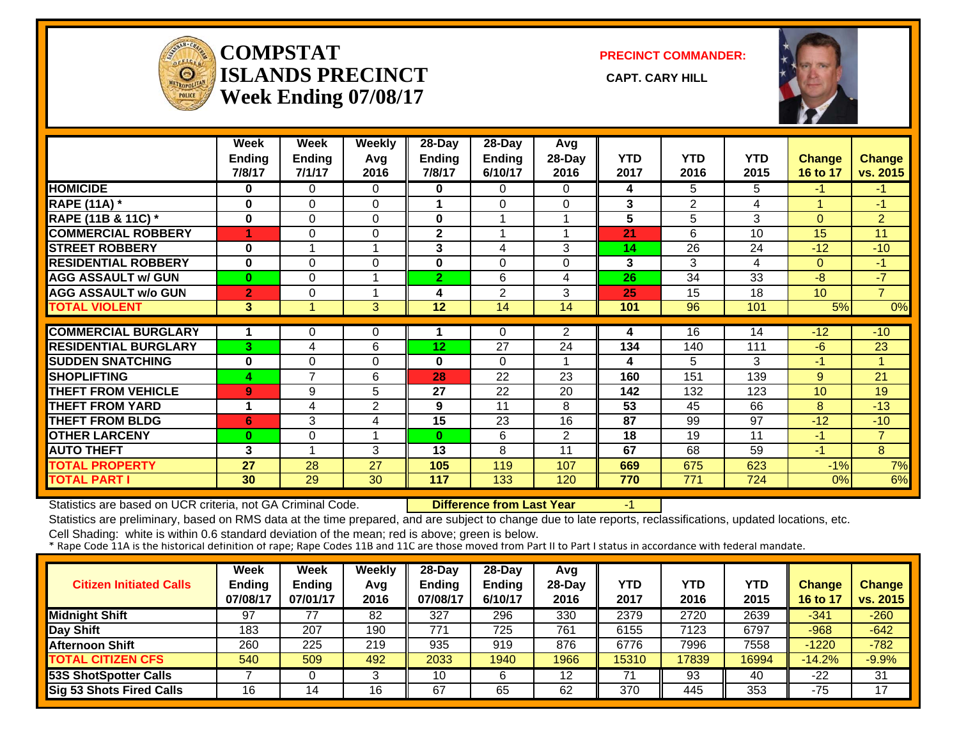

#### **COMPSTATISLANDS PRECINCT** CAPT. CARY HILL **Week Ending 07/08/17**

**PRECINCT COMMANDER:**



|                             | Week<br><b>Ending</b><br>7/8/17 | Week<br><b>Ending</b><br>7/1/17 | <b>Weekly</b><br>Avg<br>2016 | 28-Day<br><b>Ending</b><br>7/8/17 | 28-Day<br><b>Ending</b><br>6/10/17 | Avg<br>28-Day<br>2016 | <b>YTD</b><br>2017 | <b>YTD</b><br>2016 | <b>YTD</b><br>2015 | <b>Change</b><br>16 to 17 | <b>Change</b><br>vs. 2015 |
|-----------------------------|---------------------------------|---------------------------------|------------------------------|-----------------------------------|------------------------------------|-----------------------|--------------------|--------------------|--------------------|---------------------------|---------------------------|
| <b>HOMICIDE</b>             | $\bf{0}$                        | $\mathbf 0$                     | $\Omega$                     | 0                                 | $\Omega$                           | 0                     | 4                  | 5                  | 5                  | -1                        | $-1$                      |
| <b>RAPE (11A) *</b>         | $\bf{0}$                        | $\Omega$                        | $\Omega$                     | 1                                 | $\Omega$                           | $\Omega$              | 3                  | 2                  | 4                  | 4                         | $-1$                      |
| RAPE (11B & 11C) *          | $\bf{0}$                        | 0                               | $\Omega$                     | 0                                 | 1                                  |                       | 5                  | 5                  | 3                  | $\Omega$                  | $\overline{2}$            |
| <b>COMMERCIAL ROBBERY</b>   | 4                               | 0                               | $\Omega$                     | 2                                 | 1                                  |                       | 21                 | 6                  | 10                 | 15                        | 11                        |
| <b>STREET ROBBERY</b>       | 0                               |                                 | $\overline{ }$               | 3                                 | 4                                  | 3                     | 14                 | 26                 | 24                 | $-12$                     | $-10$                     |
| <b>RESIDENTIAL ROBBERY</b>  | 0                               | 0                               | $\Omega$                     | 0                                 | 0                                  | 0                     | 3                  | 3                  | 4                  | $\overline{0}$            | $-1$                      |
| <b>AGG ASSAULT w/ GUN</b>   | $\bf{0}$                        | 0                               |                              | $\overline{2}$                    | 6                                  | 4                     | 26                 | 34                 | 33                 | -8                        | $-7$                      |
| <b>AGG ASSAULT w/o GUN</b>  | $\overline{2}$                  | 0                               |                              | 4                                 | 2                                  | 3                     | 25                 | 15                 | 18                 | 10 <sup>°</sup>           | $\overline{7}$            |
| <b>TOTAL VIOLENT</b>        | 3                               |                                 | 3                            | 12                                | 14                                 | 14                    | 101                | 96                 | 101                | 5%                        | 0%                        |
|                             |                                 |                                 |                              |                                   |                                    |                       |                    |                    |                    |                           |                           |
| <b>COMMERCIAL BURGLARY</b>  |                                 | 0                               | 0                            |                                   | $\Omega$                           | $\overline{2}$        | 4                  | 16                 | 14                 | $-12$                     | $-10^{-}$                 |
| <b>RESIDENTIAL BURGLARY</b> | 3                               | 4                               | 6                            | 12                                | 27                                 | 24                    | 134                | 140                | 111                | $-6$                      | 23                        |
| <b>SUDDEN SNATCHING</b>     | $\bf{0}$                        | 0                               | $\mathbf 0$                  | 0                                 | $\Omega$                           |                       | 4                  | 5                  | 3                  | $-1$                      | $\mathbf{1}$              |
| <b>SHOPLIFTING</b>          | 4                               | 7                               | 6                            | 28                                | 22                                 | 23                    | 160                | 151                | 139                | 9                         | 21                        |
| <b>THEFT FROM VEHICLE</b>   | 9                               | 9                               | 5                            | 27                                | 22                                 | 20                    | 142                | 132                | 123                | 10                        | 19                        |
| <b>THEFT FROM YARD</b>      | 1                               | 4                               | $\overline{2}$               | 9                                 | 11                                 | 8                     | 53                 | 45                 | 66                 | 8                         | $-13$                     |
| <b>THEFT FROM BLDG</b>      | 6                               | 3                               | 4                            | 15                                | 23                                 | 16                    | 87                 | 99                 | 97                 | $-12$                     | $-10$                     |
| <b>OTHER LARCENY</b>        | $\bf{0}$                        | 0                               |                              | 0                                 | 6                                  | $\overline{2}$        | 18                 | 19                 | 11                 | $-1$                      | $\overline{7}$            |
| <b>AUTO THEFT</b>           | 3                               |                                 | 3                            | 13                                | 8                                  | 11                    | 67                 | 68                 | 59                 | $-1$                      | 8                         |
| <b>TOTAL PROPERTY</b>       | 27                              | 28                              | 27                           | 105                               | 119                                | 107                   | 669                | 675                | 623                | $-1%$                     | 7%                        |
| <b>TOTAL PART I</b>         | 30                              | 29                              | 30                           | 117                               | 133                                | 120                   | 770                | 771                | 724                | 0%                        | 6%                        |

Statistics are based on UCR criteria, not GA Criminal Code. **Difference from Last Year** -1

Statistics are preliminary, based on RMS data at the time prepared, and are subject to change due to late reports, reclassifications, updated locations, etc.

| <b>Citizen Initiated Calls</b>  | <b>Week</b><br><b>Ending</b><br>07/08/17 | <b>Week</b><br><b>Ending</b><br>07/01/17 | Weekly<br>Avg<br>2016 | 28-Day<br><b>Ending</b><br>07/08/17 | 28-Day<br><b>Ending</b><br>6/10/17 | Avg<br>$28-Day$<br>2016 | <b>YTD</b><br>2017 | YTD<br>2016 | YTD<br>2015 | <b>Change</b><br>16 to 17 | <b>Change</b><br>vs. 2015 |
|---------------------------------|------------------------------------------|------------------------------------------|-----------------------|-------------------------------------|------------------------------------|-------------------------|--------------------|-------------|-------------|---------------------------|---------------------------|
| <b>Midnight Shift</b>           | 97                                       |                                          | 82                    | 327                                 | 296                                | 330                     | 2379               | 2720        | 2639        | $-341$                    | $-260$                    |
| Day Shift                       | 183                                      | 207                                      | 190                   | 771                                 | 725                                | 761                     | 6155               | 7123        | 6797        | $-968$                    | $-642$                    |
| <b>Afternoon Shift</b>          | 260                                      | 225                                      | 219                   | 935                                 | 919                                | 876                     | 6776               | 7996        | 7558        | $-1220$                   | $-782$                    |
| <b>TOTAL CITIZEN CFS</b>        | 540                                      | 509                                      | 492                   | 2033                                | 1940                               | 1966                    | 15310              | 17839       | 16994       | $-14.2%$                  | $-9.9%$                   |
| <b>53S ShotSpotter Calls</b>    |                                          |                                          |                       | 10                                  | 6                                  | 12                      | 71                 | 93          | -40         | $-22$                     | 31                        |
| <b>Sig 53 Shots Fired Calls</b> | 16                                       | ٬4                                       | 16                    | 67                                  | 65                                 | 62                      | 370                | 445         | 353         | $-75$                     | 17                        |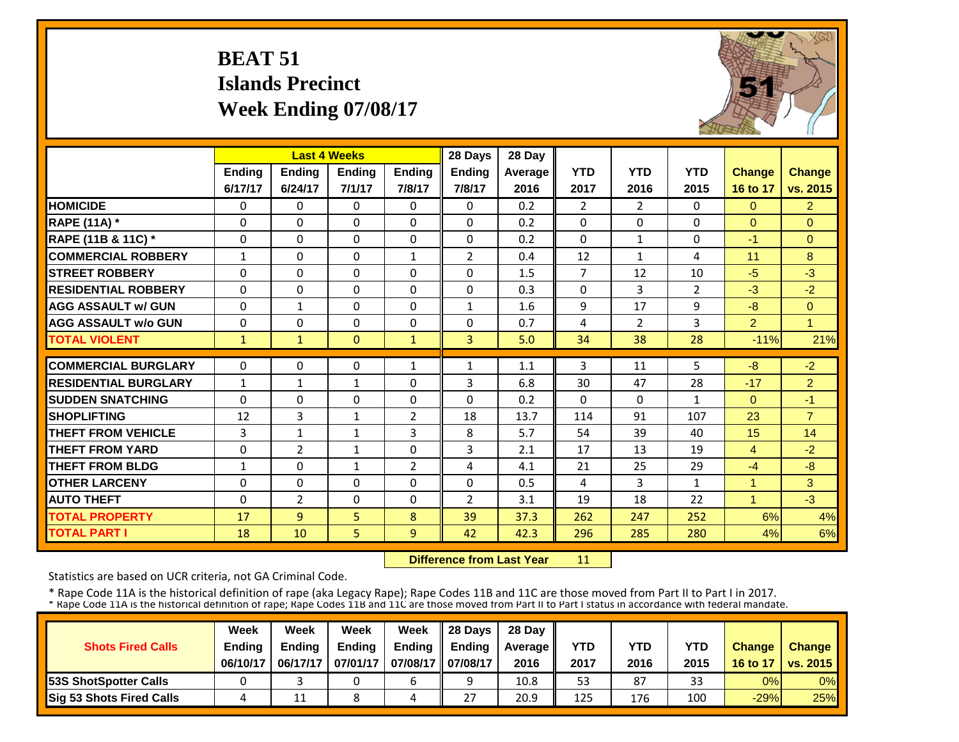# **BEAT 51 Islands PrecinctWeek Ending 07/08/17**



|                             |              | <b>Last 4 Weeks</b> |               |                | 28 Days        | 28 Day  |                |                |                |                |                      |
|-----------------------------|--------------|---------------------|---------------|----------------|----------------|---------|----------------|----------------|----------------|----------------|----------------------|
|                             | Ending       | Ending              | <b>Ending</b> | <b>Endina</b>  | Ending         | Average | <b>YTD</b>     | <b>YTD</b>     | <b>YTD</b>     | <b>Change</b>  | <b>Change</b>        |
|                             | 6/17/17      | 6/24/17             | 7/1/17        | 7/8/17         | 7/8/17         | 2016    | 2017           | 2016           | 2015           | 16 to 17       | vs. 2015             |
| <b>HOMICIDE</b>             | $\Omega$     | $\Omega$            | $\Omega$      | $\Omega$       | $\Omega$       | 0.2     | $\overline{2}$ | $\overline{2}$ | $\Omega$       | $\Omega$       | 2                    |
| <b>RAPE (11A) *</b>         | $\Omega$     | $\Omega$            | $\Omega$      | $\Omega$       | $\Omega$       | 0.2     | $\Omega$       | $\Omega$       | $\Omega$       | $\Omega$       | $\Omega$             |
| RAPE (11B & 11C) *          | $\Omega$     | $\Omega$            | $\Omega$      | $\Omega$       | $\Omega$       | 0.2     | $\Omega$       | $\mathbf{1}$   | $\Omega$       | $-1$           | $\Omega$             |
| <b>COMMERCIAL ROBBERY</b>   | $\mathbf{1}$ | $\Omega$            | $\Omega$      | $\mathbf{1}$   | $\overline{2}$ | 0.4     | 12             | $\mathbf{1}$   | 4              | 11             | 8                    |
| <b>STREET ROBBERY</b>       | 0            | $\Omega$            | $\Omega$      | $\Omega$       | $\Omega$       | 1.5     | $\overline{7}$ | 12             | 10             | $-5$           | $-3$                 |
| <b>RESIDENTIAL ROBBERY</b>  | $\Omega$     | $\Omega$            | $\Omega$      | $\Omega$       | $\Omega$       | 0.3     | $\mathbf{0}$   | 3              | $\overline{2}$ | $-3$           | $-2$                 |
| <b>AGG ASSAULT w/ GUN</b>   | $\Omega$     | $\mathbf{1}$        | $\Omega$      | $\Omega$       | $\mathbf{1}$   | 1.6     | 9              | 17             | 9              | -8             | $\Omega$             |
| <b>AGG ASSAULT w/o GUN</b>  | $\Omega$     | 0                   | $\Omega$      | $\Omega$       | $\Omega$       | 0.7     | 4              | $\overline{2}$ | 3              | $\overline{2}$ | $\blacktriangleleft$ |
| <b>TOTAL VIOLENT</b>        | $\mathbf{1}$ | $\mathbf{1}$        | $\mathbf{0}$  | $\mathbf{1}$   | 3              | 5.0     | 34             | 38             | 28             | $-11%$         | 21%                  |
| <b>COMMERCIAL BURGLARY</b>  | $\Omega$     | $\Omega$            | $\Omega$      | $\mathbf{1}$   | $\mathbf{1}$   | 1.1     | 3              | 11             | 5              | $-8$           | $-2$                 |
| <b>RESIDENTIAL BURGLARY</b> |              |                     |               | $\Omega$       | 3              | 6.8     | 30             | 47             | 28             |                |                      |
|                             | $\mathbf{1}$ | 1                   | $\mathbf{1}$  |                |                |         |                |                |                | $-17$          | $\overline{2}$       |
| <b>SUDDEN SNATCHING</b>     | $\Omega$     | 0                   | 0             | $\Omega$       | $\Omega$       | 0.2     | $\Omega$       | $\Omega$       | $\mathbf{1}$   | $\Omega$       | $-1$                 |
| <b>SHOPLIFTING</b>          | 12           | 3                   | 1             | $\overline{2}$ | 18             | 13.7    | 114            | 91             | 107            | 23             | $\overline{7}$       |
| <b>THEFT FROM VEHICLE</b>   | 3            | $\mathbf{1}$        | 1             | 3              | 8              | 5.7     | 54             | 39             | 40             | 15             | 14                   |
| <b>THEFT FROM YARD</b>      | $\Omega$     | 2                   | 1             | $\Omega$       | 3              | 2.1     | 17             | 13             | 19             | $\overline{4}$ | $-2$                 |
| <b>THEFT FROM BLDG</b>      | 1            | $\Omega$            | 1             | $\overline{2}$ | 4              | 4.1     | 21             | 25             | 29             | $-4$           | $-8$                 |
| <b>OTHER LARCENY</b>        | $\Omega$     | 0                   | $\Omega$      | $\Omega$       | $\Omega$       | 0.5     | 4              | 3              | $\mathbf{1}$   | 1              | 3                    |
| <b>AUTO THEFT</b>           | $\Omega$     | 2                   | $\Omega$      | $\Omega$       | $\overline{2}$ | 3.1     | 19             | 18             | 22             | $\mathbf{1}$   | $-3$                 |
| <b>TOTAL PROPERTY</b>       | 17           | 9                   | 5             | 8              | 39             | 37.3    | 262            | 247            | 252            | 6%             | 4%                   |
| <b>TOTAL PART I</b>         | 18           | 10                  | 5             | 9              | 42             | 42.3    | 296            | 285            | 280            | 4%             | 6%                   |

 **Difference from Last Year**11

Statistics are based on UCR criteria, not GA Criminal Code.

|                               | Week     | Week          | Week          | Week              | $\parallel$ 28 Davs | 28 Day    |      |      |      |               |                     |
|-------------------------------|----------|---------------|---------------|-------------------|---------------------|-----------|------|------|------|---------------|---------------------|
| <b>Shots Fired Calls</b>      | Ending   | <b>Ending</b> | <b>Ending</b> | <b>Ending</b>     | <b>Ending</b>       | Average I | YTD  | YTD  | YTD  | <b>Change</b> | <b>Change</b>       |
|                               | 06/10/17 | 06/17/17      | 07/01/17      | 07/08/17 07/08/17 |                     | 2016      | 2017 | 2016 | 2015 |               | 16 to 17   vs. 2015 |
| <b>153S ShotSpotter Calls</b> |          |               |               |                   |                     | 10.8      | 53   | 87   | 33   | 0%            | $0\%$               |
| Sig 53 Shots Fired Calls      |          | 11            |               | 4                 | 27                  | 20.9      | 125  | 176  | 100  | $-29%$        | 25%                 |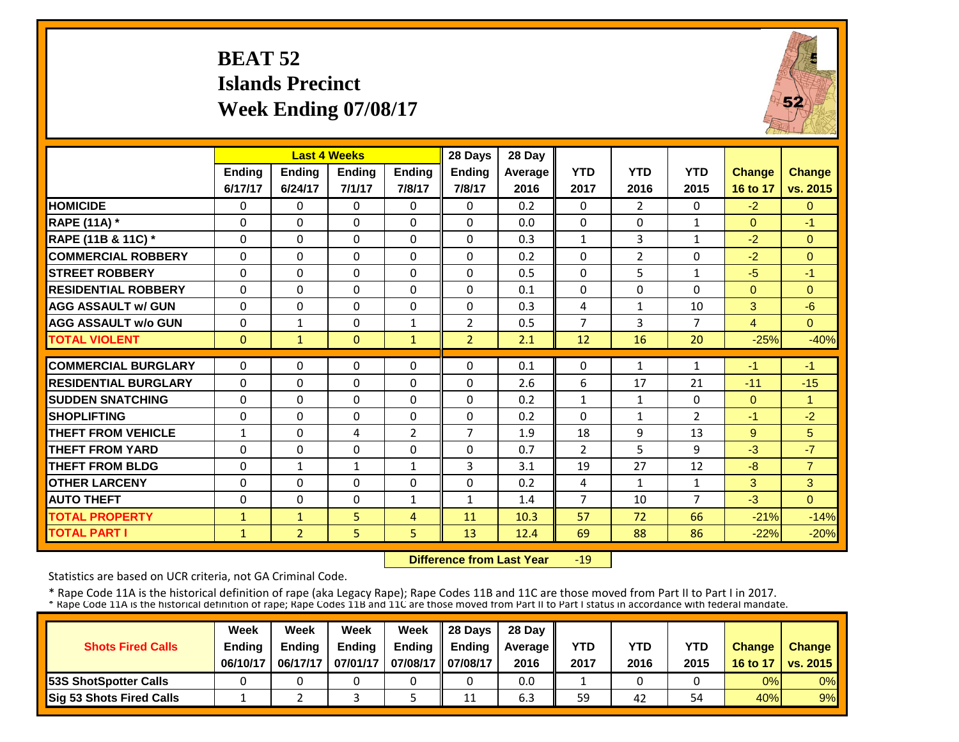# **BEAT 52 Islands PrecinctWeek Ending 07/08/17**



|                             |               | <b>Last 4 Weeks</b> |               |                | 28 Days        | 28 Day  |                |                |                |                |                |
|-----------------------------|---------------|---------------------|---------------|----------------|----------------|---------|----------------|----------------|----------------|----------------|----------------|
|                             | <b>Ending</b> | <b>Ending</b>       | <b>Ending</b> | <b>Endina</b>  | <b>Ending</b>  | Average | <b>YTD</b>     | <b>YTD</b>     | <b>YTD</b>     | <b>Change</b>  | <b>Change</b>  |
|                             | 6/17/17       | 6/24/17             | 7/1/17        | 7/8/17         | 7/8/17         | 2016    | 2017           | 2016           | 2015           | 16 to 17       | vs. 2015       |
| <b>HOMICIDE</b>             | 0             | $\Omega$            | $\Omega$      | $\Omega$       | 0              | 0.2     | $\Omega$       | $\overline{2}$ | 0              | $-2$           | $\overline{0}$ |
| <b>RAPE (11A) *</b>         | $\Omega$      | $\Omega$            | $\Omega$      | $\Omega$       | 0              | 0.0     | $\Omega$       | $\Omega$       | $\mathbf{1}$   | $\Omega$       | $-1$           |
| RAPE (11B & 11C) *          | $\mathbf 0$   | $\Omega$            | $\Omega$      | $\Omega$       | 0              | 0.3     | $\mathbf{1}$   | 3              | 1              | $-2$           | $\Omega$       |
| <b>COMMERCIAL ROBBERY</b>   | $\Omega$      | $\Omega$            | $\Omega$      | $\Omega$       | 0              | 0.2     | $\Omega$       | $\overline{2}$ | 0              | $-2$           | $\Omega$       |
| <b>ISTREET ROBBERY</b>      | $\Omega$      | $\Omega$            | $\Omega$      | $\Omega$       | $\Omega$       | 0.5     | $\Omega$       | 5              | 1              | $-5$           | $-1$           |
| <b>RESIDENTIAL ROBBERY</b>  | $\Omega$      | $\Omega$            | $\Omega$      | 0              | $\Omega$       | 0.1     | $\Omega$       | $\Omega$       | 0              | $\Omega$       | $\Omega$       |
| <b>AGG ASSAULT w/ GUN</b>   | $\Omega$      | $\Omega$            | $\Omega$      | $\Omega$       | 0              | 0.3     | 4              | $\mathbf{1}$   | 10             | 3              | $-6$           |
| <b>AGG ASSAULT w/o GUN</b>  | 0             | 1                   | $\Omega$      | $\mathbf{1}$   | $\overline{2}$ | 0.5     | $\overline{7}$ | 3              | $\overline{7}$ | $\overline{4}$ | $\Omega$       |
| <b>TOTAL VIOLENT</b>        | $\Omega$      | $\mathbf{1}$        | $\Omega$      | $\mathbf{1}$   | $\overline{2}$ | 2.1     | 12             | 16             | 20             | $-25%$         | $-40%$         |
| <b>COMMERCIAL BURGLARY</b>  | $\Omega$      | $\Omega$            | $\Omega$      | $\Omega$       | 0              | 0.1     | $\Omega$       | $\mathbf{1}$   | $\mathbf{1}$   | $-1$           | $-1$           |
| <b>RESIDENTIAL BURGLARY</b> | $\Omega$      | $\Omega$            | $\Omega$      | $\Omega$       | $\Omega$       | 2.6     | 6              | 17             | 21             | $-11$          | $-15$          |
|                             |               |                     |               |                |                |         |                |                |                |                |                |
| <b>SUDDEN SNATCHING</b>     | 0             | $\Omega$            | $\Omega$      | $\Omega$       | 0              | 0.2     | $\mathbf{1}$   | $\mathbf{1}$   | 0              | $\Omega$       | $\mathbf{1}$   |
| <b>SHOPLIFTING</b>          | $\Omega$      | $\Omega$            | $\Omega$      | $\Omega$       | 0              | 0.2     | $\Omega$       | 1              | 2              | $-1$           | $-2$           |
| <b>THEFT FROM VEHICLE</b>   | 1             | $\Omega$            | 4             | $\overline{2}$ | $\overline{7}$ | 1.9     | 18             | 9              | 13             | 9              | 5              |
| <b>THEFT FROM YARD</b>      | $\Omega$      | $\Omega$            | $\Omega$      | $\Omega$       | 0              | 0.7     | $\overline{2}$ | 5.             | 9              | $-3$           | $-7$           |
| <b>THEFT FROM BLDG</b>      | $\Omega$      | $\mathbf{1}$        | $\mathbf{1}$  | $\mathbf{1}$   | 3              | 3.1     | 19             | 27             | 12             | $-8$           | $\overline{7}$ |
| <b>OTHER LARCENY</b>        | $\Omega$      | $\Omega$            | $\Omega$      | $\Omega$       | $\Omega$       | 0.2     | 4              | 1              | 1              | 3              | 3              |
| <b>AUTO THEFT</b>           | $\Omega$      | $\Omega$            | $\Omega$      | $\mathbf{1}$   | $\mathbf{1}$   | 1.4     | $\overline{7}$ | 10             | 7              | $-3$           | $\Omega$       |
| <b>TOTAL PROPERTY</b>       | $\mathbf{1}$  | $\mathbf{1}$        | 5             | 4              | 11             | 10.3    | 57             | 72             | 66             | $-21%$         | $-14%$         |
| <b>TOTAL PART I</b>         | $\mathbf{1}$  | $\overline{2}$      | 5             | 5              | 13             | 12.4    | 69             | 88             | 86             | $-22%$         | $-20%$         |

 **Difference from Last Year**‐19

Statistics are based on UCR criteria, not GA Criminal Code.

|                               | Week     | Week     | Week          | Week                | Il 28 Davs    | 28 Day         |      |      |      |               |                 |
|-------------------------------|----------|----------|---------------|---------------------|---------------|----------------|------|------|------|---------------|-----------------|
| <b>Shots Fired Calls</b>      | Ending   | Ending   | <b>Ending</b> | <b>Ending</b>       | <b>Ending</b> | <b>Average</b> | YTD  | YTD  | YTD  | <b>Change</b> | <b>Change</b>   |
|                               | 06/10/17 | 06/17/17 | 07/01/17      | 07/08/17   07/08/17 |               | 2016           | 2017 | 2016 | 2015 | 16 to 17      | <b>vs. 2015</b> |
| <b>153S ShotSpotter Calls</b> |          |          |               |                     |               | 0.0            |      |      |      | 0%            | $0\%$           |
| Sig 53 Shots Fired Calls      |          |          |               |                     | 11            | 6.3            | 59   | 42   | 54   | 40%           | 9%              |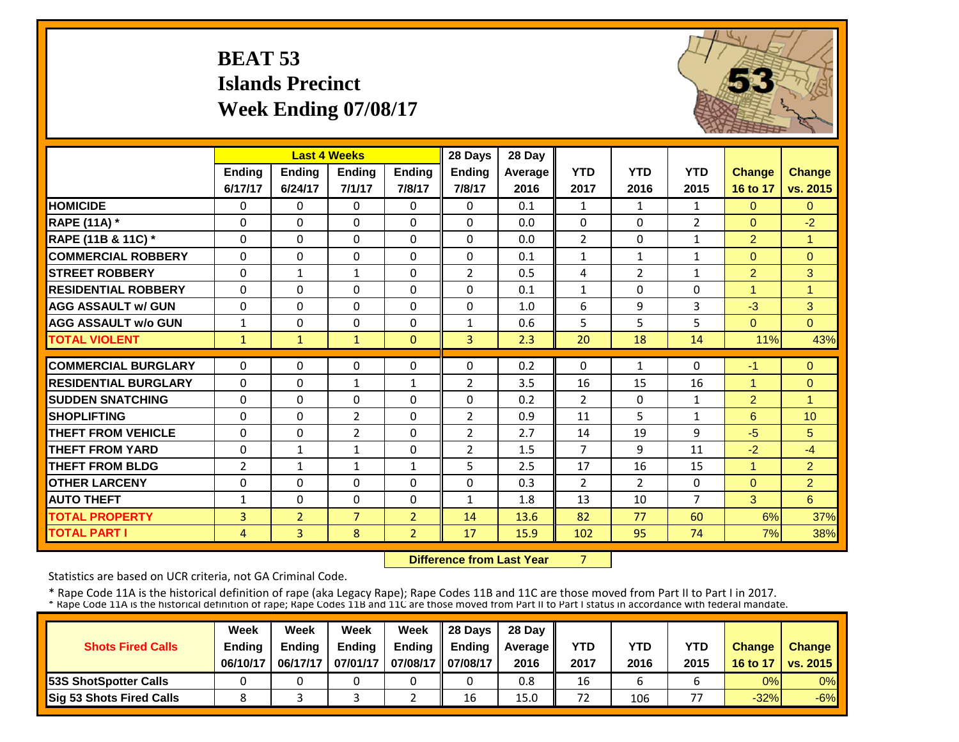# **BEAT 53 Islands PrecinctWeek Ending 07/08/17**



|                             |                | <b>Last 4 Weeks</b> |                |                | 28 Days        | 28 Day         |                |                |                |                |                      |
|-----------------------------|----------------|---------------------|----------------|----------------|----------------|----------------|----------------|----------------|----------------|----------------|----------------------|
|                             | <b>Ending</b>  | <b>Ending</b>       | <b>Endina</b>  | <b>Endina</b>  | <b>Ending</b>  | <b>Average</b> | <b>YTD</b>     | <b>YTD</b>     | <b>YTD</b>     | <b>Change</b>  | <b>Change</b>        |
|                             | 6/17/17        | 6/24/17             | 7/1/17         | 7/8/17         | 7/8/17         | 2016           | 2017           | 2016           | 2015           | 16 to 17       | vs. 2015             |
| <b>HOMICIDE</b>             | $\Omega$       | $\Omega$            | $\mathbf{0}$   | $\Omega$       | $\Omega$       | 0.1            | $\mathbf{1}$   | $\mathbf{1}$   | $\mathbf{1}$   | $\Omega$       | $\Omega$             |
| <b>RAPE (11A) *</b>         | $\Omega$       | $\Omega$            | $\Omega$       | $\Omega$       | $\Omega$       | 0.0            | $\mathbf{0}$   | $\Omega$       | $\overline{2}$ | $\Omega$       | $-2$                 |
| RAPE (11B & 11C) *          | 0              | $\mathbf{0}$        | $\Omega$       | $\Omega$       | $\Omega$       | 0.0            | $\overline{2}$ | $\Omega$       | $\mathbf{1}$   | $\overline{2}$ | $\mathbf{1}$         |
| <b>COMMERCIAL ROBBERY</b>   | $\Omega$       | $\Omega$            | $\Omega$       | $\Omega$       | $\Omega$       | 0.1            | $\mathbf{1}$   | $\mathbf{1}$   | $\mathbf{1}$   | $\Omega$       | $\Omega$             |
| <b>ISTREET ROBBERY</b>      | $\Omega$       | 1                   | $\mathbf{1}$   | $\Omega$       | $\overline{2}$ | 0.5            | 4              | $\overline{2}$ | $\mathbf{1}$   | $\overline{2}$ | 3                    |
| <b>RESIDENTIAL ROBBERY</b>  | $\Omega$       | $\Omega$            | $\Omega$       | $\Omega$       | $\Omega$       | 0.1            | $\mathbf{1}$   | $\Omega$       | $\Omega$       | $\mathbf{1}$   | $\blacktriangleleft$ |
| <b>AGG ASSAULT w/ GUN</b>   | $\Omega$       | $\Omega$            | $\Omega$       | $\Omega$       | $\Omega$       | 1.0            | 6              | 9              | 3              | $-3$           | 3                    |
| <b>AGG ASSAULT w/o GUN</b>  | $\mathbf{1}$   | $\Omega$            | $\Omega$       | $\Omega$       | $\mathbf{1}$   | 0.6            | 5              | 5              | 5              | $\Omega$       | $\overline{0}$       |
| <b>TOTAL VIOLENT</b>        | $\mathbf{1}$   | $\mathbf{1}$        | $\mathbf{1}$   | $\Omega$       | 3              | 2.3            | 20             | 18             | 14             | 11%            | 43%                  |
| <b>COMMERCIAL BURGLARY</b>  | $\Omega$       | 0                   | $\Omega$       | $\Omega$       | $\Omega$       | 0.2            | $\Omega$       | 1              | $\Omega$       | $-1$           | $\Omega$             |
| <b>RESIDENTIAL BURGLARY</b> | $\Omega$       | $\Omega$            | 1              | $\mathbf{1}$   | $\overline{2}$ | 3.5            | 16             | 15             | 16             | $\mathbf{1}$   | $\mathbf{0}$         |
| <b>ISUDDEN SNATCHING</b>    | $\Omega$       | $\Omega$            | $\Omega$       | $\Omega$       | $\Omega$       | 0.2            | $\overline{2}$ | $\Omega$       | $\mathbf{1}$   | $\overline{2}$ | $\overline{1}$       |
| <b>SHOPLIFTING</b>          | $\Omega$       | 0                   | $\overline{2}$ | $\Omega$       | $\overline{2}$ | 0.9            | 11             | 5              | $\mathbf{1}$   | 6              | 10                   |
| <b>THEFT FROM VEHICLE</b>   | $\Omega$       | $\Omega$            | $\overline{2}$ | $\Omega$       | $\overline{2}$ | 2.7            | 14             | 19             | 9              | $-5$           | 5                    |
| <b>THEFT FROM YARD</b>      | $\Omega$       | $\mathbf{1}$        | $\mathbf{1}$   | $\Omega$       | $\overline{2}$ | 1.5            | $\overline{7}$ | 9              | 11             | $-2$           | $-4$                 |
| <b>THEFT FROM BLDG</b>      | $\overline{2}$ | $\mathbf{1}$        | $\mathbf{1}$   | $\mathbf{1}$   | 5              | 2.5            | 17             | 16             | 15             | $\mathbf{1}$   | $\overline{2}$       |
| <b>OTHER LARCENY</b>        | $\Omega$       | 0                   | $\Omega$       | $\Omega$       | 0              | 0.3            | $\overline{2}$ | $\overline{2}$ | $\Omega$       | $\Omega$       | $\overline{2}$       |
| <b>AUTO THEFT</b>           | $\mathbf{1}$   | 0                   | $\Omega$       | $\Omega$       | $\mathbf{1}$   | 1.8            | 13             | 10             | $\overline{7}$ | 3              | 6                    |
| <b>TOTAL PROPERTY</b>       | $\overline{3}$ | $\overline{2}$      | $\overline{7}$ | $\overline{2}$ | 14             | 13.6           | 82             | 77             | 60             | 6%             | 37%                  |
| <b>TOTAL PART I</b>         | $\overline{4}$ | $\overline{3}$      | 8              | $\overline{2}$ | 17             | 15.9           | 102            | 95             | 74             | 7%             | 38%                  |

 **Difference from Last Year**7

Statistics are based on UCR criteria, not GA Criminal Code.

|                               | Week     | Week          | Week          | Week              | $\parallel$ 28 Davs | 28 Day    |      |      |      |               |                     |
|-------------------------------|----------|---------------|---------------|-------------------|---------------------|-----------|------|------|------|---------------|---------------------|
| <b>Shots Fired Calls</b>      | Ending   | <b>Ending</b> | <b>Ending</b> | <b>Ending</b>     | <b>Endina</b>       | Average I | YTD  | YTD  | YTD  | <b>Change</b> | <b>Change</b>       |
|                               | 06/10/17 | 06/17/17      | 07/01/17      | 07/08/17 07/08/17 |                     | 2016      | 2017 | 2016 | 2015 |               | 16 to 17   vs. 2015 |
| <b>153S ShotSpotter Calls</b> |          |               |               |                   |                     | 0.8       | 16   | b    |      | 0%            | $0\%$               |
| Sig 53 Shots Fired Calls      |          |               |               |                   | 16                  | 15.0      | 72   | 106  |      | $-32%$        | $-6%$               |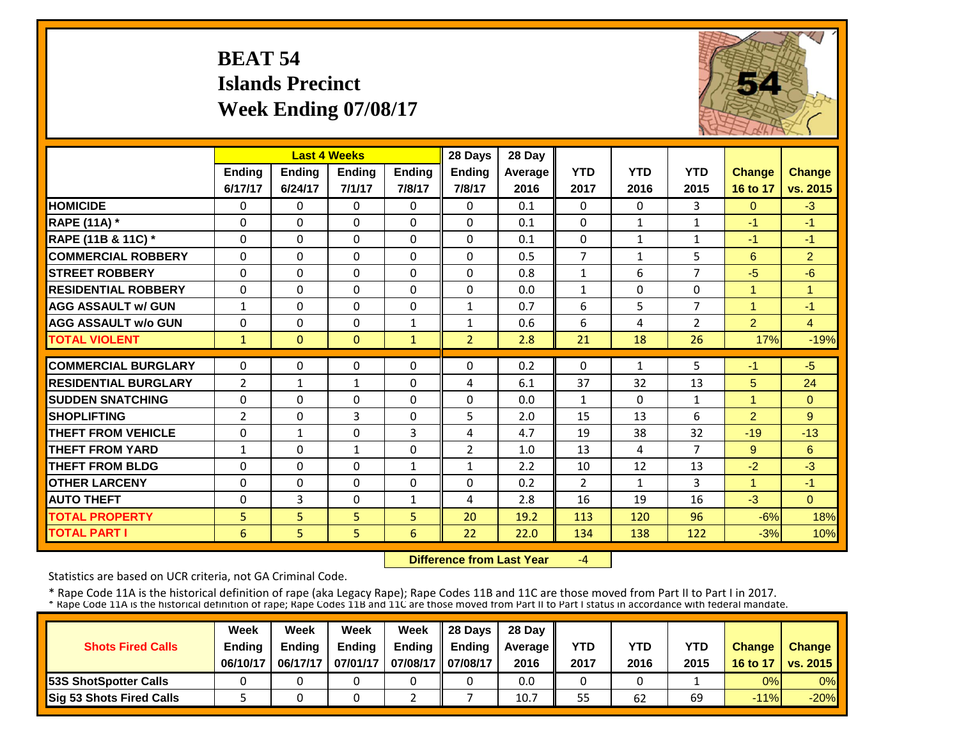# **BEAT 54 Islands PrecinctWeek Ending 07/08/17**



|                             |                | <b>Last 4 Weeks</b> |               |               | 28 Days        | 28 Day         |                |              |                |                |                |
|-----------------------------|----------------|---------------------|---------------|---------------|----------------|----------------|----------------|--------------|----------------|----------------|----------------|
|                             | <b>Ending</b>  | <b>Ending</b>       | <b>Ending</b> | <b>Endina</b> | <b>Ending</b>  | <b>Average</b> | <b>YTD</b>     | <b>YTD</b>   | <b>YTD</b>     | <b>Change</b>  | <b>Change</b>  |
|                             | 6/17/17        | 6/24/17             | 7/1/17        | 7/8/17        | 7/8/17         | 2016           | 2017           | 2016         | 2015           | 16 to 17       | vs. 2015       |
| <b>HOMICIDE</b>             | $\mathbf 0$    | $\Omega$            | $\Omega$      | $\Omega$      | $\Omega$       | 0.1            | $\Omega$       | $\Omega$     | 3              | $\Omega$       | $-3$           |
| <b>RAPE (11A) *</b>         | $\Omega$       | $\Omega$            | $\Omega$      | $\Omega$      | $\Omega$       | 0.1            | $\Omega$       | $\mathbf{1}$ | $\mathbf{1}$   | -1             | $-1$           |
| RAPE (11B & 11C) *          | $\Omega$       | $\Omega$            | $\Omega$      | $\Omega$      | $\Omega$       | 0.1            | $\mathbf{0}$   | $\mathbf{1}$ | $\mathbf{1}$   | $-1$           | $-1$           |
| <b>COMMERCIAL ROBBERY</b>   | $\Omega$       | $\Omega$            | $\Omega$      | $\Omega$      | $\Omega$       | 0.5            | $\overline{7}$ | $\mathbf{1}$ | 5              | 6              | $\overline{2}$ |
| <b>STREET ROBBERY</b>       | $\Omega$       | $\Omega$            | $\Omega$      | $\Omega$      | $\Omega$       | 0.8            | $\mathbf{1}$   | 6            | $\overline{7}$ | $-5$           | $-6$           |
| <b>RESIDENTIAL ROBBERY</b>  | $\Omega$       | $\Omega$            | $\Omega$      | 0             | $\mathbf{0}$   | 0.0            | $\mathbf{1}$   | $\Omega$     | 0              | $\overline{1}$ | -1             |
| <b>AGG ASSAULT w/ GUN</b>   | 1              | $\Omega$            | 0             | 0             | $\mathbf{1}$   | 0.7            | 6              | 5            | $\overline{7}$ | $\overline{1}$ | $-1$           |
| <b>AGG ASSAULT w/o GUN</b>  | $\mathbf 0$    | $\Omega$            | $\Omega$      | $\mathbf{1}$  | $\mathbf{1}$   | 0.6            | 6              | 4            | $\overline{2}$ | $\overline{2}$ | $\overline{4}$ |
| <b>TOTAL VIOLENT</b>        | 1              | $\Omega$            | $\Omega$      | $\mathbf{1}$  | $\overline{2}$ | 2.8            | 21             | 18           | 26             | 17%            | $-19%$         |
| <b>COMMERCIAL BURGLARY</b>  | $\Omega$       | $\Omega$            | $\Omega$      | 0             | $\Omega$       | 0.2            | 0              | 1            | 5              | -1             | $-5$           |
| <b>RESIDENTIAL BURGLARY</b> | $\overline{2}$ | 1                   | 1             | 0             | 4              | 6.1            | 37             | 32           | 13             | 5              | 24             |
| <b>ISUDDEN SNATCHING</b>    | 0              | $\Omega$            | 0             | 0             | 0              | 0.0            | $\mathbf{1}$   | $\Omega$     | $\mathbf{1}$   | 1              | $\Omega$       |
| <b>SHOPLIFTING</b>          | $\overline{2}$ | $\Omega$            | 3             | $\Omega$      | 5              | 2.0            | 15             | 13           | 6              | $\overline{2}$ | 9              |
| <b>THEFT FROM VEHICLE</b>   | 0              | $\mathbf{1}$        | 0             | 3             | 4              | 4.7            | 19             | 38           | 32             | $-19$          | $-13$          |
| <b>THEFT FROM YARD</b>      | $\mathbf{1}$   | 0                   | 1             | 0             | $\overline{2}$ | 1.0            | 13             | 4            | $\overline{7}$ | 9              | 6              |
| <b>THEFT FROM BLDG</b>      | $\Omega$       | $\Omega$            | $\Omega$      | $\mathbf{1}$  | $\mathbf{1}$   | 2.2            | 10             | 12           | 13             | $-2$           | $-3$           |
| <b>OTHER LARCENY</b>        | $\Omega$       | $\Omega$            | $\Omega$      | $\Omega$      | 0              | 0.2            | 2              | 1            | 3              | $\overline{1}$ | $-1$           |
| <b>AUTO THEFT</b>           | 0              | 3                   | $\Omega$      | $\mathbf{1}$  | 4              | 2.8            | 16             | 19           | 16             | $-3$           | $\Omega$       |
| <b>TOTAL PROPERTY</b>       | 5              | 5                   | 5.            | 5             | 20             | 19.2           | 113            | 120          | 96             | $-6%$          | 18%            |
| <b>TOTAL PART I</b>         | 6              | 5.                  | 5             | 6             | 22             | 22.0           | 134            | 138          | 122            | $-3%$          | 10%            |

 **Difference from Last Year**‐4

Statistics are based on UCR criteria, not GA Criminal Code.

|                              | Week          | Week          | Week          | Week          | 28 Days       | 28 Day    |      |      |            |               |                     |
|------------------------------|---------------|---------------|---------------|---------------|---------------|-----------|------|------|------------|---------------|---------------------|
| <b>Shots Fired Calls</b>     | <b>Ending</b> | <b>Ending</b> | <b>Ending</b> | <b>Ending</b> | <b>Ending</b> | Average I | YTD  | YTD  | <b>YTD</b> | <b>Change</b> | <b>Change</b>       |
|                              | 06/10/17      | 06/17/17      | 07/01/17      | 07/08/17      | 07/08/17      | 2016      | 2017 | 2016 | 2015       |               | 16 to 17   vs. 2015 |
| <b>53S ShotSpotter Calls</b> |               |               |               |               |               | 0.0       |      |      |            | 0%            | $0\%$               |
| Sig 53 Shots Fired Calls     |               |               |               |               |               | 10.7      | 55   | 62   | 69         | $-11%$        | $-20%$              |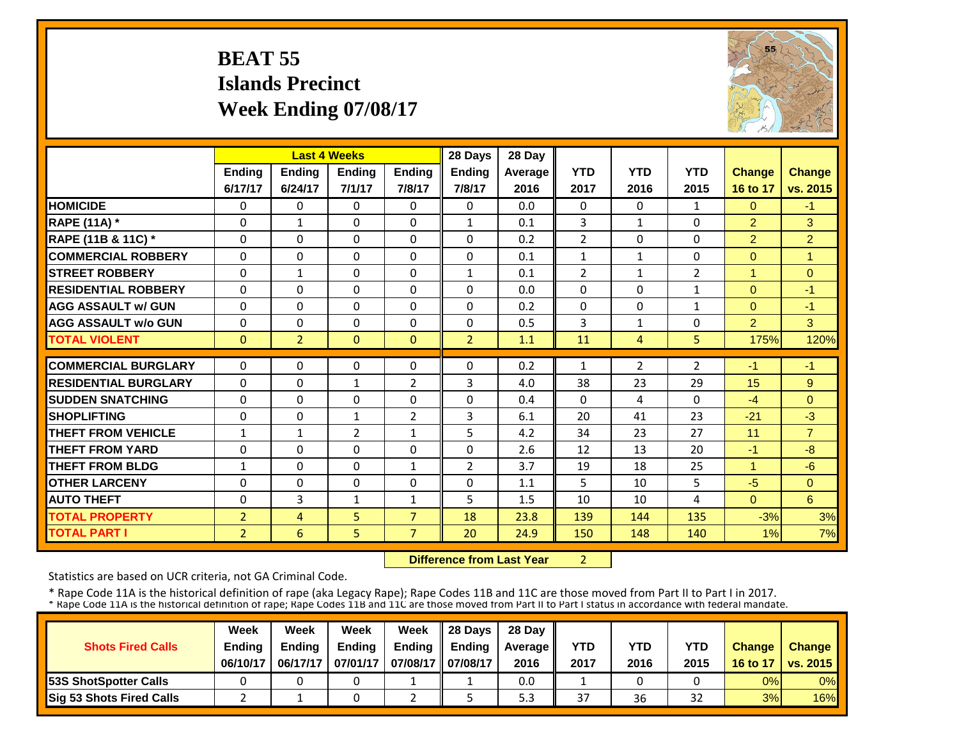# **BEAT 55 Islands PrecinctWeek Ending 07/08/17**



|                             |                | <b>Last 4 Weeks</b> |                |                | 28 Days        | 28 Day  |                |                |                |                |                |
|-----------------------------|----------------|---------------------|----------------|----------------|----------------|---------|----------------|----------------|----------------|----------------|----------------|
|                             | <b>Ending</b>  | Ending              | <b>Ending</b>  | <b>Endina</b>  | Ending         | Average | <b>YTD</b>     | <b>YTD</b>     | <b>YTD</b>     | <b>Change</b>  | <b>Change</b>  |
|                             | 6/17/17        | 6/24/17             | 7/1/17         | 7/8/17         | 7/8/17         | 2016    | 2017           | 2016           | 2015           | 16 to 17       | vs. 2015       |
| <b>HOMICIDE</b>             | $\Omega$       | $\Omega$            | $\Omega$       | $\Omega$       | $\Omega$       | 0.0     | $\mathbf{0}$   | $\Omega$       | $\mathbf{1}$   | $\Omega$       | $-1$           |
| <b>RAPE (11A)</b> *         | 0              | $\mathbf{1}$        | $\Omega$       | $\Omega$       | $\mathbf{1}$   | 0.1     | 3              | $\mathbf{1}$   | $\Omega$       | $\overline{2}$ | 3              |
| RAPE (11B & 11C) *          | 0              | $\Omega$            | $\Omega$       | $\Omega$       | $\Omega$       | 0.2     | $\overline{2}$ | $\Omega$       | $\Omega$       | $\overline{2}$ | $\overline{2}$ |
| <b>COMMERCIAL ROBBERY</b>   | 0              | 0                   | $\Omega$       | 0              | $\Omega$       | 0.1     | $\mathbf{1}$   | $\mathbf{1}$   | 0              | $\overline{0}$ | $\overline{1}$ |
| <b>STREET ROBBERY</b>       | $\Omega$       | $\mathbf{1}$        | $\Omega$       | $\Omega$       | $\mathbf{1}$   | 0.1     | $\overline{2}$ | $\mathbf{1}$   | $\overline{2}$ | $\mathbf{1}$   | $\Omega$       |
| <b>RESIDENTIAL ROBBERY</b>  | $\Omega$       | $\Omega$            | $\Omega$       | $\Omega$       | $\Omega$       | 0.0     | $\Omega$       | $\Omega$       | $\mathbf{1}$   | $\Omega$       | $-1$           |
| <b>AGG ASSAULT w/ GUN</b>   | $\Omega$       | $\Omega$            | $\Omega$       | $\Omega$       | $\Omega$       | 0.2     | $\mathbf 0$    | $\Omega$       | 1              | $\mathbf{0}$   | $-1$           |
| <b>AGG ASSAULT w/o GUN</b>  | $\mathbf 0$    | $\Omega$            | $\Omega$       | 0              | $\Omega$       | 0.5     | 3              | $\mathbf{1}$   | 0              | $\overline{2}$ | 3              |
| <b>TOTAL VIOLENT</b>        | $\mathbf{0}$   | $\overline{2}$      | $\mathbf{0}$   | $\mathbf{0}$   | $\overline{2}$ | 1.1     | 11             | 4              | 5              | 175%           | 120%           |
| <b>COMMERCIAL BURGLARY</b>  | $\Omega$       | 0                   | $\Omega$       | $\Omega$       | $\Omega$       | 0.2     | $\mathbf{1}$   | $\overline{2}$ | 2              | $-1$           | $-1$           |
| <b>RESIDENTIAL BURGLARY</b> | $\Omega$       | $\Omega$            | 1              | $\overline{2}$ | 3              | 4.0     | 38             | 23             | 29             | 15             | 9              |
| <b>ISUDDEN SNATCHING</b>    | $\mathbf 0$    | $\Omega$            | $\Omega$       | $\Omega$       | $\Omega$       | 0.4     | $\Omega$       | 4              | $\Omega$       | $-4$           | $\Omega$       |
| <b>SHOPLIFTING</b>          | $\mathbf 0$    | $\Omega$            | $\mathbf{1}$   | $\overline{2}$ | 3              | 6.1     | 20             | 41             | 23             | $-21$          | $-3$           |
| <b>THEFT FROM VEHICLE</b>   | $\mathbf{1}$   | $\mathbf{1}$        | $\overline{2}$ | $\mathbf{1}$   | 5              | 4.2     | 34             | 23             | 27             | 11             | $\overline{7}$ |
| <b>THEFT FROM YARD</b>      | 0              | $\Omega$            | $\Omega$       | $\Omega$       | $\Omega$       | 2.6     | 12             | 13             | 20             | $-1$           | $-8$           |
| <b>THEFT FROM BLDG</b>      | 1              | $\Omega$            | $\Omega$       | $\mathbf{1}$   | $\overline{2}$ | 3.7     | 19             | 18             | 25             | $\mathbf{1}$   | $-6$           |
| <b>OTHER LARCENY</b>        | $\Omega$       | 0                   | $\Omega$       | 0              | $\Omega$       | 1.1     | 5              | 10             | 5              | $-5$           | $\Omega$       |
| <b>AUTO THEFT</b>           | $\Omega$       | 3                   | $\mathbf{1}$   | $\mathbf{1}$   | 5              | 1.5     | 10             | 10             | 4              | $\Omega$       | 6              |
| <b>TOTAL PROPERTY</b>       | $\overline{2}$ | $\overline{4}$      | 5              | $\overline{7}$ | 18             | 23.8    | 139            | 144            | 135            | $-3%$          | 3%             |
| <b>TOTAL PART I</b>         | $\overline{2}$ | 6                   | 5              | $\overline{7}$ | 20             | 24.9    | 150            | 148            | 140            | 1%             | 7%             |

 **Difference from Last Year**2

Statistics are based on UCR criteria, not GA Criminal Code.

|                               | Week          | Week          | Week          | Week              | $\parallel$ 28 Davs | 28 Day    |      |      |      |               |                     |
|-------------------------------|---------------|---------------|---------------|-------------------|---------------------|-----------|------|------|------|---------------|---------------------|
| <b>Shots Fired Calls</b>      | <b>Ending</b> | <b>Ending</b> | <b>Ending</b> | <b>Ending</b>     | <b>Ending</b>       | Average I | YTD  | YTD  | YTD  | <b>Change</b> | <b>Change</b>       |
|                               | 06/10/17      | 06/17/17      | 07/01/17      | 07/08/17 07/08/17 |                     | 2016      | 2017 | 2016 | 2015 |               | 16 to 17   vs. 2015 |
| <b>153S ShotSpotter Calls</b> |               |               |               |                   |                     | 0.0       |      |      |      | 0%            | $0\%$               |
| Sig 53 Shots Fired Calls      |               |               |               |                   |                     | د.ر       | 37   | 36   | 32   | 3%            | 16%                 |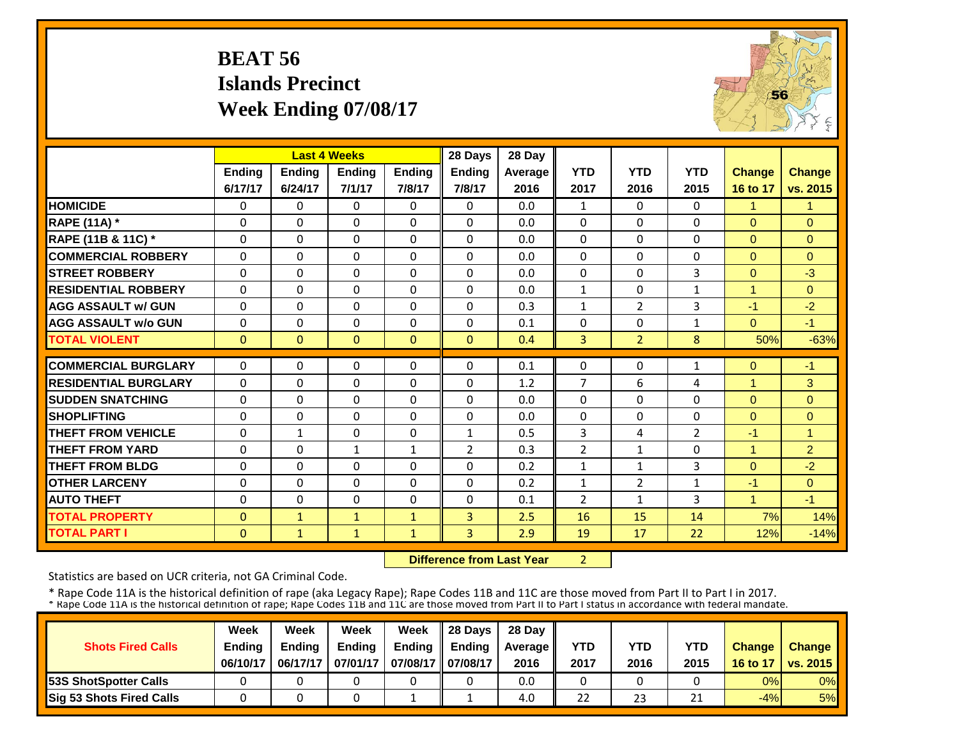# **BEAT 56 Islands Precinct Week Ending 07/08/17**



|                                               |               | <b>Last 4 Weeks</b>  |                |               | 28 Days              | 28 Day     |                               |                |                |                |                      |
|-----------------------------------------------|---------------|----------------------|----------------|---------------|----------------------|------------|-------------------------------|----------------|----------------|----------------|----------------------|
|                                               | <b>Ending</b> | Ending               | <b>Ending</b>  | <b>Endina</b> | Ending               | Average    | <b>YTD</b>                    | <b>YTD</b>     | <b>YTD</b>     | <b>Change</b>  | <b>Change</b>        |
|                                               | 6/17/17       | 6/24/17              | 7/1/17         | 7/8/17        | 7/8/17               | 2016       | 2017                          | 2016           | 2015           | 16 to 17       | vs. 2015             |
| <b>HOMICIDE</b>                               | $\Omega$      | $\Omega$             | $\mathbf{0}$   | $\Omega$      | $\Omega$             | 0.0        | $\mathbf{1}$                  | $\Omega$       | $\Omega$       | $\mathbf{1}$   | $\mathbf{1}$         |
| <b>RAPE (11A) *</b>                           | $\Omega$      | $\Omega$             | $\Omega$       | $\Omega$      | $\Omega$             | 0.0        | $\Omega$                      | $\Omega$       | $\Omega$       | $\Omega$       | $\Omega$             |
| RAPE (11B & 11C) *                            | $\Omega$      | $\Omega$             | $\Omega$       | $\Omega$      | $\Omega$             | 0.0        | $\Omega$                      | $\Omega$       | $\Omega$       | $\Omega$       | $\Omega$             |
| <b>COMMERCIAL ROBBERY</b>                     | $\mathbf 0$   | $\Omega$             | $\Omega$       | $\Omega$      | $\Omega$             | 0.0        | 0                             | $\Omega$       | $\Omega$       | $\Omega$       | $\Omega$             |
| <b>STREET ROBBERY</b>                         | $\mathbf 0$   | $\Omega$             | $\Omega$       | $\Omega$      | $\Omega$             | 0.0        | 0                             | $\Omega$       | 3              | $\overline{0}$ | $-3$                 |
| <b>RESIDENTIAL ROBBERY</b>                    | $\Omega$      | $\Omega$             | $\Omega$       | $\Omega$      | $\Omega$             | 0.0        | $\mathbf{1}$                  | $\Omega$       | $\mathbf{1}$   | 1              | $\Omega$             |
| <b>AGG ASSAULT w/ GUN</b>                     | $\Omega$      | $\Omega$             | $\Omega$       | $\Omega$      | $\Omega$             | 0.3        | $\mathbf{1}$                  | 2              | 3              | $-1$           | $-2$                 |
| <b>AGG ASSAULT w/o GUN</b>                    | $\Omega$      | $\Omega$             | $\Omega$       | $\Omega$      | $\Omega$             | 0.1        | $\Omega$                      | $\Omega$       | $\mathbf{1}$   | $\Omega$       | $-1$                 |
| <b>TOTAL VIOLENT</b>                          | $\Omega$      | $\Omega$             | $\overline{0}$ | $\Omega$      | $\Omega$             | 0.4        | 3                             | $\overline{2}$ | 8              | 50%            | $-63%$               |
| <b>COMMERCIAL BURGLARY</b>                    | $\Omega$      | $\Omega$             | $\Omega$       | $\Omega$      | 0                    | 0.1        | 0                             | $\Omega$       | 1              | $\Omega$       | $-1$                 |
| <b>RESIDENTIAL BURGLARY</b>                   | $\Omega$      | $\Omega$             | $\Omega$       | $\Omega$      | $\Omega$             | 1.2        | $\overline{7}$                | 6              | 4              | 1              | 3                    |
|                                               |               |                      |                |               |                      |            |                               | $\Omega$       |                |                |                      |
| <b>SUDDEN SNATCHING</b><br><b>SHOPLIFTING</b> | 0             | $\Omega$<br>$\Omega$ | $\Omega$       | 0             | $\Omega$<br>$\Omega$ | 0.0<br>0.0 | 0                             | $\Omega$       | 0<br>$\Omega$  | $\Omega$       | $\Omega$<br>$\Omega$ |
|                                               | $\mathbf 0$   |                      | $\mathbf 0$    | $\mathbf 0$   |                      |            | $\mathbf 0$<br>$\overline{3}$ |                |                | $\overline{0}$ |                      |
| <b>THEFT FROM VEHICLE</b>                     | $\Omega$      | $\mathbf{1}$         | $\Omega$       | $\Omega$      | $\mathbf{1}$         | 0.5        |                               | 4              | $\overline{2}$ | $-1$           | $\mathbf{1}$         |
| <b>THEFT FROM YARD</b>                        | $\Omega$      | $\Omega$             | $\mathbf{1}$   | $\mathbf{1}$  | $\overline{2}$       | 0.3        | $\overline{2}$                | $\mathbf{1}$   | $\Omega$       | $\mathbf{1}$   | $\overline{2}$       |
| <b>THEFT FROM BLDG</b>                        | 0             | $\Omega$             | $\Omega$       | 0             | $\Omega$             | 0.2        | $\mathbf{1}$                  | $\mathbf{1}$   | 3              | $\Omega$       | $-2$                 |
| <b>OTHER LARCENY</b>                          | $\Omega$      | $\Omega$             | 0              | 0             | $\Omega$             | 0.2        | $\mathbf{1}$                  | $\overline{2}$ | $\mathbf{1}$   | $-1$           | $\Omega$             |
| <b>AUTO THEFT</b>                             | $\Omega$      | $\Omega$             | $\Omega$       | $\Omega$      | $\Omega$             | 0.1        | $\overline{2}$                | 1              | 3              | $\mathbf{1}$   | $-1$                 |
| <b>TOTAL PROPERTY</b>                         | $\mathbf{0}$  | $\mathbf{1}$         | 1              | $\mathbf{1}$  | 3                    | 2.5        | 16                            | 15             | 14             | 7%             | 14%                  |
| <b>TOTAL PART I</b>                           | $\mathbf{0}$  | $\mathbf{1}$         | $\mathbf{1}$   | $\mathbf{1}$  | $\overline{3}$       | 2.9        | 19                            | 17             | 22             | 12%            | $-14%$               |

 **Difference from Last Year**2

Statistics are based on UCR criteria, not GA Criminal Code.

|                               | Week          | Week          | Week          | Week              | $\parallel$ 28 Davs | 28 Day  |      |      |                    |               |                     |
|-------------------------------|---------------|---------------|---------------|-------------------|---------------------|---------|------|------|--------------------|---------------|---------------------|
| <b>Shots Fired Calls</b>      | <b>Ending</b> | <b>Ending</b> | <b>Ending</b> | <b>Ending</b>     | <b>Ending</b>       | Average | YTD  | YTD  | YTD                | <b>Change</b> | <b>Change</b>       |
|                               | 06/10/17      | 06/17/17      | 07/01/17      | 07/08/17 07/08/17 |                     | 2016    | 2017 | 2016 | 2015               |               | 16 to 17   vs. 2015 |
| <b>153S ShotSpotter Calls</b> |               |               |               |                   |                     | 0.0     |      |      |                    | 0%            | $0\%$               |
| Sig 53 Shots Fired Calls      |               |               |               |                   |                     | 4.0     | 22   | 23   | $\mathbf{A}$<br>2T | $-4%$         | 5%                  |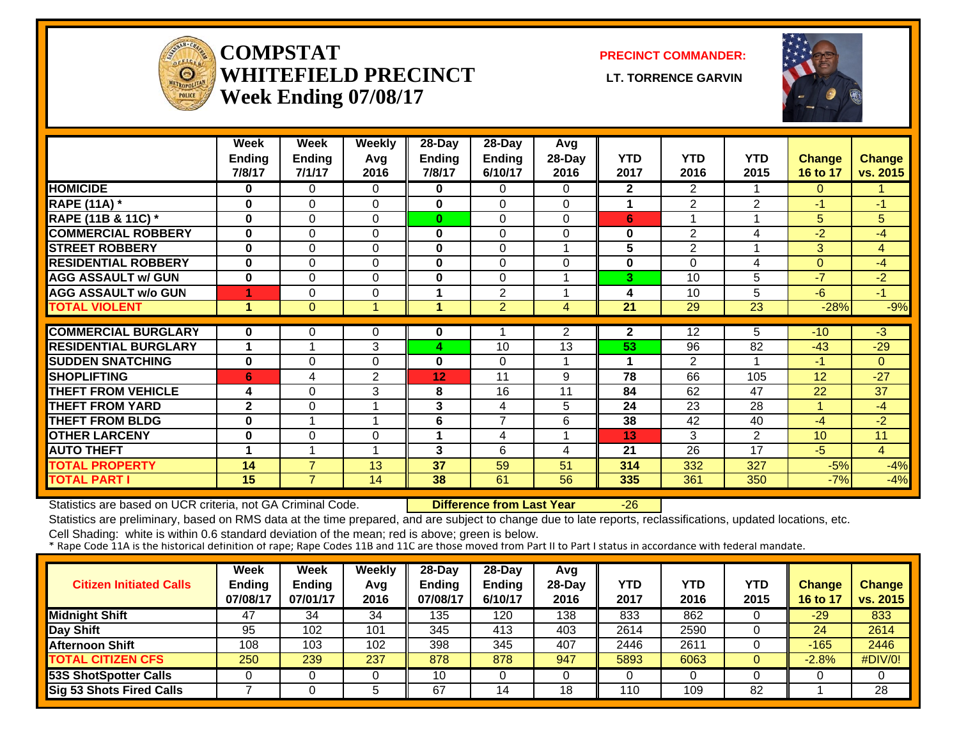

#### **COMPSTATWHITEFIELD PRECINCT** LT. TORRENCE GARVIN **Week Ending 07/08/17**

**PRECINCT COMMANDER:**



|                             | Week<br><b>Ending</b><br>7/8/17 | Week<br><b>Ending</b><br>7/1/17 | Weekly<br>Avg<br>2016   | $28$ -Day<br><b>Ending</b><br>7/8/17 | $28$ -Day<br>Ending<br>6/10/17 | Avg<br>28-Day<br>2016 | <b>YTD</b><br>2017 | <b>YTD</b><br>2016 | <b>YTD</b><br>2015 | Change<br>16 to 17 | Change<br>vs. 2015 |
|-----------------------------|---------------------------------|---------------------------------|-------------------------|--------------------------------------|--------------------------------|-----------------------|--------------------|--------------------|--------------------|--------------------|--------------------|
| <b>HOMICIDE</b>             | $\bf{0}$                        | $\Omega$                        | $\Omega$                | 0                                    | 0                              | 0                     | $\mathbf{2}$       | $\overline{2}$     |                    | $\Omega$           |                    |
| <b>RAPE (11A)</b> *         | $\bf{0}$                        | $\Omega$                        | $\Omega$                | $\mathbf{0}$                         | 0                              | 0                     |                    | $\overline{2}$     | 2                  | $-1$               | $-1$               |
| RAPE (11B & 11C) *          | $\bf{0}$                        | $\Omega$                        | $\Omega$                | $\bf{0}$                             | 0                              | 0                     | 6                  |                    |                    | 5                  | 5                  |
| <b>COMMERCIAL ROBBERY</b>   | $\bf{0}$                        | 0                               | $\Omega$                | 0                                    | 0                              | 0                     | $\mathbf 0$        | $\overline{2}$     | 4                  | $-2$               | $-4$               |
| <b>STREET ROBBERY</b>       | $\bf{0}$                        | 0                               | $\Omega$                | 0                                    | 0                              |                       | 5                  | 2                  |                    | 3                  | $\overline{4}$     |
| <b>RESIDENTIAL ROBBERY</b>  | $\bf{0}$                        | 0                               | 0                       | 0                                    | 0                              | 0                     | $\bf{0}$           | $\Omega$           | 4                  | $\Omega$           | -4                 |
| <b>AGG ASSAULT w/ GUN</b>   | $\bf{0}$                        | $\Omega$                        | $\Omega$                | 0                                    | $\mathbf 0$                    |                       | 3                  | 10                 | 5                  | $-7$               | $-2$               |
| <b>AGG ASSAULT w/o GUN</b>  |                                 | $\Omega$                        | 0                       | 1                                    | $\overline{2}$                 |                       | 4                  | 10                 | 5                  | -6                 | $-1$               |
| <b>TOTAL VIOLENT</b>        | 1                               | $\Omega$                        |                         | 1                                    | $\overline{2}$                 | 4                     | 21                 | 29                 | $\overline{23}$    | $-28%$             | $-9%$              |
| <b>COMMERCIAL BURGLARY</b>  | $\bf{0}$                        |                                 |                         |                                      |                                | $\overline{2}$        | $\mathbf{2}$       | 12                 | 5                  | $-10$              | $-3$               |
| <b>RESIDENTIAL BURGLARY</b> | 1                               | 0<br>$\overline{A}$             | 0                       | 0                                    |                                | 13                    | 53                 | 96                 | 82                 |                    |                    |
|                             |                                 |                                 | 3                       | 4                                    | 10                             |                       |                    |                    | $\overline{A}$     | $-43$              | $-29$              |
| <b>SUDDEN SNATCHING</b>     | $\bf{0}$                        | 0                               | $\Omega$                | 0                                    | $\Omega$                       |                       | 1                  | $\overline{2}$     |                    | $-1$               | $\overline{0}$     |
| <b>SHOPLIFTING</b>          | 6                               | 4                               | 2                       | 12                                   | 11                             | 9                     | 78                 | 66                 | 105                | 12                 | $-27$              |
| <b>THEFT FROM VEHICLE</b>   | 4                               | $\Omega$                        | 3                       | 8                                    | 16                             | 11                    | 84                 | 62                 | 47                 | 22                 | 37                 |
| <b>THEFT FROM YARD</b>      | $\mathbf{2}$                    | $\Omega$                        | $\overline{\mathbf{A}}$ | 3                                    | 4                              | 5                     | 24                 | 23                 | 28                 |                    | $-4$               |
| <b>THEFT FROM BLDG</b>      | $\bf{0}$                        |                                 |                         | 6                                    | $\overline{7}$                 | 6                     | 38                 | 42                 | 40                 | $-4$               | $-2$               |
| <b>OTHER LARCENY</b>        | 0                               | $\Omega$                        | $\Omega$                | 1                                    | 4                              |                       | 13                 | 3                  | 2                  | 10                 | 11                 |
| <b>AUTO THEFT</b>           | 1                               | 4                               | 1                       | 3                                    | 6                              | 4                     | 21                 | 26                 | 17                 | $-5$               | $\overline{4}$     |
| <b>TOTAL PROPERTY</b>       | 14                              | $\overline{7}$                  | 13                      | 37                                   | 59                             | 51                    | 314                | 332                | 327                | $-5%$              | $-4%$              |
| <b>TOTAL PART I</b>         | 15                              | 7                               | 14                      | 38                                   | 61                             | 56                    | 335                | 361                | 350                | $-7%$              | $-4%$              |

Statistics are based on UCR criteria, not GA Criminal Code. **Difference from Last Year** -26

Statistics are preliminary, based on RMS data at the time prepared, and are subject to change due to late reports, reclassifications, updated locations, etc.

| <b>Citizen Initiated Calls</b>  | <b>Week</b><br><b>Ending</b><br>07/08/17 | <b>Week</b><br><b>Ending</b><br>07/01/17 | Weekly<br>Avg<br>2016 | 28-Day<br><b>Ending</b><br>07/08/17 | 28-Day<br><b>Ending</b><br>6/10/17 | Avg<br>$28-Day$<br>2016 | <b>YTD</b><br>2017 | YTD<br>2016 | YTD<br>2015 | <b>Change</b><br>16 to 17 | <b>Change</b><br>vs. 2015 |
|---------------------------------|------------------------------------------|------------------------------------------|-----------------------|-------------------------------------|------------------------------------|-------------------------|--------------------|-------------|-------------|---------------------------|---------------------------|
| <b>Midnight Shift</b>           | 47                                       | 34                                       | 34                    | 135                                 | 120                                | 138                     | 833                | 862         |             | $-29$                     | 833                       |
| Day Shift                       | 95                                       | 102                                      | 101                   | 345                                 | 413                                | 403                     | 2614               | 2590        |             | 24                        | 2614                      |
| <b>Afternoon Shift</b>          | 108                                      | 103                                      | 102                   | 398                                 | 345                                | 407                     | 2446               | 2611        |             | $-165$                    | 2446                      |
| <b>TOTAL CITIZEN CFS</b>        | 250                                      | 239                                      | 237                   | 878                                 | 878                                | 947                     | 5893               | 6063        |             | $-2.8%$                   | #DIV/0!                   |
| <b>53S ShotSpotter Calls</b>    |                                          |                                          |                       | 10                                  |                                    |                         |                    |             |             |                           |                           |
| <b>Sig 53 Shots Fired Calls</b> |                                          |                                          |                       | 67                                  | 14                                 | 18                      | 110                | 109         | 82          |                           | 28                        |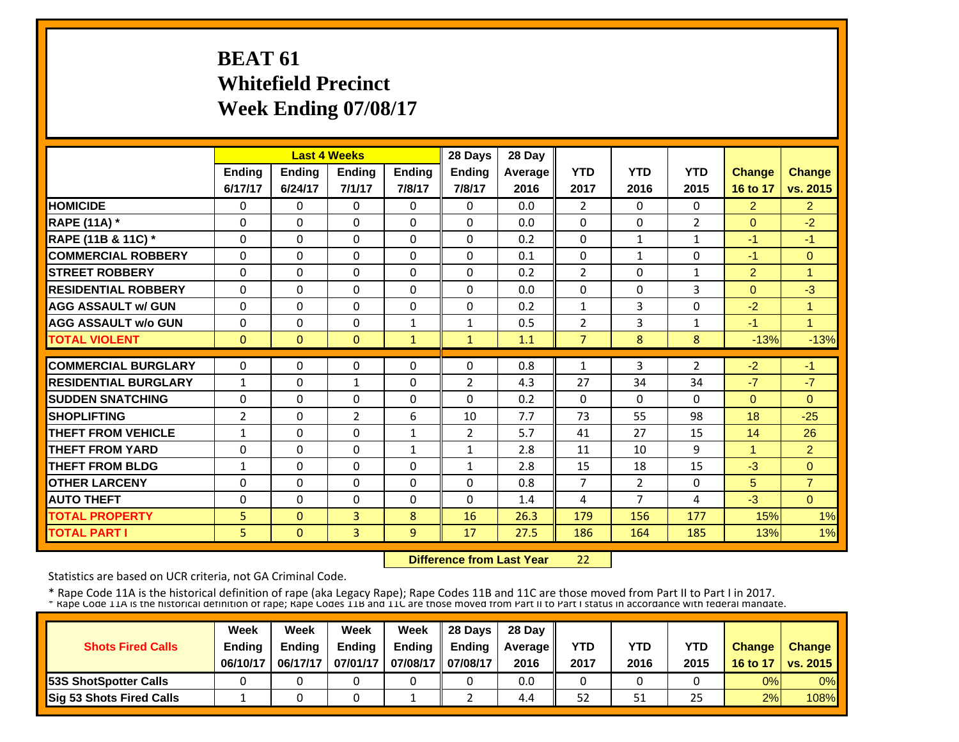# **BEAT 61 Whitefield Precinct Week Ending 07/08/17**

|                             |              | <b>Last 4 Weeks</b> |                |              | 28 Days        | 28 Day  |                |                |                |                |                |
|-----------------------------|--------------|---------------------|----------------|--------------|----------------|---------|----------------|----------------|----------------|----------------|----------------|
|                             | Ending       | <b>Ending</b>       | <b>Ending</b>  | Ending       | Ending         | Average | <b>YTD</b>     | <b>YTD</b>     | <b>YTD</b>     | <b>Change</b>  | <b>Change</b>  |
|                             | 6/17/17      | 6/24/17             | 7/1/17         | 7/8/17       | 7/8/17         | 2016    | 2017           | 2016           | 2015           | 16 to 17       | vs. 2015       |
| <b>HOMICIDE</b>             | 0            | $\Omega$            | $\mathbf{0}$   | $\Omega$     | $\Omega$       | 0.0     | $\overline{2}$ | $\Omega$       | $\mathbf{0}$   | $\overline{2}$ | $\overline{2}$ |
| <b>RAPE (11A) *</b>         | $\Omega$     | $\Omega$            | $\Omega$       | $\mathbf{0}$ | $\Omega$       | 0.0     | $\Omega$       | $\mathbf{0}$   | $\overline{2}$ | $\Omega$       | $-2$           |
| RAPE (11B & 11C) *          | $\Omega$     | $\Omega$            | $\mathbf{0}$   | $\Omega$     | $\Omega$       | 0.2     | $\Omega$       | $\mathbf{1}$   | $\mathbf{1}$   | $-1$           | $-1$           |
| <b>COMMERCIAL ROBBERY</b>   | 0            | $\Omega$            | $\mathbf{0}$   | $\Omega$     | $\Omega$       | 0.1     | $\Omega$       | $\mathbf{1}$   | $\Omega$       | $-1$           | $\Omega$       |
| <b>STREET ROBBERY</b>       | 0            | $\Omega$            | $\mathbf{0}$   | $\Omega$     | $\Omega$       | 0.2     | $\overline{2}$ | $\Omega$       | $\mathbf{1}$   | $\overline{2}$ | 1              |
| <b>RESIDENTIAL ROBBERY</b>  | $\Omega$     | $\Omega$            | $\Omega$       | $\Omega$     | $\Omega$       | 0.0     | $\Omega$       | $\Omega$       | 3              | $\Omega$       | $-3$           |
| <b>AGG ASSAULT w/ GUN</b>   | $\Omega$     | $\Omega$            | $\Omega$       | $\Omega$     | $\Omega$       | 0.2     | $\mathbf{1}$   | 3              | $\Omega$       | $-2$           | $\mathbf{1}$   |
| <b>AGG ASSAULT w/o GUN</b>  | $\Omega$     | $\Omega$            | $\Omega$       | $\mathbf{1}$ | $\mathbf{1}$   | 0.5     | $\overline{2}$ | 3              | $\mathbf{1}$   | $-1$           | 1              |
| <b>TOTAL VIOLENT</b>        | $\mathbf{0}$ | $\mathbf{0}$        | $\mathbf{0}$   | $\mathbf{1}$ | $\mathbf{1}$   | 1.1     | $\overline{7}$ | 8              | 8              | $-13%$         | $-13%$         |
| <b>COMMERCIAL BURGLARY</b>  | 0            | $\Omega$            | $\mathbf{0}$   | $\Omega$     | $\Omega$       | 0.8     | 1              | 3              | $\overline{2}$ | $-2$           | $-1$           |
| <b>RESIDENTIAL BURGLARY</b> | 1            | $\Omega$            | $\mathbf{1}$   | $\Omega$     | 2              | 4.3     | 27             | 34             | 34             | $-7$           | $-7$           |
| <b>SUDDEN SNATCHING</b>     | $\Omega$     | $\Omega$            | $\Omega$       | $\Omega$     | $\Omega$       | 0.2     | $\Omega$       | $\Omega$       | $\Omega$       | $\Omega$       | $\Omega$       |
| <b>SHOPLIFTING</b>          | 2            | $\Omega$            | $\overline{2}$ | 6            | 10             | 7.7     | 73             | 55             | 98             | 18             | $-25$          |
| <b>THEFT FROM VEHICLE</b>   | $\mathbf{1}$ | $\Omega$            | 0              | $\mathbf{1}$ | $\overline{2}$ | 5.7     | 41             | 27             | 15             | 14             | 26             |
| <b>THEFT FROM YARD</b>      | 0            | $\Omega$            | $\mathbf{0}$   | 1            | $\mathbf{1}$   | 2.8     | 11             | 10             | 9              | $\mathbf{1}$   | $\overline{2}$ |
| <b>THEFT FROM BLDG</b>      | 1            | $\Omega$            | $\Omega$       | $\Omega$     | $\mathbf{1}$   | 2.8     | 15             | 18             | 15             | $-3$           | $\mathbf{0}$   |
| <b>OTHER LARCENY</b>        | 0            | $\Omega$            | $\Omega$       | $\Omega$     | $\Omega$       | 0.8     | $\overline{7}$ | $\overline{2}$ | $\Omega$       | 5              | $\overline{7}$ |
| <b>AUTO THEFT</b>           | $\Omega$     | $\Omega$            | $\Omega$       | $\Omega$     | $\Omega$       | 1.4     | 4              | $\overline{7}$ | 4              | $-3$           | $\Omega$       |
| <b>TOTAL PROPERTY</b>       | 5            | $\Omega$            | 3              | 8            | 16             | 26.3    | 179            | 156            | 177            | 15%            | 1%             |
| <b>TOTAL PART I</b>         | 5            | $\mathbf{0}$        | 3              | 9            | 17             | 27.5    | 186            | 164            | 185            | 13%            | 1%             |

 **Difference from Last Year**22

Statistics are based on UCR criteria, not GA Criminal Code.

| <b>Shots Fired Calls</b>      | Week<br><b>Ending</b><br>06/10/17 | Week<br><b>Endina</b><br>06/17/17 | Week<br><b>Ending</b><br>07/01/17 | Week<br><b>Ending</b><br>07/08/17 | 28 Days<br><b>Endina</b><br>07/08/17 | 28 Day<br><b>Average II</b><br>2016 | <b>YTD</b><br>2017 | YTD<br>2016 | YTD<br>2015 | <b>Change</b><br>16 to 17 | <b>Change</b><br><b>VS. 2015</b> |
|-------------------------------|-----------------------------------|-----------------------------------|-----------------------------------|-----------------------------------|--------------------------------------|-------------------------------------|--------------------|-------------|-------------|---------------------------|----------------------------------|
| <b>153S ShotSpotter Calls</b> |                                   |                                   |                                   |                                   |                                      | 0.0                                 |                    |             |             | 0%                        | $0\%$                            |
| Sig 53 Shots Fired Calls      |                                   |                                   |                                   |                                   |                                      | 4.4                                 | 52                 | 51          | 25          | 2%                        | <b>108%</b>                      |